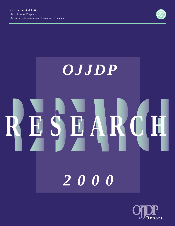

# **R E S E A R H C** *OJJDP*

# *2000*

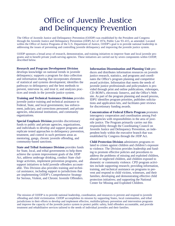# Office of Juvenile Justice and Delinquency Prevention

The Office of Juvenile Justice and Delinquency Prevention (OJJDP) was established by the President and Congress through the Juvenile Justice and Delinquency Prevention (JJDP) Act of 1974, Public Law 93–415, as amended. Located within the Office of Justice Programs of the U.S. Department of Justice, OJJDP's goal is to provide national leadership in addressing the issues of preventing and controlling juvenile delinquency and improving the juvenile justice system.

OJJDP sponsors a broad array of research, demonstration, and training initiatives to improve State and local juvenile programs and to benefit private youth-serving agencies. These initiatives are carried out by seven components within OJJDP, described below.

### **Research and Program Development Division**

develops knowledge on national trends in juvenile delinquency; supports a program for data collection and information sharing that incorporates elements of statistical and systems development; identifies the pathways to delinquency and the best methods to prevent, intervene in, and treat it; and analyzes practices and trends in the juvenile justice system.

**Training and Technical Assistance Division** provides juvenile justice training and technical assistance to Federal, State, and local governments; law enforcement, judiciary, and corrections personnel; and private agencies, educational institutions, and community organizations.

**Special Emphasis Division** provides discretionary funds to public and private agencies, organizations, and individuals to develop and support programs and replicate tested approaches to delinquency prevention, treatment, and control in such pertinent areas as mentoring, gangs, chronic juvenile offending, and community-based sanctions.

**State and Tribal Assistance Division** provides funds for State, local, and tribal governments to help them achieve the system improvement goals of the JJDP Act, address underage drinking, conduct State challenge activities, implement prevention programs, and support initiatives to hold juvenile offenders accountable. This Division also provides training and technical assistance, including support to jurisdictions that are implementing OJJDP's Comprehensive Strategy for Serious, Violent, and Chronic Juvenile Offenders.

**Information Dissemination and Planning Unit** produces and distributes information resources on juvenile justice research, statistics, and programs and coordinates the Office's program planning and competitive award activities. Information that meets the needs of juvenile justice professionals and policymakers is provided through print and online publications, videotapes, CD–ROM's, electronic listservs, and the Office's Web site. As part of the program planning and award process, IDPU identifies program priorities, publishes solicitations and application kits, and facilitates peer reviews for discretionary funding awards.

**Concentration of Federal Efforts Program** promotes interagency cooperation and coordination among Federal agencies with responsibilities in the area of juvenile justice. The Program primarily carries out this responsibility through the Coordinating Council on Juvenile Justice and Delinquency Prevention, an independent body within the executive branch that was established by Congress through the JJDP Act.

**Child Protection Division** administers programs related to crimes against children and children's exposure to violence. The Division provides leadership and funding to promote effective policies and procedures to address the problems of missing and exploited children, abused or neglected children, and children exposed to domestic or community violence. CPD program activities include supporting research; providing information, training, and technical assistance on programs to prevent and respond to child victims, witnesses, and their families; developing and demonstrating effective child protection initiatives; and supporting the National Center for Missing and Exploited Children.

The mission of OJJDP is to provide national leadership, coordination, and resources to prevent and respond to juvenile offending and child victimization. OJJDP accomplishes its mission by supporting States, local communities, and tribal jurisdictions in their efforts to develop and implement effective, multidisciplinary prevention and intervention programs and improve the capacity of the juvenile justice system to protect public safety, hold offenders accountable, and provide treatment and rehabilitative services tailored to the needs of individual juveniles and their families.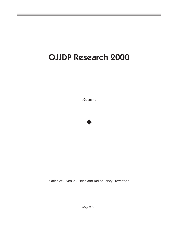# OJJDP Research 2000

**Report**



Office of Juvenile Justice and Delinquency Prevention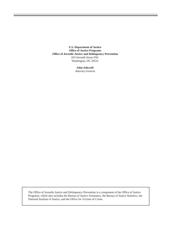**U.S. Department of Justice Office of Justice Programs Office of Juvenile Justice and Delinquency Prevention** 810 Seventh Street NW. Washington, DC 20531

> **John Ashcroft** *Attorney General*

The Office of Juvenile Justice and Delinquency Prevention is a component of the Office of Justice Programs, which also includes the Bureau of Justice Assistance, the Bureau of Justice Statistics, the National Institute of Justice, and the Office for Victims of Crime.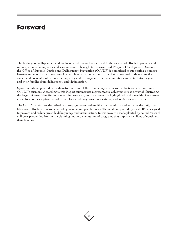# **Foreword**

The findings of well-planned and well-executed research are critical to the success of efforts to prevent and reduce juvenile delinquency and victimization. Through its Research and Program Development Division, the Office of Juvenile Justice and Delinquency Prevention (OJJDP) is committed to supporting a comprehensive and coordinated program of research, evaluation, and statistics that is designed to determine the causes and correlates of juvenile delinquency and the ways in which communities can protect at-risk youth and their families from delinquency and victimization.

Space limitations preclude an exhaustive account of the broad array of research activities carried out under OJJDP's auspices. Accordingly, this Report summarizes representative achievements as a way of illustrating the larger picture. New findings, emerging research, and key issues are highlighted, and a wealth of resources in the form of descriptive lists of research-related programs, publications, and Web sites are provided.

The OJJDP initiatives described in these pages—and others like them—inform and enhance the daily, collaborative efforts of researchers, policymakers, and practitioners. The work supported by OJJDP is designed to prevent and reduce juvenile delinquency and victimization. In this way, the seeds planted by sound research will bear productive fruit in the planning and implementation of programs that improve the lives of youth and their families.

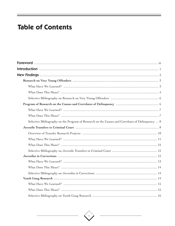# **Table of Contents**

| Selective Bibliography on the Program of Research on the Causes and Correlates of Delinquency  8 |
|--------------------------------------------------------------------------------------------------|
|                                                                                                  |
|                                                                                                  |
|                                                                                                  |
|                                                                                                  |
|                                                                                                  |
|                                                                                                  |
|                                                                                                  |
|                                                                                                  |
|                                                                                                  |
|                                                                                                  |
|                                                                                                  |
|                                                                                                  |
|                                                                                                  |

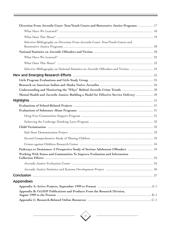| Diversion From Juvenile Court: Teen/Youth Courts and Restorative Justice Programs  17   |  |
|-----------------------------------------------------------------------------------------|--|
|                                                                                         |  |
|                                                                                         |  |
| Selective Bibliography on Diversion From Juvenile Court: Teen/Youth Courts and          |  |
|                                                                                         |  |
|                                                                                         |  |
|                                                                                         |  |
| Selective Bibliography on National Statistics on Juvenile Offenders and Victims  23     |  |
|                                                                                         |  |
|                                                                                         |  |
|                                                                                         |  |
|                                                                                         |  |
| Mental Health and Juvenile Justice: Building a Model for Effective Service Delivery  28 |  |
|                                                                                         |  |
|                                                                                         |  |
|                                                                                         |  |
|                                                                                         |  |
|                                                                                         |  |
|                                                                                         |  |
|                                                                                         |  |
|                                                                                         |  |
|                                                                                         |  |
| Pathways to Desistance: A Prospective Study of Serious Adolescent Offenders  34         |  |
| Working With States and Communities To Improve Evaluation and Information               |  |
|                                                                                         |  |
|                                                                                         |  |
|                                                                                         |  |
|                                                                                         |  |
| <b>Appendixes</b>                                                                       |  |
|                                                                                         |  |
| Appendix B: OJJDP Publications and Products From the Research Division,                 |  |
|                                                                                         |  |
|                                                                                         |  |

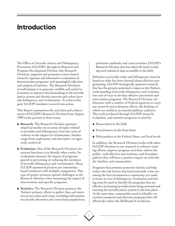# **Introduction**

The Office of Juvenile Justice and Delinquency Prevention (OJJDP), through its Research and Program Development Division (the Research Division), supports and promotes science-based research, rigorous and informative evaluations of demonstration programs, and meaningful collection and analysis of statistics. The Research Division's overall mission is to generate credible and useful information to improve decisionmaking in the juvenile justice system and thereby prevent and reduce juvenile delinquency and victimization. To achieve this goal, OJJDP translates research into action.

This Report summarizes the activities and achievements of OJJDP's Research Division from August 1999 to the present in three areas:

- ◆ **Research.** The Research Division sponsors empirical studies on an array of topics related to juveniles and delinquency, from the roots of violence to the impact of victimization. Studies range from exploratory and descriptive to rigorously analytical.
- ◆ **Evaluation.** One of the Research Division's important functions is to identify what works. Its evaluations measure the impact of programs geared to preventing or reducing the incidence of juvenile delinquency and victimization. Many OJJDP-sponsored projects are communitybased initiatives with multiple components. This type of project presents special challenges to the Research Division when measuring the impact of interventions and specific programs.
- ◆ **Statistics.** The Research Division sponsors the Nation's primary efforts to gather data and statistics on juveniles and crime, including information on juvenile detention and corrections populations,

probation caseloads, and court activities. OJJDP's Research Division also has taken the lead in making such statistical data accessible to the field.

Solutions to juvenile crime and delinquency must be based on what has been learned about effective programming. OJJDP strategically sponsors research that has the greatest potential to improve the Nation's understanding of juvenile delinquency and victimization and of ways to develop effective prevention and intervention programs. The Research Division collaborates with a number of Federal agencies to carry out research and evaluation efforts, the findings of which are useful to an interdisciplinary audience. The work produced through OJJDP research, evaluation, and statistics programs is used by:

- ◆ Researchers in the field.
- ◆ Practitioners on the front lines.
- ◆ Policymakers at the Federal, State, and local levels.

In addition, the Research Division works with other OJJDP divisions to use research to enhance training efforts, improve program activities, inform the public, craft effective interventions, and formulate policies that will have a positive impact on individuals, families, and communities.

Programs that promote protective factors and help reduce the risk factors that lead to juvenile crime are among the best investments a community can make to lower its rate of delinquency. Evaluation and testing must be used to identify the programs that are effective in keeping juveniles from being arrested and entering the juvenile justice system in the first place. At the same time, communities need to identify corrections treatment and aftercare programs that will effectively reduce the likelihood of recidivism.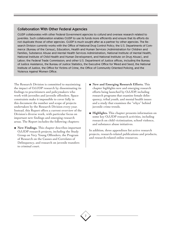### Collaboration With Other Federal Agencies

OJJDP collaborates with other Federal Government agencies to cofund and oversee research related to juveniles. Such collaboration enables OJJDP to use its funds more efficiently and ensure that its efforts do not duplicate those of other agencies. OJJDP is much sought after as a partner by other agencies. The Research Division currently works with the Office of National Drug Control Policy; the U.S. Departments of Commerce (Bureau of the Census), Education, Health and Human Services (Administration for Children and Families, Substance Abuse and Mental Health Services Administration, National Institute of Mental Health, National Institute of Child Health and Human Development, and National Institute on Drug Abuse), and Labor; the Federal Trade Commission; and other U.S. Department of Justice offices, including the Bureau of Justice Assistance, the Bureau of Justice Statistics, the Executive Office for Weed and Seed, the National Institute of Justice, the Office for Victims of Crime, the Office of Community Oriented Policing, and the Violence Against Women Office.

The Research Division is committed to maximizing the impact of OJJDP research by disseminating its findings to practitioners and policymakers who work with juveniles and juvenile offenders. Space constraints make it impossible to cover fully in this document the number and scope of projects undertaken by the Research Division every year. Instead, this Report offers a current overview of the Division's diverse work, with particular focus on important new findings and emerging research areas. The Report includes the following chapters:

- ◆ **New Findings.** This chapter describes important OJJDP research projects, including the Study Group on Very Young Offenders, the Program of Research on the Causes and Correlates of Delinquency, and research on juvenile transfers to criminal court.
- ◆ **New and Emerging Research Efforts.** This chapter highlights new and emerging research efforts being launched by OJJDP, including research programs that examine female delinquency, tribal youth, and mental health issues and a study that examines the "whys" behind juvenile crime trends.
- ◆ **Highlights.** This chapter presents information on some key OJJDP research activities, including research on child victimization, school violence, and substance abuse initiatives.

In addition, three appendixes list active research projects, research-related publications and products, and research-related online resources.

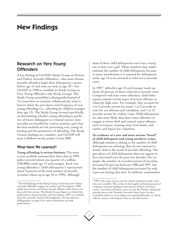# **New Findings**

### Research on Very Young **Offenders**

A key finding of OJJDP's Study Group on Serious and Violent Juvenile Offenders—that most chronic juvenile offenders begin their delinquency careers before age 12 and some as early as age  $10^{ \mathrm{l}}-$ led OJJDP in 1998 to establish its Study Group on Very Young Offenders (the Study Group). The Study Group assembled a distinguished panel of 15 researchers to examine collaboratively what is known about the prevalence and frequency of very young offending (i.e., offending by children younger than age 13). The Study Group focused specifically on determining whether young offending is predictive of future delinquent or criminal careers, how juveniles are handled by various systems, and what the best methods are for preventing very young offending and the persistence of offending. The Study Group's findings are complete, and OJJDP will issue a Bulletin on the project in late 2001.

### What Have We Learned?

**Young offending is serious business.** The most recent available national data show that in 1999, police arrested about one-quarter of a million (230,800) youth age 12 and younger. Such very young offenders ("child delinquents") represented about 9 percent of the total number of juvenile arrestees (those up to age 18 in 1999). Although

most of these child delinquents were boys, nearly one in four was a girl. These numbers may underestimate the number of child delinquents because in many jurisdictions it is unusual for delinquents under age 12 to be arrested or referred to juvenile court.

In 1997,<sup>2</sup> offenders age 12 and younger made up about 16 percent of those referred to juvenile court. Compared with later onset offenders, child delinquents commit certain types of serious offenses at relatively high rates. For example, they account for 1 in 3 juvenile arrests for arson, 1 in 5 juvenile arrests for sex offenses and vandalism, and 1 in 12 juvenile arrests for violent crime. Child delinquents are also more likely than later onset offenders to engage in minor theft and commit status offenses such as truancy, running away from home, and curfew and liquor law violations.

**No evidence of a new and more serious "breed" of child delinquent and young murderer exists.** Although statistics relating to the number of child delinquents are sobering, they do not represent a drastic shift in the trend of juvenile offending. The prevalence of child delinquents does not appear to have increased over the past two decades. For example, the number of recorded arrests of juveniles increased 35 percent between 1988 and 1997, but the number of child delinquents increased by only 6 percent during that time. In addition, examination

<sup>2</sup> 1997 is the most recent year for which national juvenile court data are available. This is due to the lengthy technical process of creating a national database from dozens of State and local courts. Juvenile and family courts across the Nation voluntarily provide data to the National Juvenile Data Court Archive (available online at www.ojjdp.ncjrs.org/ojstatbb/njdca/), which collects, stores, and analyzes data on juvenile justice.



<sup>&</sup>lt;sup>1</sup> The full findings of the Study Group on Serious and Violent Juvenile Offenders appear in Loeber and Farrington's 1998 publication *Serious and Violent Juvenile Offenders: Risk Factors and Successful Interventions.* The Study Group Report on which this publication is based (Loeber and Farrington, 1997) is available from the Juvenile Justice Clearinghouse. See the selective bibliography on page 6 for more information on both publications.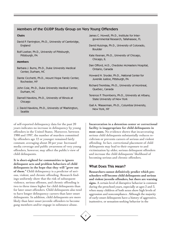### Members of the OJJDP Study Group on Very Young Offenders

### **Chairs**

- David P. Farrington, Ph.D., University of Cambridge, England
- Rolf Loeber, Ph.D., University of Pittsburgh, Pittsburgh, PA

### **Members**

- Barbara J. Burns, Ph.D., Duke University Medical Center, Durham, NC
- Dante Cicchetti, Ph.D., Mount Hope Family Center, Rochester, NY
- John Coie, Ph.D., Duke University Medical Center, Durham, NC
- Darnell Hawkins, Ph.D., University of Illinois at Chicago
- J. David Hawkins, Ph.D., University of Washington, Seattle

of self-reported delinquency data for the past 20 years indicates no increase in delinquency by young offenders in the United States. Moreover, between 1980 and 1997, the number of murders committed by offenders age 12 or younger remained fairly constant, averaging about 30 per year. Increased media coverage and public awareness of very young offenders, however, may affect the public's view of child delinquents.

**It is short-sighted for communities to ignore delinquent acts and problem behaviors of child delinquents in the hope that they will "grow out of them."** Child delinquency is a predictor of serious, violent, and chronic offending. Research findings uniformly show that the risk of subsequent violence, serious offenses, and chronic offending is two to three times higher for child delinquents than for later onset offenders. Child delinquents also tend to have longer delinquency careers than later onset delinquents. In addition, child delinquents are more likely than later onset juvenile offenders to become gang members and/or engage in substance abuse.

- James C. Howell, Ph.D., Institute for Intergovernmental Research, Tallahassee, FL
- David Huizinga, Ph.D., University of Colorado, Boulder
- Kate Keenan, Ph.D., University of Chicago, Chicago, IL
- Dan Offord, M.D., Chedoke McMasters Hospital, Ontario, Canada
- Howard N. Snyder, Ph.D., National Center for Juvenile Justice, Pittsburgh, PA
- Richard Tremblay, Ph.D., University of Montreal, Quebec, Canada
- Terence P. Thornberry, Ph.D., University at Albany, State University of New York
- Gail A. Wasserman, Ph.D., Columbia University, New York, NY

**Incarceration in a detention center or correctional facility is inappropriate for child delinquents in most cases.** No evidence shows that incarcerating serious child delinquents substantially reduces recidivism or prevents careers of serious and violent offending. In fact, correctional placement of child delinquents may lead to their exposure to and victimization by older, serious delinquent offenders and increase the child delinquents' likelihood of becoming serious and chronic offenders.

### What Does This Mean?

**Researchers cannot definitively predict which preschoolers will become child delinquents and serious and violent juvenile offenders, but there are warning signs.** A certain level of disruptive behavior is common during the preschool years, especially at ages 2 and 3, when many children of both sexes show high levels of aggression and noncompliance. Although the majority of early-onset delinquents have a history of aggressive, inattentive, or sensation-seeking behavior in the

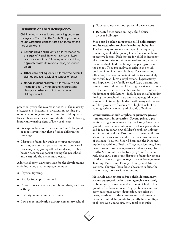### Definition of Child Delinquency

Child delinquency includes offending between the ages of 7 and 12. The Study Group on Very Young Offenders concentrated on three categories of children:

- ◆ Serious child delinquents: Children between the ages of 7 and 12 who have committed one or more of the following acts: homicide, aggravated assault, robbery, rape, or serious arson.
- ◆ Other child delinquents: Children who commit delinquent acts, excluding serious offenses.
- ◆ Nondelinquent children: Children up to and including age 12 who engage in persistent disruptive behavior but do not commit delinquent acts.

preschool years, the reverse is not true: The majority of aggressive, inattentive, or attention-seeking preschoolers do not go on to become child delinquents. Researchers nonetheless have identified the following important warning signs of later problems:

- ◆ Disruptive behavior that is either more frequent or more severe than that of other children the same age.
- ◆ Disruptive behavior, such as temper tantrums and aggression, that persists beyond ages 2 to 3. For many very young offenders, disruptive behavior becomes apparent during the preschool and certainly the elementary years.

Additional early warning signs for the development of delinquency at a young age include:

- ◆ Physical fighting.
- ◆ Cruelty to people or animals.
- ◆ Covert acts such as frequent lying, theft, and fire setting.
- ◆ Inability to get along with others.
- ◆ Low school motivation during elementary school.
- ◆ Substance use (without parental permission).
- ◆ Repeated victimization (e.g., child abuse or peer bullying).

**Steps can be taken to prevent child delinquency and its escalation to chronic criminal behavior.** The best way to prevent any type of delinquency (including child delinquency) is to focus on risk and protective factors. Risk factors for child delinquency, like those for later onset juvenile offending, exist in the individual child, the family, the peer group, and the school. They probably also exist in the neighborhood in which the child lives. For very young offenders, the most important risk factors are likely individual (e.g., birth complications, hyperactivity, and impulsivity) or family related (e.g., parental substance abuse and poor childrearing practices). Protective factors—that is, those that can buffer or offset the impact of risk factors—include prosocial behavior during the preschool years and strong cognitive performance. Ultimately, children with many risk factors and few protective factors are at highest risk of becoming serious, violent, and chronic offenders.

**Communities should emphasize primary prevention and early intervention.** Several primary prevention programs reviewed by the Study Group are geared to conflict resolution and violence prevention and focus on enhancing children's problem-solving and interaction skills. Programs that teach children about the causes and the destructive consequences of violence (e.g., the Second Step and the Responding in Peaceful and Positive Ways curriculums) have been shown to reduce aggressive behavior significantly. Several other effective programs focus on reducing early persistent disruptive behavior among children. Some programs (e.g., Parent Management Training, Functional Family Therapy, and Multisystemic Therapy) have been shown to reduce the risk of later, more serious offending.

**No single agency can reduce child delinquency; rather, partnerships between agencies are likely to be more productive and efficient.** Child delinquents often have co-occurring problems, such as early substance abuse, depression, rejection by peers, academic underachievement, and truancy. Because child delinquents frequently have multiple problems at a young age, they tend to require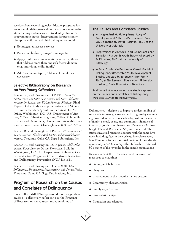services from several agencies. Ideally, programs for serious child delinquents should incorporate immediate screening and assessment to identify children's programmatic needs. Interventions for persistently disruptive children and child delinquents should:

- ◆ Be integrated across services.
- ◆ Focus on children younger than age 13.
- ◆ Apply multimodal interventions—that is, those that address more than one risk factor domain (e.g., individual child, family).
- ◆ Address the multiple problems of a child, as necessary.

### Selective Bibliography on Research on Very Young Offenders

Loeber, R., and Farrington, D.P. 1997. *Never Too Early, Never Too Late: Risk Factors and Successful Interventions for Serious and Violent Juvenile Offenders.* Final Report of the Study Group on Serious and Violent Juvenile Offenders (grant number 95–JD–FX– 0018). Washington, DC: U.S. Department of Justice, Office of Justice Programs, Office of Juvenile Justice and Delinquency Prevention. Available from the Juvenile Justice Clearinghouse, 800–638–8736.

Loeber, R., and Farrington, D.P., eds. 1998. *Serious and Violent Juvenile Offenders: Risk Factors and Successful Interventions.* Thousand Oaks, CA: Sage Publications, Inc.

Loeber, R., and Farrington, D. In press. *Child Delinquency: Early Intervention and Prevention*. Bulletin. Washington, DC: U.S. Department of Justice, Office of Justice Programs, Office of Juvenile Justice and Delinquency Prevention (NCJ 186162).

Loeber, R., and Farrington, D., eds. 2001. *Child Delinquents: Development, Interventions, and Service Needs.* Thousand Oaks, CA: Sage Publications, Inc.

### Program of Research on the Causes and Correlates of Delinquency

Since 1986, OJJDP has sponsored three longitudinal studies—collectively referred to as the Program of Research on the Causes and Correlates of

### The Causes and Correlates Studies

- ◆ A Longitudinal Multidisciplinary Study of Developmental Patterns (Denver Youth Survey), directed by David Huizinga, Ph.D., at the University of Colorado.
- ◆ Progressions in Antisocial and Delinquent Child Behavior (Pittsburgh Youth Study), directed by Rolf Loeber, Ph.D., at the University of Pittsburgh.
- ◆ A Panel Study of a Reciprocal Causal Model of Delinquency (Rochester Youth Development Study), directed by Terence P. Thornberry, Ph.D., at The Research Foundation, University at Albany, State University of New York.

Additional information on these studies appears on the Causes and Correlates of Delinquency Web site: www.ojjdp.ncjrs.org/ccd/.

Delinquency—designed to improve understanding of serious delinquency, violence, and drug use by examining how individual juveniles develop within the context of family, school, peers, and community. Samples of inner-city youth from three cities (Denver, CO; Pittsburgh, PA; and Rochester, NY) were selected. The studies involved repeated contacts with the same juveniles, including face-to-face private interviews every 6 to 12 months for a substantial portion of their developmental years. On average, the studies have retained 90 percent of the juveniles in the sample populations.

Researchers at the three sites used the same core measures to examine:

- ◆ Delinquent behavior.
- ◆ Drug use.
- ◆ Involvement in the juvenile justice system.
- ◆ Community characteristics.
- ◆ Family experiences.
- ◆ Peer relationships.
- ◆ Education experiences.

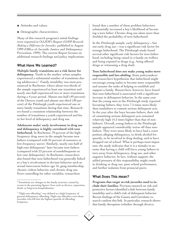- ◆ Attitudes and values.
- ◆ Demographic characteristics.

Many of this research program's initial findings were reported in OJJDP's Report *OJJDP Research: Making a Difference for Juveniles,* published in August 1999 (Office of Juvenile Justice and Delinquency Prevention, 1999). The current Report focuses on additional research findings and policy implications.

### What Have We Learned?

**Multiple family transitions are a risk factor for delinquency.** Youth in the studies' urban samples experienced a substantial number of transitions during adolescence.3 Family instability was most pronounced in Rochester, where about two-thirds of the sample experienced at least one transition and nearly one-half experienced two or more transitions during a 4-year period. Almost one-half (49 percent) of the Denver youth and almost one-third (30 percent) of the Pittsburgh youth experienced one or more family transitions during that time. Researchers found a consistent relationship between the number of transitions a youth experienced and his or her level of delinquency and drug use.

**Adolescent males' early involvement in drug use and delinquency is highly correlated with teen fatherhood.** In Rochester, 70 percent of the highfrequency drug users in the sample became teen fathers (compared with 24 percent of nonusers or low-frequency users). Similarly, nearly one-half of high-rate delinquents<sup>4</sup> later became teen fathers (compared with 23 percent of nondelinquents or low-rate delinquents). In Rochester, researchers also found that teen fatherhood was generally linked to a boy's involvement in deviant behavior such as sexual intercourse before age 16, gang membership, chronic violent behavior, and chronic drug use. Even controlling for other variables, researchers

found that a number of these problem behaviors substantially increased a boy's likelihood of becoming a teen father. Chronic drug use alone more than doubled the probability of teen fatherhood.

In the Pittsburgh sample, early delinquency—but not early drug use—was a significant risk factor for teenage fatherhood. The Pittsburgh study found several other significant risk factors for teen fatherhood, including being raised in a family on welfare and being exposed to drugs (e.g., being offered drugs or witnessing a drug deal).

**Teen fatherhood does not make young males more responsible and law-abiding.** Some policymakers and researchers hypothesize that fatherhood might encourage young males to become more responsible and assume the tasks of helping to establish and support a family. Researchers, however, have found that teen fatherhood is associated with a significant increase in delinquent behavior. In the same year that the young men in the Pittsburgh study reported becoming fathers, they were 7.5 times more likely than nonfathers to commit serious delinquent acts. In the year after the boys became fathers, their risk of committing serious delinquent acts remained relatively high (4.2 times higher than that of nonfathers). Overall, young fathers in the Pittsburgh sample appeared considerably worse off than nonfathers. They were more likely to have had a court petition alleging delinquency, to drink alcohol frequently, to be involved in drug dealing, and to have dropped out of school. What is perhaps most important, the study indicates that it is a mistake to assume that having a child will force young fathers to turn away from delinquency, drug use, and other negative behavior. In fact, without support, the added pressure of this responsibility might result in drinking or drug use, poor school performance, and further isolation from prosocial peers.

### What Does This Mean?

**Programs that target at-risk juveniles need to include their families.** Previous research on risk and protective factors identified a link between family instability and a child's risk of delinquent behavior. Recent findings of the Causes and Correlates research confirm this link. In particular, research shows that family disruption (whether through divorce,

<sup>&</sup>lt;sup>3</sup> Transitions are changes in the family structure caused by events in the parenting figures' lives such as divorce, separation, death, or long-term hospitalization.

<sup>4</sup> "High-rate offending" was defined as a high frequency of general delinquency offending. High-rate offenders were those juveniles who fell into the highest quartile of offending frequency.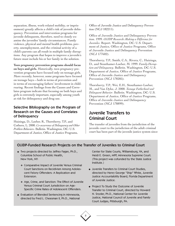separation, illness, work-related mobility, or imprisonment) greatly affects a child's risk of juvenile delinquency. Prevention and intervention programs for juvenile delinquents, therefore, need to closely examine the juveniles' family circumstances. Family violence, physical and mental health problems, poverty, unemployment, and the criminal activity of a child's parents can all result in multiple family disruptions. Any program that hopes to improve a juvenile's future must include his or her family in the solution.

**Teen pregnancy prevention programs should focus on boys and girls.** Historically, teen pregnancy prevention programs have focused only on teenage girls. More recently, however, some programs have focused on teenage boys—both in terms of prevention and in terms of encouraging fathers' involvement in childrearing. Recent findings from the Causes and Correlates program indicate that focusing on both boys and girls is extremely important, especially among youth at risk for delinquency and drug use.

### Selective Bibliography on the Program of Research on the Causes and Correlates of Delinquency

Huizinga, D., Loeber, R., Thornberry, T.P., and Cothern, L. 2000. *Co-occurrence of Delinquency and Other Problem Behaviors.* Bulletin. Washington, DC: U.S. Department of Justice, Office of Justice Programs,

Office of Juvenile Justice and Delinquency Prevention (NCJ 182211).

Office of Juvenile Justice and Delinquency Prevention. 1999. *OJJDP Research: Making a Difference for Juveniles.* Report. Washington, DC: U.S. Department of Justice, Office of Justice Programs, Office of Juvenile Justice and Delinquency Prevention (NCJ 177602).

Thornberry, T.P., Smith, C.A., Rivera, C., Huizinga, D., and Stouthamer-Loeber, M. 1999. *Family Disruption and Delinquency*. Bulletin. Washington, DC: U.S. Department of Justice, Office of Justice Programs, Office of Juvenile Justice and Delinquency Prevention (NCJ 178285).

Thornberry, T.P., Wei, E.H., Stouthamer-Loeber, M., and Van Dyke, J. 2000. *Teenage Fatherhood and Delinquent Behavior*. Bulletin. Washington, DC: U.S. Department of Justice, Office of Justice Programs, Office of Juvenile Justice and Delinquency Prevention (NCJ 178899).

### Juvenile Transfers to Criminal Court

The transfer of juveniles from the jurisdiction of the juvenile court to the jurisdiction of the adult criminal court has been part of the juvenile justice system since

### OJJDP-Funded Research Projects on the Transfer of Juveniles to Criminal Court

- ◆ Two projects directed by Jeffrey Fagan, Ph.D., Columbia School of Public Health, New York, NY:
	- ❖ Comparative Impact of Juvenile Versus Criminal Court Sanctions on Recidivism Among Adolescent Felony Offenders: A Replication and Extension.
	- ❖ Age, Crime, and Sanction: The Effect of Juvenile Versus Criminal Court Jurisdiction on Age-Specific Crime Rates of Adolescent Offenders.
- ◆ Evaluation of Blended Sentencing in Minnesota, directed by Fred L. Cheesman II, Ph.D., National

Center for State Courts, Williamsburg, VA, and Heidi E. Green, MPP, Minnesota Supreme Court. (This project was cofunded by the State Justice Institute.)

- ◆ Juvenile Transfers to Criminal Court Studies, directed by Henry George "Ship" White, Juvenile Justice Accountability Board, Florida Department of Juvenile Justice.
- ◆ Project To Study the Outcome of Juvenile Transfer to Criminal Court, directed by Howard N. Snyder, Ph.D., National Center for Juvenile Justice, National Council of Juvenile and Family Court Judges, Pittsburgh, PA.

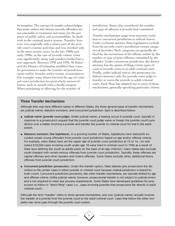its inception. The concept of transfer acknowledges that some violent and chronic juvenile offenders are not amenable to treatment and must, for the purposes of public safety and accountability, be dealt with in the criminal justice system. Transfer, however, was originally only a minor part of the juvenile court's routine activities and was invoked only in the most serious cases. In the late 1980s and early 1990s, as the rate of juvenile violent crime rose significantly, many policymakers looked for a new approach. Between 1992 and 1995, 40 States and the District of Columbia modified their transfer provisions to make the transfer of jurisdiction easier and/or broader under certain circumstances. For example, some States lowered the age of criminal court jurisdiction for particularly serious offenses, such as assault with a deadly weapon. When mandating or allowing for the transfer of

jurisdiction, States also considered the number and type of offenses a juvenile had committed.

Transfer mechanisms range from statutory exclusion to concurrent jurisdiction to judicial waiver. Under exclusion statutes, State legislatures exclude from the juvenile court's jurisdiction certain categories of juveniles. Such categories are generally defined by the seriousness of the offense and/or by the number or type of prior offenses committed by the offender. Under concurrent jurisdiction, the district attorney has the option of filing certain types of cases in juvenile court or in adult criminal court. Finally, under judicial waiver, the prosecutor (or defense attorney) asks the juvenile court judge to transfer or waive the juvenile to adult criminal court. Each State has adopted one or more of these mechanisms, generally specifying particular criteria

### Three Transfer Mechanisms

Although they may have different names in different States, the three general types of transfer mechanisms are judicial waiver, statutory exclusion, and concurrent jurisdiction. Each is described below.

- ◆ Judicial waiver (juvenile court judge). Under judicial waiver, a hearing occurs in juvenile court, typically in response to a prosecutor's request that the juvenile court judge waive or forego the juvenile court's jurisdiction over a matter involving a juvenile and transfer the juvenile to criminal court for trial in the adult system.
- ◆ Statutory exclusion (the legislature). In a growing number of States, legislatures have statutorily excluded certain young offenders from juvenile court jurisdiction based on age and/or offense criteria. For example, many States have set the upper age of juvenile court jurisdiction at 15 or 16. (An estimated 218,000 cases involving youth under age 18 were tried in criminal court in 1996 as a result of State laws defining the youth as adults solely on the basis of an age criterion.) Many States also exclude youth charged with certain serious offenses from juvenile court jurisdiction. Typically, these offenses are capital offenses and other murders and violent offenses. Some States exclude other, additional felony offenses from juvenile court jurisdiction.
- ◆ Concurrent jurisdiction (prosecutor). Under this transfer option, State statutes give prosecutors the discretion to file certain cases in either juvenile or criminal court because original jurisdiction is shared by both courts. Concurrent jurisdiction provisions, like other transfer mechanisms, are typically limited by age and offense criteria. Unlike judicial waiver, however, prosecutorial transfer is not subject to judicial review and is not required to meet due process requirements. Some States have developed guidelines for prosecutors to follow in "direct filing" cases (i.e., cases involving juveniles that prosecutors file directly in adult criminal court).

Although the term "transfer" refers to three general mechanisms, only one (judicial waiver) actually involves the transfer of a juvenile from the juvenile court to the adult criminal court. Cases that follow the other two paths may never pass through the juvenile court system.

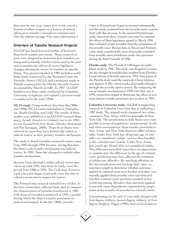that must be met (e.g., injury to a victim, use of a firearm or other weapon, or a history of serious offenses) to transfer a juvenile to criminal court. (See the sidebar on page 9 for more information.)

### Overview of Transfer Research Projects

OJJDP has funded several studies of local and State-level transfer provisions. These research efforts were designed to determine how transfers are being used presently and have been used in the past and to examine the effects of recent legislative changes altering the nature of transfers in specific States. Two projects funded in 1995 include a multi-State study conducted by the National Center for Juvenile Justice (NCJJ) and a multiyear study in Florida conducted by the Florida Juvenile Justice Accountability Board (JJAB). In 1997, OJJDP funded a two-State study conducted by Columbia University to replicate and expand a previous study it conducted in the early 1990s.

**NCJJ study.** Using archival data from the 1980s and 1990s, NCJJ conducted studies in Pennsylvania, South Carolina, and Utah. The results of these studies were published in an OJJDP research Summary, *Juvenile Transfers to Criminal Court in the 1990's: Lessons Learned From Four Studies* (Snyder, Sickmund, and Poe-Yamagata, 2000). These three States were selected because they have historically relied on judicial waiver as their primary transfer mechanism.

The study in South Carolina examined waiver cases from 1985 through 1994 because, during that time, the State's only transfer mechanism was judicial waiver. In 1995, State law changed to include other transfer mechanisms.

Because Utah also had a stable judicial waiver provision up until 1995, data from its study cover the period from 1988 to 1994. The Utah data, however, track cases that began in juvenile court but also involved a prosecutor's request for waiver.

The Pennsylvania research included two studies. In the first, researchers collected State data to compare the characteristics of juveniles transferred in 1986 with those of juveniles transferred in 1994, a period during which the State's transfer provisions remained unchanged. In the late 1980s, juvenile

crime in Pennsylvania began to increase substantially, and the study examined how the juvenile justice system dealt with this increase. In the second Pennsylvania study, data from three counties were used to examine the effects of State legislation passed in March 1996 that excluded certain juveniles from the jurisdiction of the juvenile court. Researchers in this second Pennsylvania study examined the cases of juveniles excluded from juvenile court jurisdiction under this provision during the final 9 months of 1996.

**Florida study.** The Florida JJAB began its multiphase study in 1995. The study was designed to examine the changes in transfer that resulted from Florida's broad reform of juvenile justice in 1994. One phase of the Florida study used the statewide Client Information System (CIS), which tracks all juvenile offenders through the juvenile justice system. By comparing the use of transfer mechanisms in 1993 with their use in 1995, researchers hoped to determine the effect of new, more lenient transfer provisions put in place in 1994.

**Columbia University study.** OJJDP is supporting research at Columbia University that is replicating a 1987 study. The original study compared two urban counties in New Jersey with two boroughs of New York City. The jurisdictions in both States were comparable in terms of population, socioeconomic levels, and urban environments. State transfer provisions in New Jersey and New York, however, differ substantially. Under New York law, all persons age 16 and older are considered "adults" and are thus handled in the criminal court system. Under New Jersey law, youth age 18 and older are considered adults. This difference provided researchers an opportunity to examine how the difference in the age of criminal court jurisdiction may have affected the treatment of adolescent offenders. By matching offenders in the two jurisdictions and tracking their cases, researchers sought to determine whether sanctions applied in criminal court were harsher and more consistently applied than juvenile court sanctions and whether criminal court sanctions resulted in less recidivism among offenders than sanctions applied in juvenile court (hypotheses expounded by proponents of the transfer of juveniles to criminal court).

Concentrating on 16- and 17-year-olds charged with first-degree robbery, second-degree robbery, or firstdegree burglary, Fagan (1995) used archival data to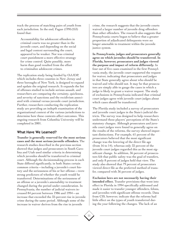track the process of matching pairs of youth from each jurisdiction. In the end, Fagan (1995:253) found that:

Accountability for adolescent offenders in criminal courts was no greater than in the juvenile court, and depending on the social and legal context surrounding the court, appeared to be weaker. Nor was criminal court punishment a more effective strategy for crime control. Quite possibly, more harm than good resulted from the effort to criminalize adolescent crimes.

The replication study being funded by OJJDP, which includes three counties in New Jersey and three boroughs of New York, is designed to expand and update the original research. It expands the list of offenses studied to include serious assault, and researchers are comparing the certainty, quickness, and severity of sanctions and the recidivism associated with criminal versus juvenile court jurisdiction. Further, researchers conducting the replication study are providing an indepth examination of the organizational context of the various jurisdictions to determine how these contexts affect outcomes. This ongoing research from Columbia University will be completed in 2001.

### What Have We Learned?

**Transfer is generally reserved for the most serious cases and the most serious juvenile offenders.** The research studies described in the previous section showed that judges and prosecutors in South Carolina and Utah used similar criteria in determining which juveniles should be transferred to criminal court. Although the decisionmaking process in each State differed significantly, in both States certain common criteria—including a juvenile's court history and the seriousness of his or her offense—were strong predictors of whether the youth would be transferred. Determinations of the seriousness of an offense or a juvenile's amenability to treatment changed during the period under consideration. In Pennsylvania, the number of judicial waivers increased 84 percent between 1986 and 1994—an increase that exceeded the 32-percent rise in juvenile crime during the same period. Although some of the increase in waiver derives from the rise in juvenile

crime, the research suggests that the juvenile courts waived a larger number of juvenile drug offenders than other offenders. The research also suggests that Pennsylvania courts began to believe that a greater proportion of adjudicated delinquents were no longer amenable to treatment within the juvenile justice system.

**In Pennsylvania, judges and prosecutors generally agree on which juveniles should be transferred. In Florida, however, prosecutors and judges viewed the purpose and impact of reform differently.** In four out of five cases examined in the first Pennsylvania study, the juvenile court supported the request for waiver, indicating that prosecutors and judges in that State generally agree about who should be waived and who should not. It may be that prosecutors are simply able to gauge the cases in which a judge is likely to grant a waiver request. The study of exclusions in Pennsylvania indicated that criminal court judges agree with juvenile court judges about which cases should be transferred.

The Florida study included a survey of prosecutors and juvenile court judges in the State's judicial districts. The survey was designed to help researchers understand these players' perceptions of the State's statutory changes. Although prosecutors and juvenile court judges were found to generally agree on the results of the reforms, the survey showed important distinctions. For example, 61 percent of the prosecutors believed that the most significant change was the lowering of the direct file age (from 16 to 14), whereas only 32 percent of the juvenile court judges regarded this as the most significant change. In addition, 36 percent of prosecutors felt that public safety was the goal of transfers, and only 8 percent of judges held that view. The study also showed that 79 percent of prosecutors viewed direct file as the preferred method of transfer, compared with 36 percent of judges.

**Exclusion laws are not necessarily having their intended effect.** Transfer provisions that went into effect in Florida in 1994 specifically addressed and made it easier to transfer younger offenders, felons, and juveniles with significant offense records. Data from CIS, however, indicate that the reforms had little effect on the types of youth transferred during the year following the changes. The lack of an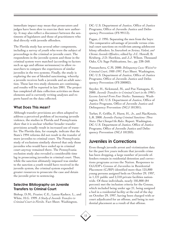immediate impact may mean that prosecutors and judges have been slow to exercise their new authority. It may also reflect a disconnect between the sentiments of legislators and those of practitioners who deal directly with juvenile offenders.

The Florida study has several other components, including a survey of youth who were the subject of proceedings in the criminal or juvenile court. The respondents in the juvenile system and those in the criminal system were matched (according to factors such as age and offense seriousness) to allow researchers to compare the experiences of similar juveniles in the two systems. Finally, the study is exploring the use of blended sanctioning, whereby a juvenile receives both a juvenile and an adult sanction. These last two study elements are continuing, and results will be reported in late 2001. The project has completed all data collection activities on these elements and is currently writing analyses and reports based on the data collected.

### What Does This Mean?

Although transfer provisions are often adopted to address a perceived problem of increasing juvenile violence, the studies in Florida and Pennsylvania show that it is unclear whether broader transfer provisions actually result in increased use of transfer. The Florida data, for example, indicate that the State's 1994 reforms did not result in the transfer of more juveniles to criminal court. The Pennsylvania study of exclusions similarly showed that only those juveniles who would have ended up in criminal court anyway remained there. The Pennsylvania exclusion study also revealed a considerable time lag in prosecuting juveniles in criminal court. Thus, while the sanction ultimately imposed was similar to the sanction a youth would have received in the juvenile system, the criminal system expended greater resources to prosecute the case and detain the juvenile prior to sentencing.

### Selective Bibliography on Juvenile Transfers to Criminal Court

Bishop, D.M., Frazier, C.E., Lanza-Kaduce, L., and White, H.G. 1999. *A Study of Juvenile Transfers to Criminal Court in Florida*. Fact Sheet. Washington,

DC: U.S. Department of Justice, Office of Justice Programs, Office of Juvenile Justice and Delinquency Prevention (FS 99113).

Fagan, J. 1995. Separating the men from the boys: The comparative advantage of juvenile versus criminal court sanctions on recidivism among adolescent felony offenders. In *Sourcebook on Serious, Violent, and Chronic Juvenile Offenders,* edited by J.C. Howell, B. Krisberg, J.D. Hawkins, and J.J. Wilson. Thousand Oaks, CA: Sage Publications, Inc., pp. 238–260.

Puzzanchera, C.M. 2000. *Delinquency Cases Waived to Criminal Court, 1988–1997.* Fact Sheet. Washington, DC: U.S. Department of Justice, Office of Justice Programs, Office of Juvenile Justice and Delinquency Prevention (FS 200002).

Snyder, H., Sickmund, M., and Poe-Yamagata, E. 2000. *Juvenile Transfers to Criminal Court in the 1990's: Lessons Learned From Four Studies.* Summary. Washington, DC: U.S. Department of Justice, Office of Justice Programs, Office of Juvenile Justice and Delinquency Prevention (NCJ 181301).

Torbet, P., Griffin, P., Hurst, H., Jr., and MacKenzie, L.R. 2000. *Juveniles Facing Criminal Sanctions: Three States That Changed the Rules.* Report. Washington, DC: U.S. Department of Justice, Office of Justice Programs, Office of Juvenile Justice and Delinquency Prevention (NCJ 181203).

### Juveniles in Corrections

Even though juvenile arrest and victimization data for the past few years indicate that juvenile crime has been dropping, a large number of juvenile offenders remain in residential detention and corrections programs across the Nation. Responses to OJJDP's Census of Juveniles in Residential Placement (CJRP) identified more than 125,800 young persons assigned beds on October 29, 1997, in 1,121 public and 2,310 private facilities nationwide. Of these individuals, nearly 105,800 (84 percent) met the inclusion criteria for the Census, which included being under age 21, being assigned a bed in a residential facility at the end of the day on October 29, 1997, having been charged with or court adjudicated for an offense, and being in residential placement as a result of that offense.

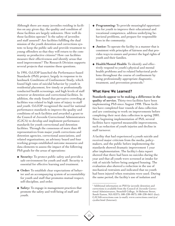Although there are many juveniles residing in facilities on any given day, the quality and condition of these facilities are largely unknown. How well do these facilities operate? Is the safety of juveniles and staff assured? Are facilities fulfilling the dual mission of the youth detention and corrections system: to keep the public safe and provide treatment to young offenders so that they will return to the community as productive citizens? How can facilities measure their effectiveness and identify areas that need improvement? The Research Division supports several projects that examine these questions.

In 1995, OJJDP launched the Performance-based Standards (PbS) project, largely in response to its landmark Conditions of Confinement Study, which found high rates of suicidal behavior by youth in residential placement, few timely or professionally conducted health screenings, and high levels of staff turnover at detention and correctional facilities. In addition, the study found that pervasive crowding at facilities was related to high rates of injury to staff and youth. OJJDP recognized the need for national performance standards to improve the quality and conditions of such facilities and awarded a grant to the Council of Juvenile Correctional Administrators (CJCA) to develop and implement performance standards for youth correctional and detention facilities. Through the consensus of more than 40 representatives from major youth corrections and detention agencies, correctional associations, and related organizations, an advisory board and four working groups established outcome measures and data elements to assess the impact of the following PbS goals for the areas of operations:

- ◆ **Security:** To protect public safety and provide a safe environment for youth and staff. Security is essential for effective learning and treatment.
- ◆ **Order:** To establish clear expectations of behavior and an accompanying system of accountability for youth and staff that promotes mutual respect, self-discipline, and order.
- ◆ **Safety:** To engage in management practices that promote the safety and well-being of staff and youth.
- ◆ **Programming:** To provide meaningful opportuni ties for youth to improve their educational and vocational competence, address underlying behavioral problems, and prepare for responsible lives in the community.
- ◆ **Justice:** To operate the facility in a manner that is consistent with principles of fairness and that provides ways to ensure and protect the legal rights of youth and their families.
- ◆ **Health/Mental Health:** To identify and effectively respond to youth's physical and mental health problems and to related behavioral problems throughout the course of confinement by using professionally appropriate diagnostic, treatment, and prevention protocols.<sup>5</sup>

### What Have We Learned?

**Standards appear to be making a difference in the quality of service.** Thirty-two facilities have been implementing PbS since August 1998. These facilities have completed four rounds of data collection and are continuing to work on improvements before completing their next data collection in spring 2001. Since beginning implementation of PbS, several facilities have reported measurable improvements, such as reduction of youth injuries and decline in staff turnover.

A facility that had experienced a youth suicide and received major criticism from the media, policymakers, and the public before implementing the standards showed dramatic improvement 1 year after implementation. The facility's data report showed that there had been no suicides during the year and that all youth were screened at intake for risk of suicide before being assigned housing. The evaluation also showed a reduction in the use of mechanical restraints and indicated that no youth had been injured when restraints were used. During the same period, the facility's use of isolation and

<sup>5</sup> Additional information on PbS for juvenile detention and corrections is available from the Council of Juvenile Correctional Administrators, Stonehill College, 16 Belmont Street, South Easton, MA 02375; 508–238–0073; 508–238–0651 (fax); CJCA@corrections.com (e-mail); www.corrections.com/cjca/ cjcalist.html (Internet).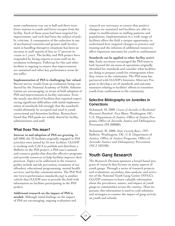room confinement was cut in half and there were fewer injuries to youth and fewer escapes from the facility. Each of these areas had been targeted for improvement, and each had been the subject of public criticism. A consequence of the reduction in use of mechanical restraints and greater staff involvement in handling disruptive situations has been an increase in staff reports of fear (a 17-percent increase in 1 year). The facility and PbS project have responded by hiring experts to train staff on deescalation techniques. Followup for this and other facilities is ongoing to ensure that improvements are sustained and other key performance areas do not suffer.

**Implementation of PbS is challenging, but valued.** Recent survey results from an evaluation being conducted by the National Academy of Public Administration are encouraging, in terms of both adoption of PbS and improvements in facility outcomes. Even the nearly one-third of facilities that reported experiencing significant difficulties with initial implementation of standards felt strongly that the standards would ultimately be accepted and used in youth correctional and detention facilities. Researchers found that PbS goals are widely shared by facility administrators and staff.

### What Does This Mean?

**Interest in and adoption of PbS are growing.** In fall 2000, the 32 facilities originally engaged in PbS activities were joined by 25 new facilities. OJJDP is working with CJCA to publish and distribute a Bulletin on the PbS project, a PbS user's manual, and resource guides that describe effective programs and provide resources to help facilities improve their practices. Topics to be addressed in the resource guides include suicide prevention, treatment of sex offenders, educational programming, mental health services, and facility communications. The PbS Web site (www.performance-standards.org) is another vehicle that OJJDP uses to provide the field with information on facilities participating in the PbS project.

**Additional research on the impact of PbS is needed.** Although initial findings on the impact of PbS are encouraging, ongoing evaluation and research are necessary to ensure that positive changes are sustained and facilities are able to adapt to modifications in staffing patterns and populations. Implementation in a wide range of facilities offers the field a unique opportunity to understand how targeted changes in practice and training and the infusion of additional resources affect important outcomes for youth in confinement.

**Standards can be applied to other facility activities.** Early successes encouraged the PbS team to look beyond the six areas of operations originally identified for standards and consider what facilities are doing to prepare youth for reintegration when they return to the community. The PbS team has partnered with OJJDP's Intensive Aftercare Program to develop a set of standards and outcome measures relating to facilities' efforts to transition youth from confinement to the community.

### Selective Bibliography on Juveniles in Corrections

Sickmund, M. 2000. *Census of Juveniles in Residential Placement Databook*. Fact Sheet. Washington, DC: U.S. Department of Justice, Office of Justice Programs, Office of Juvenile Justice and Delinquency Prevention (FS 200008).

Sickmund, M. 2000. *State Custody Rates, 1997.* Bulletin. Washington, DC: U.S. Department of Justice, Office of Justice Programs, Office of Juvenile Justice and Delinquency Prevention (NCJ 183108).

### Youth Gang Research

The Research Division sponsors a broad-based program of research that focuses on many aspects of youth gangs. Through a series of research projects and evaluations, secondary data analysis, and activities of the National Youth Gang Center (NYGC), OJJDP continues to learn valuable information about the prevalence, nature, and impact of youth gangs in communities across the country. Most important, this information is used to craft solutions and strategies to counter the impact of gang activity on youth and schools.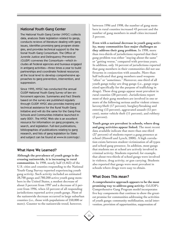### National Youth Gang Center

The National Youth Gang Center (NYGC) collects data, analyzes State legislation related to gangs, conducts reviews of literature dealing with gang issues, identifies promising gang program strategies, and provides technical support to the National Youth Gang Consortium. The Office of Juvenile Justice and Delinquency Prevention (OJJDP) convenes the Consortium—which includes all Federal agencies and bureaus engaged in antigang activities—three times a year to build partnerships and coordinate Federal resources at the local level to develop comprehensive approaches to gang prevention, intervention, and suppression.

Since 1995, NYGC has conducted the annual OJJDP National Youth Gang Survey of law enforcement agencies. Summaries and Fact Sheets based on the survey are published regularly through OJJDP. NYGC also provides training and technical assistance for the Rural Youth Gang Initiative and will do the same for the Gang-Free Schools and Communities Initiative launched in early 2001. The NYGC Web site is an excellent resource for information on gang programs, research, and legislation. Full-text publications, bibliographies of publications relating to gang research, and lists of gang legislation by State and subject can be found at www.iir.com/nygc/.

### What Have We Learned?

**Although the prevalence of youth gangs is decreasing nationwide, it is increasing in rural communities.** In 1998, nearly half (4,463) of the U.S. cities and counties responding to the National Youth Gang Survey reported experiencing youth gang activity. Such activity included an estimated 28,700 gangs and 780,200 active youth gang members in the United States, a modest decrease of about 3 percent from 1997 and a decrease of 5 percent from 1996, when 53 percent of all responding jurisdictions reported active youth gangs. Most of the nationwide decrease occurred in large suburban counties (i.e., those with populations of 250,000 or more). Counter to the nationwide trend, however,

between 1996 and 1998, the number of gang members in rural counties increased 43 percent and the number of gang members in small cities increased 3 percent.

**Even with a national decrease in youth gang activity, many communities face major challenges as they address their gang problem.** In 1998, more than two-thirds of jurisdictions reported that their gang problem was either "staying about the same" or "getting worse," compared with previous years. In addition, only 16 percent of jurisdictions reported that gang members in their communities did not use firearms in conjunction with assaults. More than half indicated that gang members used weapons "often" or "sometimes." Moreover, one-third of all youth gangs today are drug gangs (i.e., gangs organized specifically for the purpose of trafficking in drugs). These drug gangs appear most prevalent in rural counties (38 percent). Jurisdictions report most of their gang members are involved in one or more of the following serious and/or violent crimes: larceny/theft (17 percent), burglary/breaking and entering (13 percent), aggravated assault (12 percent), motor vehicle theft (11 percent), and robbery (3 percent).

**Youth gangs are prevalent in schools, where drug and gang activities appear linked.** The most recent data available indicate that more than one-third (37 percent) of students report a gang presence at school (Howell and Lynch, 2000). A high correlation exists between student victimization of all types and school gang presence. In addition, most gangs that students see at school are actively involved in criminal activity. Students reported, for example, that about two-thirds of school gangs were involved in violence, drug activity, or gun carrying. Students also reported that gangs were most prevalent in schools where drugs were easy to obtain.

### What Does This Mean?

**A comprehensive approach appears to be the most promising way to address gang activity.** OJJDP's Comprehensive Gang Program model incorporates five key components that continue to show the greatest promise for communities addressing the activities of youth gangs: community mobilization, social intervention, provision of opportunities, suppression of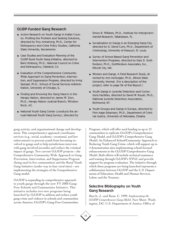### OJJDP-Funded Gang Research

- ◆ Action Research on Youth Gangs in Indian Country: Profiling the Problem and Seeking Solutions, directed by Troy Armstrong, Ph.D., Center for Delinquency and Crime Policy Studies, California State University, Sacramento.
- ◆ Case Studies and Evaluation Planning of the OJJDP Rural Youth Gang Initiative, directed by Barry Krisberg, Ph.D., National Council on Crime and Delinquency, Oakland, CA.
- ◆ Evaluation of the Comprehensive Community-Wide Approach to Gang Prevention, Intervention, and Suppression Program, directed by Irving Spergel, Ph.D., School of Social Services Administration, University of Chicago, IL.
- ◆ Finding and Knowing the Gang Naye'e in the Navajo Nation, directed by James W. Zion, Ph.D., Navajo Nation Judicial Branch, Window Rock, AZ.
- ◆ National Youth Gang Center (conducts the annual National Youth Gang Survey), directed by

gang activity, and organizational change and development. This comprehensive approach coordinates services (e.g., social, academic, vocational, and law enforcement) to prevent youth from becoming involved in gangs and to help jurisdictions intervene with gang-involved juveniles and reduce the criminal impact of gangs. Two current OJJDP projects—the Comprehensive Community-Wide Approach to Gang Prevention, Intervention, and Suppression Program (being used in five communities) and the Rural Youth Gang Initiative (under way in four rural sites)—are implementing the strategies of the Comprehensive Gang model.

OJJDP is expanding its comprehensive approach to youth gangs through the new FY 2000 Gang-Free Schools and Communities Initiative. This initiative includes two new programs being launched by OJJDP to address and reduce youth gang crime and violence in schools and communities across America: OJJDP's Gang-Free Communities

Emory B. Williams, Ph.D., Institute for Intergovernmental Research, Tallahassee, FL.

- ◆ Socialization to Gangs in an Emerging Gang City, directed by G. David Curry, Ph.D., Department of Criminology, University of Missouri, St. Louis.
- ◆ Survey of School-Based Gang Prevention and Intervention Programs, directed by Gary D. Gottfredson, Ph.D., Gottfredson Associates, Inc., Ellicott City, MD.
- ◆ Women and Gangs: A Field Research Study, directed by Ann McGuigan, Ph.D., Illinois State University, Normal. (For a description of the project, refer to page 26 of this Report.)
- ◆ Youth Gangs in Juvenile Detention and Corrections Facilities, directed by David W. Roush, Ph.D., National Juvenile Detention Association, Richmond, KY.
- ◆ Youth Groups and Gangs in Europe, directed by Finn-Aage Esbensen, Ph.D., Department of Criminal Justice, University of Nebraska, Omaha.

Program, which will offer seed funding to up to 12 communities to replicate OJJDP's Comprehensive Gang Model, and OJJDP's Comprehensive Gang Model: An Enhanced School/Community Approach to Reducing Youth Gang Crime, which will support up to 4 demonstration sites implementing school-focused enhancements to the OJJDP Comprehensive Gang Model. Both efforts will include technical assistance and training through OJJDP's NYGC and provide support for program evaluation. The initiative through which these programs are being launched represents a collaboration between OJJDP and the U.S. Departments of Education, Health and Human Services, Labor, and the Treasury.

### Selective Bibliography on Youth Gang Research

Burch, J., and Kane, C. 1999. *Implementing the OJJDP Comprehensive Gang Model*. Fact Sheet. Washington, DC: U.S. Department of Justice, Office of

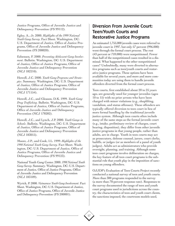Justice Programs, Office of Juvenile Justice and Delinquency Prevention (FS 99112).

Egley, A., Jr. 2000. *Highlights of the 1999 National Youth Gang Survey*. Fact Sheet. Washington, DC: U.S. Department of Justice, Office of Justice Programs, Office of Juvenile Justice and Delinquency Prevention (FS 200020).

Esbensen, F. 2000. *Preventing Adolescent Gang Involvement*. Bulletin. Washington, DC: U.S. Department of Justice, Office of Justice Programs, Office of Juvenile Justice and Delinquency Prevention (NCJ 182210).

Howell, J.C. 2000. *Youth Gang Programs and Strategies*. Summary. Washington, DC: U.S. Department of Justice, Office of Justice Programs, Office of Juvenile Justice and Delinquency Prevention (NCJ 171154).

Howell, J.C., and Gleason, D.K. 1999. *Youth Gang Drug Trafficking*. Bulletin. Washington, DC: U.S. Department of Justice, Office of Justice Programs, Office of Juvenile Justice and Delinquency Prevention (NCJ 178282).

Howell, J.C., and Lynch, J.P. 2000. *Youth Gangs in Schools*. Bulletin. Washington, DC: U.S. Department of Justice, Office of Justice Programs, Office of Juvenile Justice and Delinquency Prevention (NCJ 183015).

Moore, J.P., and Cook, I.L. 1999. *Highlights of the 1998 National Youth Gang Survey*. Fact Sheet. Washington, DC: U.S. Department of Justice, Office of Justice Programs, Office of Juvenile Justice and Delinquency Prevention (FS 99123).

National Youth Gang Center. 2000. *1998 National Youth Gang Survey*. Summary. Washington, DC: U.S. Department of Justice, Office of Justice Programs, Office of Juvenile Justice and Delinquency Prevention (NCJ 183109).

Wyrick, P. 2000. *Vietnamese Youth Gang Involvement*. Fact Sheet. Washington, DC: U.S. Department of Justice, Office of Justice Programs, Office of Juvenile Justice and Delinquency Prevention (FS 200001).

### Diversion From Juvenile Court: Teen/Youth Courts and Restorative Justice Programs

An estimated 1,755,000 juvenile cases were referred to juvenile court in 1997, but only 57 percent (996,000) went through the formal court process. The rest (43 percent or 759,000) were nonpetitioned. Fewer than half of the nonpetitioned cases resulted in a dismissal. What happened to the other nonpetitioned cases? Undoubtedly, many were diverted to alternative programs such as teen/youth courts and restorative justice programs. These options have been available for several years, and more and more communities today are using them to handle juvenile offenders diverted from the formal court process.

Teen courts, first established about 20 to 25 years ago, are generally used for younger juveniles (ages 10 to 15) with no prior arrests who have been charged with minor violations (e.g., shoplifting, vandalism, and status offenses). These offenders are typically offered diversion to teen court in lieu of more formal handling by the traditional juvenile justice system. Although teen courts often include many of the same steps as the formal juvenile court (e.g., intake, preliminary review of charges, court hearing, disposition), they differ from other juvenile justice programs in that young people, rather than adults, are in charge. Youth in teen courts may act as prosecutors, defense counsel, jurors, court clerks, bailiffs, or judges (or as members of a panel of youth judges). Adults act as administrators who provide oversight, planning, and training. Although some teen court programs involve deliberation on charges, the key feature of all teen court programs is the substantial role that youth play in the imposition of sanctions on young offenders.

OJJDP's Evaluation of Teen Courts Project recently conducted a national survey of teen and youth courts. More than 300 programs responded to the survey (a more than 70-percent response rate). Responses to the survey documented the range of teen and youth court programs used in jurisdictions across the country, the characteristics of teen and youth court clients, the sanctions imposed, the courtroom models used,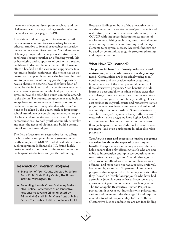the extent of community support received, and the challenges faced. Survey findings are described in the next section (see pages 18–19).

In addition to diverting youth to teen and youth courts, many communities are starting to use another alternative to formal processing: restorative justice conferences. Based on the Australian model of family group conferencing, a restorative justice conference brings together an offending youth, his or her victim, and supporters of both with a trained facilitator to discuss the incident and the harm and effect it has had on the victim and supporters. In a restorative justice conference, the victim has an opportunity to explain how he or she has been harmed and to question the offending youth. Supporters have a chance to describe how they have been affected by the incident, and the conference ends with a reparation agreement in which all participants agree on how the offending youth can make amends to the victim. The reparation agreement may include an apology and/or some type of restitution to be made to the victim. It may also describe other actions to be taken by the youth, such as improving school attendance or completing homework. As part of a balanced and restorative justice model, these conferences seek to hold youth accountable, involve and meet the needs of victims, and build a community of support around youth.

The field of research on restorative justice efforts for both adults and juveniles—is growing. A recently completed OJJDP-funded evaluation of one such program in Indianapolis, IN, found highly positive results in terms of conference completion, participant satisfaction, and youth reoffending.

### Research on Diversion Programs

- ◆ Evaluation of Teen Courts, directed by Jeffrey Butts, Ph.D., State Policy Center, The Urban Institute, Washington, DC.
- ◆ Preventing Juvenile Crime: Evaluating Restorative Justice Conferences as an Innovative Response to Juvenile Crime, directed by Edmund McGarrell, Ph.D., Crime Control Policy Center, The Hudson Institute, Indianapolis, IN.

Research findings on both of the alternative methods discussed in this section—teen/youth courts and restorative justice conferences—continue to provide OJJDP with important information about the obstacles to establishing such programs, the challenges of sustaining volunteers and funding, and the key elements to program success. Research findings can be used by communities to guide program planning and implementation.

### What Have We Learned?

**The potential benefits of teen/youth courts and restorative justice conferences are widely recognized.** Communities are increasingly using teen/ youth courts and restorative justice programs, largely because of the great potential benefits of these alternative programs. Such benefits include improved accountability in minor offense cases that are unlikely to result in sanctions from the traditional juvenile justice system, more timely handling of cases, cost savings (teen/youth courts and restorative justice programs rely heavily on volunteers), and enhanced community-court relationships. Some evaluations also show that participants in teen/youth courts and restorative justice programs have higher levels of satisfaction and feel more invested in the process than participants in more traditional juvenile justice programs (and even participants in other diversion programs).

**Teen/youth court and restorative justice programs are selective about the types of cases they will handle.** Comprehensive screening of case referrals helps ensure that only offending youth who are amenable to intervention end up in teen/youth court or restorative justice programs. Overall, these youth are nonviolent offenders who commit less serious offenses, and most have not had a previous referral. For example, more than 90 percent of teen court programs that responded to the survey reported that they "never" or "rarely" accept youth who have had a previous juvenile court referral. Even fewer programs accept youth who have a prior felony arrest. The Indianapolis Restorative Justice Project reported that it screens out juveniles with prior adjudications and juveniles older than age 14 and requires juveniles to admit responsibility for their offense. (Restorative justice conferences are not fact-finding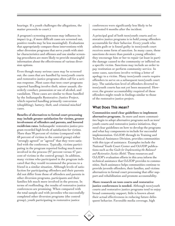hearings. If a youth challenges the allegations, the matter proceeds to court.)

A program's screening processes may influence its impact (e.g., if more difficult cases are screened out, positive results may be less meaningful). Evaluations that appropriately compare these interventions with other diversion programs that serve youth with similar characteristics and offenses and use similar screening procedures are more likely to provide meaningful information about the effectiveness of various diversion options.

Even though many serious cases may be screened out, the cases that are handled by teen/youth courts and restorative justice programs often call for a serious response. Most cases that teen court programs reported handling involve theft, minor assault, disorderly conduct, possession or use of alcohol, and vandalism. These cases are similar to those handled by the Indianapolis Restorative Justice Project, which reported handling primarily conversion (shoplifting), battery, theft, and criminal mischief cases.

**Benefits of alternatives to formal court processing may include greater satisfaction for victims, greater involvement of offenders and parents, and lowered recidivism rates.** Indianapolis' restorative justice program recorded high levels of satisfaction for victims. More than 90 percent of victims (compared with 68 percent of victims in the control group) either "strongly agreed" or "agreed" that they were satisfied with the conference. Typically, victims participating in the program reported feeling much more involved in the process (97 percent versus 47 percent of victims in the control group). In addition, many victims who participated in the program indicated that they would recommend the process to a friend in a similar situation. Although levels of satisfaction for participating offenders and their parents did not differ from those of offenders and parents in other diversion programs, participants and their families felt much more involved in the process. In terms of reoffending, the results of restorative justice conferences are promising. When compared with the total sample and with juveniles who successfully completed other diversion programs (the control group), youth participating in restorative justice

conferences were significantly less likely to be rearrested 6 months after the incident.

A principal goal of both teen/youth courts and restorative justice programs is to hold young offenders accountable for their behavior. Every youth who admits guilt or is found guilty in teen/youth court receives some form of sanction. In many cases, these sanctions do more than punish a young offender; they encourage him or her to repair (at least in part) the damage caused to the community or inflicted on a specific victim. Sanctions may include an order to pay restitution or perform community service. In some cases, sanctions involve writing a letter of apology to a victim. Many teen/youth courts require offenders to serve on a subsequent teen/youth court jury. The satisfaction level of offenders diverted to teen/youth courts has not yet been measured. However, the greater accountability required of these offenders might result in findings similar to those of the restorative justice project.

### What Does This Mean?

**Communities need clear guidelines to implement alternative programs.** As more and more communities begin to adopt alternative programs such as teen/ youth courts and restorative justice initiatives, they need clear guidelines on how to develop the programs and what key components to include for successful implementation. OJJDP, through its Training and Technical Assistance Division, provides communities with this type of assistance. Examples include the National Youth Court Center and OJJDP publications such as the *Guide for Implementing the Balanced and Restorative Justice Model*. These resources and OJJDP's evaluation efforts in this area inform the technical assistance that OJJDP provides to communities. Such assistance helps communities continue to provide juvenile offenders, their families, and victims alternatives to formal court processing that offer support and rehabilitation and promote accountability.

**More research on teen courts and restorative justice conferences is needed.** Although teen/youth courts and restorative justice programs tend to enjoy broad community support, little is known about their actual effectiveness in reducing future delinquent behavior. Favorable media coverage, high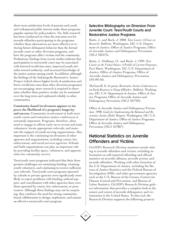short-term satisfaction levels of parents and youth, and widespread public interest make these programs popular options for policymakers. Yet, little research has been conducted on what the outcomes are for juvenile offenders participating in the programs, whether these alternatives are more effective at reducing future delinquent behavior than the formal juvenile court or other diversion programs, and how the programs affect victims and the community. Preliminary findings from recent studies indicate that participation in teen/youth court may be associated with lowered recidivism rates, improved youth attitudes toward authority, and increased knowledge of the justice system among youth. In addition, although the findings of the Indianapolis Restorative Justice Project (which shows higher levels of satisfaction and lower recidivism rates than other diversion programs) are encouraging, more research is required to determine whether these positive results can be sustained over the long term and replicated reliably in other communities.

**Community-based involvement appears to improve the likelihood of a program's longevity and success.** Community involvement in both teen/ youth courts and restorative justice conferences is extremely important. Programs, therefore, often need to engage in efforts early on to recruit and train volunteers, locate appropriate referrals, and maintain the support of youth-serving organizations. Also important is the continuing involvement of other agencies and organizations, including courts, law enforcement, and social services agencies. Schools and faith organizations can play an important role by providing facility space, volunteers, and opportunities for community service.

Teen/youth court programs indicated that their three greatest challenges are sustaining funding, retaining youth volunteers, and continuing to receive sufficient case referrals. Teen/youth court programs operated by schools or private agencies were significantly more likely to report problems with funding, judicial support, and coordination with other agencies than were those operated by courts, law enforcement, or prosecutors. Although these findings may not be surprising, they reinforce the need for strong communitybased collaboration to design, implement, and sustain an effective teen/youth court program.

### Selective Bibliography on Diversion From Juvenile Court: Teen/Youth Courts and Restorative Justice Programs

Butts, J., and Buck, J. 2000. *Teen Courts: A Focus on Research*. Bulletin. Washington, DC: U.S. Department of Justice, Office of Justice Programs, Office of Juvenile Justice and Delinquency Prevention (NCJ 183472).

Butts, J., Hoffman, D., and Buck, J. 1999. *Teen Courts in the United States: A Profile of Current Programs*. Fact Sheet. Washington, DC: U.S. Department of Justice, Office of Justice Programs, Office of Juvenile Justice and Delinquency Prevention (FS 99118).

McGarrell, E. In press. *Restorative Justice Conferences as an Early Response to Young Offenders*. Bulletin. Washington, DC: U.S. Department of Justice, Office of Justice Programs, Office of Juvenile Justice and Delinquency Prevention (NCJ 187769).

Office of Juvenile Justice and Delinquency Prevention. 1998. *Guide for Implementing the Balanced and Restorative Justice Model*. Report. Washington, DC: U.S. Department of Justice, Office of Justice Programs, Office of Juvenile Justice and Delinquency Prevention (NCJ 167887).

### National Statistics on Juvenile Offenders and Victims

OJJDP's Research Division monitors trends relating to juvenile offenders and victims, including information on self-reported offending and official statistics on juvenile offenses, juvenile arrests, and juvenile offenders. Working with other branches of the U.S. Department of Justice, including the Bureau of Justice Statistics and the Federal Bureau of Investigation (FBI), and other government agencies, such as the U.S. Bureau of the Census, Centers for Disease Control and Prevention, and Bureau of Labor Statistics, OJJDP's Research Division gathers information that provides a complete look at the nature and extent of juvenile delinquency and victimization in the United States. To that end, the Research Division supports the following projects: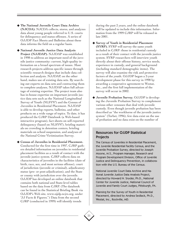- ◆ **The National Juvenile Court Data Archive (NJCDA).** NJCDA collects, stores, and analyzes data about young people referred to U.S. courts for delinquency and status offenses. A series of OJJDP Fact Sheets and Bulletins about these data informs the field on a regular basis.
- ◆ **National Juvenile Justice Data Analysis Project (NJJDAP).** NJJDAP was established in 1998 to address an important need of the juvenile justice community: current, high-quality information on a broad spectrum of issues. Most research projects address specific issues through scientific research designs that include data collection and analysis. NJJDAP, on the other hand, makes use of existing data sets. By searching out experts on data sets and contracting them to complete analyses, NJJDAP takes full advantage of existing expertise. The project team also has in-house expertise on important juvenile justice data sets such as the National Longitudinal Survey of Youth (NLSY97) and the Census of Juveniles in Residential Placement. NJJDAP is able to develop reports, bulletins, and other products on a wide range of topics. To date, it has produced the CJRP Databook (a Web-based interactive program), fact sheets on self-reported delinquency (based on NLSY97), briefing materials on crowding in detention centers, briefing materials on school suspension, and analyses of the National Crime Victimization Survey.
- ◆ **Census of Juveniles in Residential Placement.** Conducted for the first time in 1997, CJRP gathers detailed information on juveniles in residential placement facilities as a result of contact with the juvenile justice system. CJRP collects data on characteristics of juveniles in the facilities (date of birth, race, sex, and most serious offense), court of jurisdiction (juvenile or criminal), adjudicatory status (pre- or post-adjudication), and the State or county with jurisdiction over the juvenile. OJJDP has developed an online databook that contains both national and State-level tables based on the data from CJRP. (The databook can be found in the Statistical Briefing Book via OJJDP's Web site, www.ojjdp.ncjrs.org, under "JJ Facts & Figures.") Data from the second CJRP (conducted in 1999) will identify trends

during the past 2 years, and the online databook will be updated to include this information. Information from the 1999 CJRP will be released in late 2001.

- ◆ **Survey of Youth in Residential Placement (SYRP).** SYRP will survey the same youth included in CJRP: those in residential custody as a result of their contact with the juvenile justice system. SYRP researchers will interview youth directly about their offense history, service needs, experience in custody, and general background (including standard demographic items). The survey will also examine the risk and protective factors of the youth. OJJDP began a 2-year development phase for this survey in 1998 by awarding a cooperative agreement to Westat, Inc., and the first full implementation of the survey will occur in 2002.
- ◆ **Juvenile Probation Survey.** OJJDP is developing the Juvenile Probation Survey to complement various other censuses that deal with juvenile custody. Even though juvenile probation has been described as "the workhorse of the juvenile justice system" (Torbet, 1996), few data exist on the use of probation and no data exist on the number of

### Resources for OJJDP Statistical Projects

The Census of Juveniles in Residential Placement, the Juvenile Residential Facility Census, and the Juvenile Probation Survey, directed by Joseph Moone, M.S., Program Manager, Research and Program Development Division, Office of Juvenile Justice and Delinquency Prevention, in collaboration with the U.S. Bureau of the Census.

National Juvenile Court Data Archive and National Juvenile Justice Data Analysis Project, directed by Howard N. Snyder, Ph.D., National Center for Juvenile Justice, National Council of Juvenile and Family Court Judges, Pittsburgh, PA.

Planning for the Survey of Youth in Residential Placement, directed by Andrea Sedlack, Ph.D., Westat, Inc., Rockville, MD.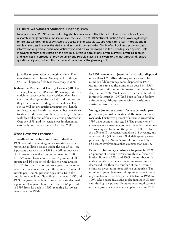### OJJDP's Web-Based Statistical Briefing Book

More and more, OJJDP has turned to high-tech solutions and the Internet to inform the public of new research findings and their implications for the field. The OJJDP Statistical Briefing Book (www.ojjdp.ncjrs. org/ojstatbb/index. html) allows users to access online data via OJJDP's Web site to learn more about juvenile crime trends across the Nation and in specific communities. The Briefing Book also provides basic information on juvenile crime and victimization and on youth involved in the juvenile justice system. Data in several content areas listed on the site (e.g., juvenile populations, juvenile arrests, juveniles in court, and juveniles in corrections) provide timely and reliable statistical answers to the most frequently asked questions of policymakers, the media, and members of the general public.

22

juveniles on probation at any given time. The new Juvenile Probation Survey will fill this gap. OJJDP hopes to field test the survey in 2001.

◆ **Juvenile Residential Facility Census (JRFC).** To complement CJRP, OJJDP developed JRFC, which will describe both the residential environments in which juveniles are held and the services they receive while residing in the facilities. The census will cover security arrangements, health services, mental health treatment, substance abuse treatment, education, and facility capacity. A largescale feasibility test of the census was performed in October 1998, and the census was implemented nationally for the first time in October 2000.

### What Have We Learned?

**Juvenile violent crime continues to decline.** In 1999, law enforcement agencies arrested an estimated 2.5 million persons under the age of 18—an 8-percent decrease from 1998 but still an increase of 11 percent over the number arrested in 1990. In 1999, juveniles accounted for 17 percent of all arrests and 16 percent of all violent crime arrests. In 1999, for the fifth consecutive year, the juvenile violent crime arrest rate (i.e., the number of juvenile arrests per 100,000 persons ages 10 to 18 in the population) declined. Specifically, between 1995 and 1999, the juvenile violent crime arrest rate declined 9 percent. The juvenile murder rate fell 68 percent in 1999 from its peak in 1993, reaching its lowest level since the 1960s.

**In 1997, courts with juvenile jurisdiction disposed more than 1.7 million delinquency cases.** The number of delinquency cases disposed in 1997 (about the same as the number disposed in 1996) represented a 48-percent increase from the number disposed in 1988. Most cases (84 percent) handled in juvenile court in 1997 had been referred by law enforcement, although some referral variations existed across offenses.

**Younger juveniles account for a substantial proportion of juvenile arrests and the juvenile court caseload.** Thirty-two percent of juveniles arrested in 1999 were younger than age 15. The proportion of juvenile arrests involving younger juveniles (under age 15) was highest for arson (67 percent), followed by sex offenses (51 percent), vandalism (44 percent), and other assaults (43 percent). Of all delinquency cases processed by the Nation's juvenile courts in 1997, 58 percent involved juveniles younger than age 16.

**Female delinquency continues to grow.** In 1999, 27 percent of juvenile arrests involved a female offender. Between 1990 and 1999, the number of female juvenile offenders arrested increased more or decreased less than the number of male juvenile offenders arrested in most offense categories. The number of juvenile court delinquency cases involving females increased 83 percent between 1988 and 1997, while cases involving males increased 39 percent during this period. Females accounted for one in seven juveniles in residential placement in 1997.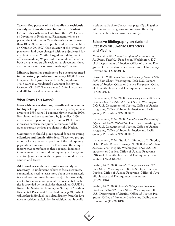**Twenty-five percent of the juveniles in residential custody nationwide were charged with Violent Crime Index offenses.** Data from the 1997 Census of Juveniles in Residential Placement, which replaced the Children in Custody series, show more than 105,790 juveniles in public and private facilities on October 29, 1997. One-quarter of the juveniles in placement had been charged with or adjudicated for a violent offense. Youth charged with delinquent offenses made up 93 percent of juvenile offenders in both private and public residential placement; those charged with status offenses made up 7 percent.

**Minority juveniles continue to be overrepresented in the custody population.** For every 100,000 non-Hispanic black juveniles in the U.S. population, 1,018 were in a residential placement facility on October 29, 1997. The rate was 515 for Hispanics and 204 for non-Hispanic whites.

### What Does This Mean?

**Even with recent declines, juvenile crime remains too high.** Despite decreases in recent years, juvenile arrests in 1999 were 11 percent higher than in 1990. For violent crimes committed by juveniles, 1999 arrests were 5 percent higher than in 1990. Such increases confirm that juvenile crime and delinquency remain serious problems in the Nation.

**Communities should place special focus on young offenders and female offenders.** These two groups account for a greater proportion of the delinquency population than ever before. Therefore, the unique factors that contribute to these groups' increased involvement in crime and delinquency and ways to effectively intervene with the groups should be examined and tested.

**Additional research on juveniles in custody is necessary.** To understand where to focus resources, communities need to learn more about the characteristics and needs of juveniles in custody. Unfortunately, most information about juveniles in residential facilities is provided by the facilities themselves. OJJDP's Research Division is planning the Survey of Youth in Residential Placement (described on page 21), which will gather individual-level data directly from the juveniles in residential facilities. In addition, the Juvenile

Residential Facility Census (see page 22) will gather information on programs and services offered by residential facilities across the country.

### Selective Bibliography on National Statistics on Juvenile Offenders and Victims

Moone, J. 2000. *Innovative Information on Juvenile Residential Facilities*. Fact Sheet. Washington, DC: U.S. Department of Justice, Office of Justice Programs, Office of Juvenile Justice and Delinquency Prevention (FS 200011).

Porter, G. 2000. *Detention in Delinquency Cases, 1988– 1997.* Fact Sheet. Washington, DC: U.S. Department of Justice, Office of Justice Programs, Office of Juvenile Justice and Delinquency Prevention (FS 200017).

Puzzanchera, C.M. 2000. *Delinquency Cases Waived to Criminal Court, 1988–1997.* Fact Sheet. Washington, DC: U.S. Department of Justice, Office of Justice Programs, Office of Juvenile Justice and Delinquency Prevention (FS 200002).

Puzzanchera, C.M. 2000. *Juvenile Court Placement of Adjudicated Youth, 1988–1997.* Fact Sheet. Washington, DC: U.S. Department of Justice, Office of Justice Programs, Office of Juvenile Justice and Delinquency Prevention (FS 200015).

Puzzanchera, C.M., Stahl, A., Finnegan, T., Snyder, H.N., Poole, R., and Tierney, N. 2000. *Juvenile Court Statistics 1997.* Report. Washington, DC: U.S. Department of Justice, Office of Justice Programs, Office of Juvenile Justice and Delinquency Prevention (NCJ 180864).

Scahill, M.C. 2000. *Female Delinquency Cases, 1997.* Fact Sheet. Washington, DC: U.S. Department of Justice, Office of Justice Programs, Office of Juvenile Justice and Delinquency Prevention (FS 200016).

Scahill, M.C. 2000. *Juvenile Delinquency Probation Caseload, 1988–1997.* Fact Sheet. Washington, DC: U.S. Department of Justice, Office of Justice Programs, Office of Juvenile Justice and Delinquency Prevention (FS 200019).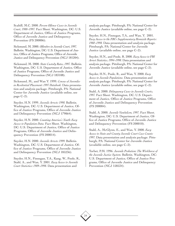Scahill, M.C. 2000. *Person Offense Cases in Juvenile Court, 1988–1997.* Fact Sheet. Washington, DC: U.S. Department of Justice, Office of Justice Programs, Office of Juvenile Justice and Delinquency Prevention (FS 200006).

Sickmund, M. 2000. *Offenders in Juvenile Court, 1997.* Bulletin. Washington, DC: U.S. Department of Justice, Office of Justice Programs, Office of Juvenile Justice and Delinquency Prevention (NCJ 181204).

Sickmund, M. 2000. *State Custody Rates, 1997.* Bulletin. Washington, DC: U.S. Department of Justice, Office of Justice Programs, Office of Juvenile Justice and Delinquency Prevention (NCJ 183108).

Sickmund, M., and Wan Y. 1999. *Census of Juveniles in Residential Placement: 1997 Databook.* Data presentation and analysis package. Pittsburgh, PA: National Center for Juvenile Justice (available online, see page C–2).

Snyder, H.N. 1999. *Juvenile Arrests 1998.* Bulletin. Washington, DC: U.S. Department of Justice, Office of Justice Programs, Office of Juvenile Justice and Delinquency Prevention (NCJ 179064).

Snyder, H.N. 2000. *Counting America's Youth: Easy Access to Population Data.* Fact Sheet. Washington, DC: U.S. Department of Justice, Office of Justice Programs, Office of Juvenile Justice and Delinquency Prevention (FS 200014).

Snyder, H.N. 2000. *Juvenile Arrests 1999.* Bulletin. Washington, DC: U.S. Department of Justice, Office of Justice Programs, Office of Juvenile Justice and Delinquency Prevention (NCJ 185236).

Snyder, H.N., Finnegan, T.A., Kang, W., Poole, R., Stahl, A., and Wan, Y. 2001. *Easy Access to Juvenile Court Statistics: 1989–1998.* Data presentation and

analysis package. Pittsburgh, PA: National Center for Juvenile Justice (available online, see page C–2).

Snyder, H.N., Finnegan, T.A., and Wan, Y. 2001. *Easy Access to the FBI's Supplementary Homicide Reports: 1980–1998.* Data presentation and analysis package. Pittsburgh, PA: National Center for Juvenile Justice (available online, see page C–2).

Snyder, H.N., and Poole, R. 2000. *Easy Access to FBI Arrest Statistics, 1994–1998.* Data presentation and analysis package. Pittsburgh, PA: National Center for Juvenile Justice (available online, see page C–2).

Snyder, H.N., Poole, R., and Wan, Y. 2000. *Easy Access to Juvenile Populations.* Data presentation and analysis package. Pittsburgh, PA: National Center for Juvenile Justice (available online, see page C–2).

Stahl, A. 2000. *Delinquency Cases in Juvenile Courts, 1997.* Fact Sheet. Washington, DC: U.S. Department of Justice, Office of Justice Programs, Office of Juvenile Justice and Delinquency Prevention (FS 200004).

Stahl, A. 2000. *Juvenile Vandalism, 1997*. Fact Sheet. Washington, DC: U.S. Department of Justice, Office of Justice Programs, Office of Juvenile Justice and Delinquency Prevention (FS 200010).

Stahl, A., McGlynn, E., and Wan, Y. 2000. *Easy Access to State and County Juvenile Court Case Counts 1997.* Data presentation and analysis package. Pittsburgh, PA: National Center for Juvenile Justice (available online, see page C–2).

Torbet, P.M. 1996. *Juvenile Probation: The Workhorse of the Juvenile Justice System.* Bulletin. Washington, DC: U.S. Department of Justice, Office of Justice Programs, Office of Juvenile Justice and Delinquency Prevention (NCJ 158534).

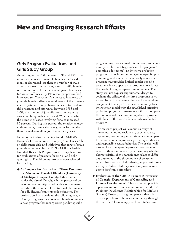# **New and Emerging Research Efforts**

### Girls Program Evaluations and Girls Study Group

According to the FBI, between 1990 and 1999, the number of arrests of juvenile females increased more or decreased less than the number of male arrests in most offense categories. In 1980, females represented only 11 percent of all juvenile arrests for violent offenses. By 1999, that proportion had increased to 17 percent. The increase in arrests of juvenile females affects several levels of the juvenile justice system, from probation services to residential programs and aftercare. Between 1988 and 1997, the number of juvenile court delinquency cases involving males increased 39 percent, while the number of cases involving females increased 83 percent. During this period, the relative change in delinquency case rates was greater for females than for males in all major offense categories.

In response to this disturbing trend, OJJDP's Research Division launched a program of research on delinquent girls and initiatives that target female juvenile offenders. In FY 1999, OJJDP's Field-Initiated Research Program solicited applications for evaluations of projects for at-risk and delinquent girls. The following projects were selected for funding:

◆ **A Comparative Evaluation of Three Programs for Adolescent Female Offenders (University of Michigan).** Wayne County, MI, which includes the city of Detroit, is in the process of developing community-based models of treatment to reduce the number of institutional placements for adjudicated female juvenile offenders. The project's goal is to evaluate the following Wayne County programs for adolescent female offenders: a new program that incorporates gender-specific

programming, home-based intervention, and community involvement (e.g., services for pregnant/ parenting adolescents); an intensive probation program that includes limited gender-specific programming; and a secure, female-only residential program that provides limited gender-specific treatment but no specialized programs to address the needs of pregnant/parenting offenders. The study will use a quasi-experimental design to evaluate the efficacy of the three programs listed above. In particular, researchers will use random assignment to compare the new community-based intervention model with the established intensive probation program. Researchers will also compare the outcomes of these community-based programs with those of the secure, female-only residential program.

The research project will examine a range of outcomes, including recidivism, substance use, depression, community integration, academic performance, career aspirations, parenting readiness, and responsible sexual behavior. The project will also explore how specific program components relate to these outcomes. By determining whether characteristics of the participants relate to different outcomes in the three modes of treatment, researchers will also help identify important intervening variables that may result in positive outcomes for female offenders.

◆ **Evaluation of the GIRLS Project (University of Georgia, Department of Counseling and Human Development).** This study will provide a process and outcome evaluation of the GIRLS (Gaining Insight into Relationships for Lifelong Success) Project, an ongoing project that addresses problems of female delinquency through the use of a relational approach to intervention.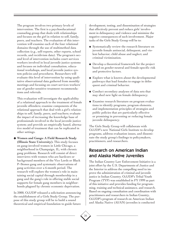The program involves two primary levels of intervention. The first is a psychoeducational counseling group that deals with relationships and focuses on the girl in relation to self, family, peers, and teachers. The evaluation of this intervention will examine each of the four relational domains through the use of multimethod data collection (e.g., self-reports, other reports, school records, and recidivism data). The program's second level of intervention includes court services workers involved in local juvenile justice systems and focuses on individual consultation, educational workshops, and local juvenile justice system policies and procedures. Researchers will evaluate this level of intervention by using qualitative observational data gathered from monthly meetings and focusing on court services workers' use of gender-sensitive treatment recommendations and referrals.

This evaluation will investigate the applicability of a relational approach to the treatment of female juvenile offenders; examine components of the relational approach that deal with a girl's relationships to self, family, peers, and teachers; evaluate the impact of increasing the knowledge base of professionals involved in the local juvenile justice system; and provide an empirically based, alternative model of treatment that can be replicated in other settings.

◆ **Women and Gangs: A Field Research Study (Illinois State University).** This study focuses on gang-involved women in Little Chicago, a neighborhood in Champaign, IL, with chronic gang problems. Research will consist of direct interviews with women who are hardcore or background members of the Vice Lords or Black P–Stones gang and systematic observations of gang activities over a 6-month period. The research will explore the women's role in maintaining social capital through membership in a gang and the gang's role in offering stable social supports for female gang members in neighborhoods plagued by chronic economic deprivation.

In 2000, OJJDP released a solicitation announcing the establishment of a Girls Study Group. The purpose of this study group will be to build a sound theoretical and empirical foundation to guide future development, testing, and dissemination of strategies that effectively prevent and reduce girls' involvement in delinquency and violence and minimize the negative consequences of such involvement. Major tasks of the Girls Study Group will be to:

- ◆ Systematically review the research literature on juvenile female antisocial, delinquent, and violent behavior; child abuse and neglect; and criminal victimization.
- ◆ Develop a theoretical framework for the project based on gender-neutral and female-specific risk and protective factors.
- ◆ Explore what is known about the developmental pathways that lead females to engage in delinquent and criminal behavior.
- ◆ Conduct secondary analyses of data sets that may shed new light on female delinquency.
- ◆ Examine research literature on program evaluations to identify programs, program elements, and implementation principles of strategies and public policies that are particularly effective or promising in preventing or reducing female juvenile delinquency.

The Girls Study Group will collaborate with OJJDP's new National Girls Institute to develop programs, address evaluation issues, and disseminate the study group's findings to policymakers, practitioners, and researchers.

### Research on American Indian and Alaska Native Juveniles

The Indian Country Law Enforcement Initiative is a joint effort by the U.S. Departments of Justice and the Interior to address the compelling need to improve the administration of criminal and juvenile justice in Indian Country. OJJDP's Tribal Youth Program (TYP) was established in FY 1999 as part of this initiative and provides funding for programming, training and technical assistance, and research. Based on ongoing consultation and coordination with practitioners and researchers in Indian Country, OJJDP's program of research on American Indian and Alaska Native (AI/AN) juveniles is conducted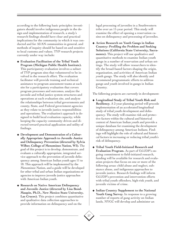according to the following basic principles: investigators should involve indigenous people in the design and implementation of research, a study's research findings should have clear and practical implications for the community in which it was conducted and for AI/AN communities in general, and methods of inquiry should be based on and sensitive to local customs and values. TYP research projects currently under way include:

- ◆ **Evaluation Facilitation of the Tribal Youth Program (Michigan Public Health Institute).** This participatory evaluation involves a subset of TYP program sites that volunteered to be involved in the research effort. The evaluation facilitator will provide training and technical assistance to program assessment teams at each site for a participatory evaluation that covers program processes and outcomes, analyze the juvenile and tribal justice system structures and operations at each evaluation site, and analyze the relationships between tribal governments and county, State, and Federal government agencies as they relate to juvenile justice responsibilities and operations. The evaluation's approach is designed to build local evaluation capacity, while keeping the capacity community driven and directed toward practical application and utility of findings.
- ◆ Development and Demonstration of a Cultur**ally Appropriate Approach to Juvenile Justice and Delinquency Prevention (directed by Sylvia Wilber, College of Menominee Nation, WI).** The goal of this project is to develop, demonstrate, and evaluate a culturally appropriate, integrated service approach to the prevention of juvenile delinquency among American Indian youth ages 11 to 18. This approach will be implemented by the Menominee Nation, and a guide will be developed for other tribal and urban Indian organizations or agencies to improve juvenile justice approaches with American Indian youth.
- ◆ **Research on Native American Delinquency and Juvenile Justice (directed by Lisa Bond-Maupin, Ph.D., New Mexico State University, Las Cruces).** This project combines quantitative and qualitative data collection approaches to provide information on delinquency and on the

legal processing of juveniles in a Southwestern tribe over an 11-year period. This study will examine the effect of opening a reservation casino on delinquency and processing of juveniles.

◆ **Action Research on Youth Gangs in Indian Country: Profiling the Problem and Seeking Solutions (California State University, Sacramento).** This project will use qualitative and quantitative methods to examine Indian youth gangs in a number of reservation and urban settings. The study will allow researchers to identify the broad-based factors shaping the origin, organization, and activities of American Indian youth gangs. The study will also identify and recommend programmatic efforts to address gangs and youth involved in gangs in Indian Country.

The following projects are currently in development:

- ◆ **Longitudinal Study of Tribal Youth Risk and Resiliency.** A 2-year planning period will precede implementation of an accelerated longitudinal study of tribal youth development and delinquency. The study will examine risk and protective factors within the cultural and historical context of American Indian youth and provide a unique database for examining the development of delinquency among American Indians. Findings will highlight the role of cultural and historical factors in increasing or reducing tribal youth's risk of delinquency.
- ◆ **Tribal Youth Field-Initiated Research and Evaluation Program.** As part of OJJDP's ongoing commitment to field-initiated research, funding will be available for research and evaluation projects that focus on one or more of the following areas: child abuse and neglect, substance abuse, and indigenous approaches to juvenile justice. Research findings will inform OJJDP's prevention and intervention efforts with tribal youth offenders, high-risk youth, and juvenile victims of crime.
- ◆ **Indian Country Supplement to the National Youth Gang Survey.** In response to a growing number of reports of gang activity on Indian lands, NYGC will develop and administer an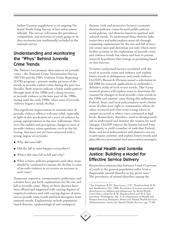Indian Country supplement to its ongoing National Youth Gang Survey of law enforcement officials. The survey will assess the prevalence, composition, and activities of youth gangs in Indian territories not traditionally included in the national survey.

### Understanding and Monitoring the "Whys" Behind Juvenile Crime Trends

The Nation's two primary data sources on juvenile crime—the National Crime Victimization Survey (NCVS) and the FBI's Uniform Crime Reporting (UCR) program—present similar pictures of the trends in juvenile violent crime during the past two decades. Both sources indicate a fairly stable pattern through most of the 1980s and a sharp increase in juvenile violence in the later part of the 1980s, lasting until the early 1990s, when rates of juvenile violence began a steady decline.

This significant improvement in national rates of juvenile violence offers a welcome relief, especially in light of dire predictions of a wave of violence by young superpredators in the new millennium. However, the sudden and precipitous change in rates of juvenile violence raises questions, such as the following, that have not yet been answered with a strong degree of certitude:

- ◆ Why did rates fall?
- ◆ Did the fall in rates happen everywhere?
- ◆ Where did rates fail to fall and why?
- ◆ What actions, policies, programs, and other steps should be continued to sustain the decline in rates of juvenile violence or to reverse an increase in such rates?

Numerous reporters, commentators, politicians, and scholars have put forth explanations for the rise and fall in juvenile crime. Many of these theories have been offered and supported with varying degrees of empirical evidence and with varying degrees of attention to juvenile crime trends and local divergence from national trends. Explanations include populationbased theories, epidemiological and etiological

theories (risk and protective factors), economic theories/policies, crime-focused public policies, social policies, and theories based on spiritual and cultural trends. To understand these theories fully, researchers and policymakers must sift through competing explanations for the rise and fall of juvenile crime rates and determine not only which merit further scrutiny in the exploration of juvenile crime and violence trends but where and how to pursue research hypotheses that emerge as promising based on this exercise.

To better understand factors correlated with the trend in juvenile crime and violence and explain future trends in delinquency and youth violence, OJJDP's Research Division issued a solicitation in fall 2000 for research applications to undertake a definitive study of such recent trends. This 5-year research project will explore ways to determine the reasons for changes in local juvenile crime trends in the 1990s and monitor rates during this millennium. Federal, State, and local policymakers need a better sense of what went right in communities where declines occurred and what went wrong where increases occurred or where rates continued at high levels. Researchers, therefore, need to develop methods to understand and monitor the reasons for such changes. OJJDP expects the lessons learned from this inquiry to yield a number of tools that Federal, State, and local policymakers and planners can use to anticipate, monitor, and explain future trends and plan effective prevention and intervention strategies.

### Mental Health and Juvenile Justice: Building a Model for Effective Service Delivery

Researchers estimate that between 9 and 13 percent of youth in the general population suffer from a diagnosable mental disorder at any given time.<sup>6</sup> The prevalence of mental disorders among the

<sup>6</sup> See Friedman, R.M., Katz-Leavy, J.W., Manderscheid, R.W., and Sandheimer, D.L. 1996. Prevalence of serious emotional disturbances in children and adolescents. In *Mental Health, United States,* edited by R.W. Manderscheid and M.A. Sonnerschein. Washington, DC: U.S. Department of Health and Human Services, Substance Abuse and Mental Health Services Administration, Center for Mental Health Services, pp. 71–89.

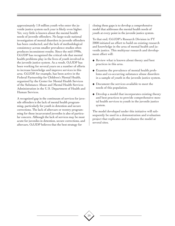approximately 1.8 million youth who enter the juvenile justice system each year is likely even higher. Yet, very little is known about the mental health needs of juvenile offenders. No large-scale national investigation of mental disorders in juvenile offenders has been conducted, and the lack of methodological consistency across smaller prevalence studies often produces inconsistent results. Since the mid-1990s, OJJDP has recognized the critical role that mental health problems play in the lives of youth involved in the juvenile justice system. As a result, OJJDP has been working for several years on a number of efforts to increase knowledge and improve services in this area. OJJDP, for example, has been active in the Federal Partnership for Children's Mental Health, organized by the Center for Mental Health Services of the Substance Abuse and Mental Health Services Administration in the U.S. Department of Health and Human Services.

A recognized gap in the continuum of services for juvenile offenders is the lack of mental health programming, particularly for youth in detention and secure corrections. The lack of aftercare or reentry programming for these incarcerated juveniles is also of particular concern. Although the lack of services may be most acute for juveniles in detention, secure corrections, and aftercare, OJJDP believes that the best strategy for

closing these gaps is to develop a comprehensive model that addresses the mental health needs of youth at every point in the juvenile justice system.

To that end, OJJDP's Research Division in FY 2000 initiated an effort to build on existing research and knowledge in the area of mental health and juvenile justice. This multiyear research and development effort will:

- ◆ Review what is known about theory and best practices in this area.
- ◆ Examine the prevalence of mental health problems and co-occurring substance abuse disorders in a sample of youth in the juvenile justice system.
- ◆ Document the services available to meet the needs of this population.
- ◆ Develop a model that incorporates existing theory and best practices to provide comprehensive mental health services to youth in the juvenile justice system.

The model developed under this initiative will subsequently be used in a demonstration and evaluation project that replicates and evaluates the model at several sites.

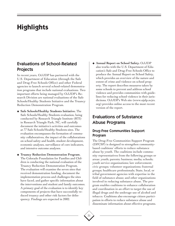# **Highlights**

### Evaluations of School-Related Projects

In recent years, OJJDP has partnered with the U.S. Department of Education (through the Safe and Drug-Free Schools Office) and other Federal agencies to launch several school-related demonstration programs that include national evaluations. Two important efforts being managed by OJJDP's Research Division are national evaluations of the Safe Schools/Healthy Students Initiative and the Truancy Reduction Demonstration Program.

◆ **Safe Schools/Healthy Students Initiative.** The Safe Schools/Healthy Students evaluation, being conducted by Research Triangle Institute (RTI) in Research Triangle Park, NC, will carefully document the initiative's activities and outcomes at 77 Safe Schools/Healthy Students sites. The evaluation encompasses the formation of community collaboratives, the impact of the collaborations on school safety and health, student development, economic analyses, surveillance of core indicators, and intensive outcome analyses.

◆ **Truancy Reduction Demonstration Program.** The Colorado Foundation for Families and Children is conducting the national evaluation of the Truancy Reduction Demonstration Program. The evaluation will examine the seven sites that received demonstration funding, document the implementation process and challenges the sites have faced, and gather specific information about the interventions and student and family outcomes. A primary goal of the evaluation is to identify key components of projects that have successfully reduced truancy and other risk factors for delinquency. Findings are expected in 2002.

◆ **Annual Report on School Safety.** OJJDP also works with the U.S. Department of Education's Safe and Drug-Free Schools Office to produce the Annual Report on School Safety, which provides an overview of the nature and extent of crime and violence on school property. The report describes measures taken by some schools to prevent and address school violence and provides communities with guidelines for reducing school violence in their jurisdictions. OJJDP's Web site (www.ojjdp.ncjrs. org) provides online access to the most recent version of the report.

### Evaluations of Substance Abuse Programs

### Drug-Free Communities Support Program

The Drug-Free Communities Support Program (DFCSP) is designed to strengthen communitybased coalitions' efforts to reduce substance abuse by youth. The coalitions include community representatives from the following groups or areas: youth; parents; business; media; schools; youth service organizations; law enforcement; civic groups; volunteer organizations; fraternal groups; healthcare professionals; State, local, or tribal government agencies with expertise in the field of substance abuse; and other organizations involved in reducing substance abuse. The program enables coalitions to enhance collaboration and coordination in an effort to target the use of illegal drugs and the underage use of alcohol and tobacco. Coalitions also encourage citizen participation in efforts to reduce substance abuse and disseminate information about effective programs.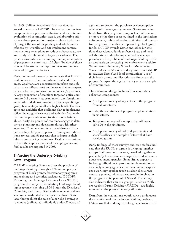In 1999, Caliber Associates, Inc., received an award to evaluate DFCSP. The evaluation has two components—a process evaluation and an outcome evaluation of community-based, collaborative substance abuse prevention projects whose initiatives (1) target the use of illegal drugs, alcohol, and/or tobacco by juveniles and (2) implement comprehensive long-term plans to reduce substance abuse and study its relationship to youth violence. The process evaluation is examining the implementation of programs in more than 100 sites. Twelve of these sites will be studied in depth to measure the outcome of program activities.

Early findings of the evaluation indicate that DFCSP coalitions serve urban, suburban, rural, and tribal areas. Coalitions are concentrated in urban and suburban areas (40 percent) and in areas that encompass urban, suburban, and rural communities (34 percent). A large proportion of coalitions target an entire community (42 percent), approximately one-fourth target youth, and almost one-third target a specific age group (elementary, middle, or high school). The strategies and activities that coalitions plan to implement reflect the range of services and activities frequently used in the prevention and treatment of substance abuse. Forty-six percent of coalitions engage in datadriven planning and decisionmaking with other agencies, 37 percent continue to mobilize and form partnerships, 55 percent provide training and education services, and 56 percent plan to improve their information-sharing techniques. Evaluators continue to track the implementation of these programs, and final results are expected in 2003.

### Enforcing the Underage Drinking Laws Program

OJJDP is helping States address the problem of underage drinking through a \$25 million per year program of block grants, discretionary programs, and training and technical assistance. OJJDP's Enforcing the Underage Drinking Laws (EUDL) program (formerly the Combating Underage Drinking program) is helping all 50 States, the District of Columbia, and Puerto Rico to develop comprehensive and coordinated initiatives to enforce State laws that prohibit the sale of alcoholic beverages to minors (defined as individuals under 21 years of

age) and to prevent the purchase or consumption of alcoholic beverages by minors. States are using funds from this program to support activities in one or more of the three areas outlined in the legislation: enforcement, public education activities, and innovative programs. In addition to providing block grant funds, OJJDP awards States and other jurisdictions discretionary funds to foster State and local collaboration in developing comprehensive approaches to the problem of underage drinking, with an emphasis on increasing law enforcement activity. Wake Forest University School of Medicine in Winston-Salem, NC, received a grant from OJJDP to evaluate States' and local communities' use of their block grants and discretionary funds and the program's impact during its first 2 years in a sample of communities.

The evaluation design includes four major data collection components:

- ◆ A telephone survey of key actors in the program from all 50 States.
- ◆ Indepth case studies of program implementation in six States.
- ◆ Telephone surveys of a sample of youth ages 16 to 20 in the six States.
- ◆ A telephone survey of police departments and sheriff's offices in a sample of States that have received grants.

Early findings of these surveys and case studies indicate that the EUDL program is bringing together groups that have not previously worked together particularly law enforcement agencies and substance abuse treatment agencies. Some States appear to be facing difficulties in program implementation especially among agencies that have limited experience working together (such as alcohol beverage control agencies, which are reportedly involved in the program in 66 percent of States). The survey also indicates that citizens' groups—such as Mothers Against Drunk Driving (MADD)—are highly involved in the program in only 28 States.

Data from the evaluation's youth survey underscore the magnitude of the underage drinking problem. Data show that underage drinking is pervasive, with

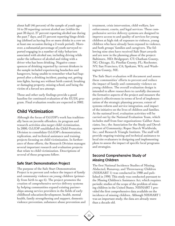about half (46 percent) of the sample of youth ages 16 to 20 reporting current alcohol use (within the past 30 days), 27 percent reporting alcohol use during the past 7 days, and 21 percent reporting binge drinking (defined as having five or more drinks in a row on at least one occasion during a 2-week period). Moreover, a substantial percentage of youth surveyed reported engaging in a number of risky behaviors associated with alcohol use, including driving while under the influence of alcohol and riding with a driver who has been drinking. Negative consequences of drinking reported by current drinkers in the sample included experiencing headaches and hangovers, being unable to remember what had happened after a drinking incident, passing out, getting into fights, having sex without birth control, breaking or damaging property, missing school, and being the victim of a forced sex attempt.

These and other early findings provide a good baseline for continued evaluation of the EUDL program. Final evaluation results are expected in 2002.

### Child Victimization

Although the focus of OJJDP's work has traditionally been on juvenile offenders, its program and research activities also target child victimization. In 2000, OJJDP established the Child Protection Division to consolidate OJJDP's demonstration, replication, and technical assistance and training projects focusing on child victimization. In furtherance of these efforts, the Research Division manages several important research and evaluation projects that relate to child victimization. Descriptions of several of these programs follow.

### Safe Start Demonstration Project

The purpose of the Safe Start Demonstration Project is to prevent and reduce the impact of family and community violence on young children (primarily from birth to age 6). The project promotes the creation of comprehensive service delivery systems by helping communities expand existing partnerships among service providers in the fields of early childhood education/development, health, mental health, family strengthening and support, domestic violence prevention, substance abuse prevention and treatment, crisis intervention, child welfare, law enforcement, courts, and legal services. These comprehensive service delivery systems are designed to improve access to and quality of services for young children at high risk of exposure to violence, young children who have already been exposed to violence, and both groups' families and caregivers. The following nine sites have received Safe Start awards and are now in the planning phase of the project: Baltimore, MD; Bridgeport, CT; Chatham County, NC; Chicago, IL; Pinellas County, FL; Rochester, NY; San Francisco, CA; Spokane, WA; and Washington County, ME.

The Safe Start evaluation will document and assess these communities' efforts to prevent and reduce the impact of family and community violence on young children. The overall evaluation design is intended to allow researchers to carefully document the formative aspects of the project and measure the project's effectiveness in terms of level of implementation of the strategic planning process, extent of systems reform and service integration, and impact of the initiative on the lives of children and families. At the national level, evaluation activities will be carried out by the National Evaluation Team, which includes staff from four organizations: Caliber Associates, Inc.; the Association for the Study and Development of Community; Roper Starch Worldwide, Inc.; and Research Triangle Institute. The staff will provide ongoing training and technical assistance to local site evaluators in designing and implementing plans to assess the impact of specific local programs and strategies.

### Second Comprehensive Study of Missing Children

The first National Incidence Studies of Missing, Abducted, Runaway, and Thrownaway Children (NISMART 1) was conducted in 1988 and published in 1990. This study was conducted pursuant to the Missing Children's Assistance Act, which requires periodic studies of the scope of the problem of missing children in the United States. NISMART 1 provided the first comprehensive data available on the incidence of missing children. Although NISMART 1 was an important study, the data are already more than a decade old.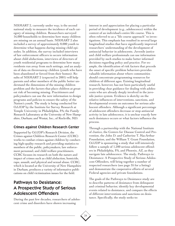NISMART 2, currently under way, is the second national study to measure the incidence of each category of missing children. Researchers surveyed 16,000 households to determine how many children are missing on an annual basis. NISMART 2 also included a survey of approximately 8,000 youth to determine what happens during missing child episodes. In addition, the survey included interviews of law enforcement officers to secure information about child abductions, interviews of directors of youth residential programs to determine how many residents run away from such settings, and an analysis of data on thrownaway children (youth who have been abandoned or forced from their homes). Results of NISMART 2 (expected in 2001) will help parents and other members of the public better understand the dimensions of the missing children problem and the factors that place children at greatest risk of becoming missing. Practitioners and policymakers can use the new information to design programs and policies to ensure the safety of the Nation's youth. The study is being conducted for OJJDP by the Institute for Survey Research at Temple University in Philadelphia, PA; the Family Research Laboratory at the University of New Hampshire, Durham; and Westat, Inc., of Rockville, MD.

### Crimes against Children Research Center

Supported by OJJDP's Research Division, the Crimes against Children Research Center (CCRC) works to combat crimes against children by conducting high-quality research and providing statistics to members of the public, policymakers, law enforcement personnel, and child welfare practitioners. CCRC focuses its research on both the nature and impact of crimes such as child abduction, homicide, rape, assault, and physical and sexual abuse. CCRC, which is located at the University of New Hampshire in Durham, produces a variety of informative publications on child victimization issues for the field.

### Pathways to Desistance: A Prospective Study of Serious Adolescent Offenders

During the past few decades, researchers of adolescent crime and disorders have shown increasing

interest in and appreciation for placing a particular period of development (e.g., adolescence) within the context of an individual's entire life course. This is often referred to as a "life course approach" to investigations. This emphasis has resulted in several large longitudinal studies that have significantly improved researchers' understanding of the development of antisocial behavior in adolescents. Juvenile justice and child welfare professionals can use information provided by such studies to make better informed decisions regarding policy and practice. For example, the identification of risk factors that precede the onset of specific problem behaviors provides valuable information about where communities should concentrate programming resources for children of different ages. Existing longitudinal research, however, has not been particularly useful in providing clear guidance for dealing with adolescents who are already deeply involved in the juvenile justice system. Evidence is sketchy on the relative influences of interventions, sanctions, and developmental events on outcomes for serious adolescent offenders. Although a significant percentage of adolescent offenders decrease or stop antisocial activity in late adolescence, it is unclear exactly how such desistance occurs or what factors influence the process.

Through a partnership with the National Institute of Justice, the Centers for Disease Control and Prevention, the John D. and Catherine T. MacArthur Foundation, and the William T. Grant Foundation, OJJDP is sponsoring a study that will intensively follow a sample of 1,200 serious adolescent offenders in Philadelphia, PA, and Phoenix, AZ, as they navigate late adolescence. The study, Pathways to Desistance: A Prospective Study of Serious Adolescent Offenders, will bring together a number of respected researchers (see page 35 for a listing) and demonstrate the cooperative efforts of several Federal agencies and private foundations.

The goals of the Pathways to Desistance study are to describe patterns of desistance from delinquent and criminal behavior, identify key developmental events related to desistance, and compare the effects of different interventions and sanctions on desistance. Specifically, the study seeks to:

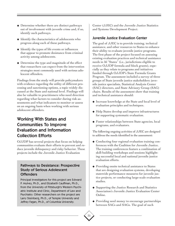- ◆ Determine whether there are distinct pathways out of involvement with juvenile crime and, if so, identify such pathways.
- ◆ Identify the characteristics of adolescents who progress along each of these pathways.
- ◆ Identify the types of life events or influences that appear to promote desistance from criminal activity among adolescents.
- ◆ Determine the type and magnitude of the effect that researchers can expect from the intervention strategies most commonly used with serious adolescent offenders.

Findings from the study will provide policymakers with evidence regarding the utility of different processing and sanctioning options, a topic widely discussed at the State and national level. Findings will also be valuable to practitioners who need direction regarding what factors to consider during risk assessments and what indicators to monitor or assess on an ongoing basis when working with serious adolescent offenders.

### Working With States and Communities To Improve Evaluation and Information Collection Efforts

OJJDP has several projects that focus on helping communities evaluate their efforts to prevent and reduce juvenile delinquency and risky behavior. These projects include the Juvenile Justice Evaluation

### Pathways to Desistance: Prospective Study of Serious Adolescent **Offenders**

Principal investigators for this project are Edward P. Mulvey, Ph.D., and Elizabeth Cauffman, Ph.D., from the University of Pittsburgh's Western Psychiatric Institute and Clinic, Department of Law and Psychiatry. Other researchers on the project are Larry Steinberg, Ph.D., of Temple University and Jeffrey Fagan, Ph.D., of Columbia University.

Center (JJEC) and the Juvenile Justice Statistics and Systems Development Project.

### Juvenile Justice Evaluation Center

The goal of JJEC is to provide training, technical assistance, and other resources to States to enhance their ability to evaluate juvenile justice programs. The first phase of the project focused on assessing existing evaluation practices and technical assistance needs in 56 "States" (i.e., jurisdictions eligible to receive OJJDP formula and block grants), especially as they relate to programs and initiatives funded through OJJDP's State Formula Grants Program. The assessment included a survey of three groups of State juvenile justice stakeholders: juvenile justice specialists, Statistical Analysis Center (SAC) directors, and State Advisory Group (SAG) chairs. Results of the assessment show that training and technical assistance should:

- ◆ Increase knowledge at the State and local level of evaluation principles and techniques.
- ◆ Help States develop and improve infrastructures for supporting systematic evaluation.
- ◆ Foster relationships between State agencies, local programs, and evaluators.

The following ongoing activities of JJEC are designed to address the needs identified in the assessment:

- ◆ Conducting four regional evaluation training conferences with the Coalition for Juvenile Justice. The training conferences feature a combination of skill-building workshops and sessions highlighting successful local and national juvenile justice evaluation efforts.
- ◆ Providing onsite technical assistance to States that are designing evaluation systems, developing statewide performance measures for juvenile justice projects, or conducting large-scale evaluation studies.
- ◆ Supporting the Justice Research and Statistics Association's Juvenile Justice Evaluation Center Online.
- ◆ Providing seed money to encourage partnerships between SACs and SAGs. The goal of such

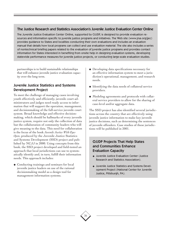### The Justice Research and Statistics Association's Juvenile Justice Evaluation Center Online

The Juvenile Justice Evaluation Center Online, supported by OJJDP, is designed to provide evaluation resources and information specific to juvenile justice programs and initiatives. The Web site (www.jrsa.org/jjec) provides guidance to States and localities conducting their own evaluations and includes an evaluation manual that details how local programs can collect and use evaluation material. The site also includes a series of nontechnical briefing papers related to the evaluation of juvenile justice programs and provides contact information for States interested in benefiting from onsite help in designing evaluation systems, developing statewide performance measures for juvenile justice projects, or conducting large-scale evaluation studies.

partnerships is to build sustainable relationships that will enhance juvenile justice evaluation capacity over the long term.

### Juvenile Justice Statistics and Systems Development Project

To meet the challenge of managing cases involving youth effectively and efficiently, juvenile court administrators and judges need ready access to information that will support the operation, management, and decisionmaking of the full-service juvenile court system. Broad knowledge and effective decisionmaking, which should be hallmarks of every juvenile justice system, require not only the collection of data but the collaboration of community leaders who will give meaning to the data. This need for collaboration is the focus of the book *Juvenile Justice With Eyes Open*, produced by the Juvenile Justice Statistics and Systems Development (SSD) project and published by NCJJ in 2000. Using concepts from this book, the SSD project developed and field-tested an approach that local jurisdictions can use to systematically identify and, in turn, fulfill their information needs. This approach includes:

◆ Conducting trainings and seminars for local juvenile justice leaders on use of the rational decisionmaking model as a design tool for management information systems.

- ◆ Developing data specifications necessary for an effective information system to meet a jurisdiction's operational, management, and research needs.
- ◆ Identifying the data needs of collateral service providers.
- ◆ Modeling agreements and protocols with collateral service providers to allow for the sharing of case-level and/or aggregate data.

The SSD project has also identified several jurisdictions across the country that are effectively using juvenile justice information to make key juvenile justice decisions, such as determining the sentences of juvenile offenders. Case studies of these jurisdictions will be published in 2001.

### OJJDP Projects That Help States and Communities Enhance Evaluation Capacity

- ◆ Juvenile Justice Evaluation Center (Justice Research and Statistics Association).
- ◆ Juvenile Justice Statistics and Systems Development Project (National Center for Juvenile Justice, Pittsburgh, PA).

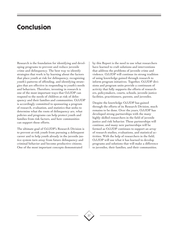# **Conclusion**

Research is the foundation for identifying and developing programs to prevent and reduce juvenile crime and delinquency. The best way to identify strategies that work is by learning about the factors that place youth at risk for delinquency, recognizing youth's patterns of offending, and identifying strategies that are effective in responding to youth's needs and behaviors. Therefore, investing in research is one of the most important ways that OJJDP can respond to the needs of children at risk of delinquency and their families and communities. OJJDP is accordingly committed to sponsoring a program of research, evaluation, and statistics that seeks to determine what the roots of delinquency are, what policies and programs can help protect youth and families from risk factors, and how communities can support these efforts.

The ultimate goal of OJJDP's Research Division is to prevent at-risk youth from pursuing a delinquent career and to help youth already in the juvenile justice system turn away from future delinquency and criminal behavior and become productive citizens. One of the most important concepts demonstrated

by this Report is the need to use what researchers have learned to craft solutions and interventions that address the problems of juvenile crime and violence. OJJDP will continue its strong tradition of using knowledge gained through research to inform program initiatives. Together, OJJDP divisions and program units provide a continuum of activity that fully supports the efforts of researchers, policymakers, courts, schools, juvenile justice facilities, practitioners, parents, and juveniles.

Despite the knowledge OJJDP has gained through the efforts of its Research Division, much remains to be done. Over the years, OJJDP has developed strong partnerships with the many highly skilled researchers in the field of juvenile justice and risk behavior. These partnerships will continue, and many new partnerships will be formed as OJJDP continues to support an array of research studies, evaluations, and statistical activities. With the help of researchers in the field, OJJDP will use what it has learned to develop programs and solutions that will make a difference to juveniles, their families, and their communities.

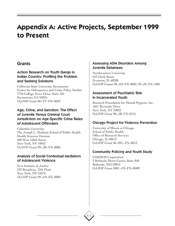# **Appendix A: Active Projects, September 1999 to Present**

### **Grants**

### Action Research on Youth Gangs in Indian Country: Profiling the Problem and Seeking Solutions

California State University Sacramento Center for Delinquency and Crime Policy Studies 7750 College Town Drive, Suite 104 Sacramento, CA 95826 OJJDP Grant 00–TY–FX–0033

### Age, Crime, and Sanction: The Effect of Juvenile Versus Criminal Court Jurisdiction on Age-Specific Crime Rates of Adolescent Offenders

Columbia University The Joseph L. Mailman School of Public Health Health Sciences Division 600 West 168th Street New York, NY 10032 OJJDP Grant 99–JR–VX–0002

### Analysis of Social Contextual Mediators of Adolescent Violence

Vera Institute of Justice 233 Broadway, 12th Floor New York, NY 10274 OJJDP Grant 99–JN–FX–0004

### Assessing ADM Disorders Among Juvenile Detainees

Northwestern University 633 Clark Street Evanston, IL 60208 OJJDP Grants 98–JD–FX–0002, 99–JE–FX–1001

### Assessment of Psychiatric Risk in Incarcerated Youth

Research Foundation for Mental Hygiene, Inc. 1051 Riverside Drive New York, NY 10032 OJJDP Grant 98–JB–VX–0115

### Chicago Project for Violence Prevention

University of Illinois at Chicago School of Public Health Office of Research Services Chicago, IL 60612 OJJDP Grant 96–MU–FX–0013

### Community Policing and Youth Study

COSMOS Corporation 3 Bethesda Metro Center, Suite 950 Bethesda, MD 20814 OJJDP Grant 2001–JN–FX–K002

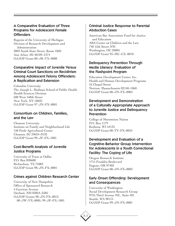### A Comparative Evaluation of Three Programs for Adolescent Female **Offenders**

Regents of the University of Michigan Division of Research Development and Administration 3003 South State Street, Room 1060 Ann Arbor, MI 48109–1274 OJJDP Grant 00–JR–VX–0008

### Comparative Impact of Juvenile Versus Criminal Court Sanctions on Recidivism Among Adolescent Felony Offenders: A Replication and Extension

Columbia University The Joseph L. Mailman School of Public Health Health Sciences Division 600 West 168th Street New York, NY 10032 OJJDP Grant 97–JN–FX–0001

### Consortium on Children, Families, and the Law

Clemson University Institute on Family and Neighborhood Life 158 Poole Agricultural Center Clemson, SC 29634–0132 OJJDP Grant 99–JF–FX–1001

### Cost-Benefit Analysis of Juvenile Justice Programs

University of Texas at Dallas P.O. Box 830688 Richardson, TX 75083 OJJDP Grant 98–JN–FX–0001

### Crimes against Children Research Center

University of New Hampshire Office of Sponsored Research 4 Garrison Avenue Durham, NH 03824–3585 OJJDP Grants 98–JN–FX–0012, 00–JW–VX–0005, 99–JP–FX–1001

### Criminal Justice Response to Parental Abduction Cases

American Bar Association Fund for Justice and Education ABA Center on Children and the Law 740 15th Street NW. Washington, DC 20005 OJJDP Grant 93–MC–CX–0010

### Delinquency Prevention Through Media Literacy: Evaluation of the Flashpoint Program

Education Development Center, Inc. Health and Human Development Programs 55 Chapel Street Newton, Massachusetts 02158–1060 O.I.JDP Grant 00-JN-FX-0004

### Development and Demonstration of a Culturally Appropriate Approach to Juvenile Justice and Delinquency **Prevention**

College of Menominee Nation P.O. Box 1179 Keshena, WI 54135 OJJDP Grant 00–TY–FX–0034

### Development and Evaluation of a Cognitive-Behavior Group Intervention for Adolescents in a Youth Correctional Facility: The Coping of Life

Oregon Research Institute 1715 Franklin Boulevard Eugene, OR 97403 OJJDP Grant 00–JN–FX–0003

### Early Onset Offending: Development and Consequences

University of Washington Social Development Research Group 9725 Third Avenue NE., Suite 401 Seattle, WA 98115 OJJDP Grant 99–JN–FX–0001

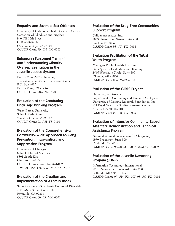### Empathy and Juvenile Sex Offenses

University of Oklahoma Health Sciences Center Center on Child Abuse and Neglect 940 NE 13th Street CHO–3B–3406 Oklahoma City, OK 73104 OJJDP Grant 99–JN–FX–0002

### Enhancing Personnel Training and Understanding Minority Overrepresentation in the Juvenile Justice System

Prairie View A&M University Texas Juvenile Crime Prevention Center P.O. Box 4017 Prairie View, TX 77446 OJJDP Grant 98–JN–FX–0014

### Evaluation of the Combating Underage Drinking Program

Wake Forest University School of Medicine Winston-Salem, NC 25157 OJJDP Grant 98–AH–F8–0101

### Evaluation of the Comprehensive Community-Wide Approach to Gang Prevention, Intervention, and Suppression Program

University of Chicago School of Social Services 5801 South Ellis Chicago, IL 60637 OJJDP Grants 95–JD–CX–K002, 96–JD–FX–K001, 97–MU–FX–K014

### Evaluation of the Creation and Implementation of a Family Index

Superior Court of California County of Riverside 4075 Main Street, Suite 310 Riverside, CA 92501 OJJDP Grant 00–JR–VX–0002

### Evaluation of the Drug-Free Communities Support Program

Caliber Associates, Inc. 10530 Rosehaven Street, Suite 400 Fairfax, VA 22030 OJJDP Grant 98–JN–FX–0016

### Evaluation Facilitation of the Tribal Youth Program

Michigan Public Health Institute Data System, Evaluation and Training 2464 Woodlake Circle, Suite 300 Okemos, MI 48864 OJJDP Grant 00–TY–FX–K001

### Evaluation of the GIRLS Project

University of Georgia Department of Counseling and Human Development University of Georgia Research Foundation, Inc. 621 Boyd Graduate Studies Research Center Athens, GA 30602–4103 OJJDP Grant 00–JR–VX–0005

### Evaluation of Intensive Community-Based Aftercare Demonstration and Technical Assistance Program

National Council on Crime and Delinquency 1970 Broadway, Suite 500 Oakland, CA 94612 OJJDP Grants 95–JN–CX–007, 95–JN–FX–0023

### Evaluation of the Juvenile Mentoring Program (JUMP)

Information Technology International 6701 Democracy Boulevard, Suite 700 Bethesda, MD 20817–1572 OJJDP Grants 97–JN–FX–003, 98–JG–FX–0002

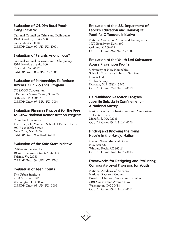### Evaluation of OJJDP's Rural Youth Gang Initiative

National Council on Crime and Delinquency 1970 Broadway, Suite 500 Oakland, CA 94612 OJJDP Grant 99–JD–FX–K001

### Evaluation of Parents Anonymous®

National Council on Crime and Delinquency 1970 Broadway, Suite 500 Oakland, CA 94612 OJJDP Grant 00–JP–FX–K003

### Evaluation of Partnerships To Reduce Juvenile Gun Violence Program

COSMOS Corporation 3 Bethesda Metro Center, Suite 950 Bethesda, MD 20814 OJJDP Grant 97–MU–FX–0004

### Evaluation Planning Proposal for the Free To Grow National Demonstration Program

Columbia University The Joseph L. Mailman School of Public Health 600 West 168th Street New York, NY 10032 OJJDP Grant 99–JN–FX–0020

### Evaluation of the Safe Start Initiative

Caliber Associates, Inc. 10530 Rosehaven Street, Suite 400 Fairfax, VA 22030 OJJDP Grant 99–JW–VX–K001

### Evaluation of Teen Courts

The Urban Institute 2100 M Street NW. Washington, DC 20037 OJJDP Grant 98–JN–FX–0003

### Evaluation of the U.S. Department of Labor's Education and Training of Youthful Offenders Initiative

National Council on Crime and Delinquency 1970 Broadway, Suite 500 Oakland, CA 94612 OJJDP Grant 99–JN–FX–K007

### Evaluation of the Youth-Led Substance Abuse Prevention Program

University of New Hampshire School of Health and Human Services Hewitt Hall 4 Library Way Durham, NH 03824–3563 OJJDP Grant 97–JN–FX–0019

### Field-Initiated Research Program: Juvenile Suicide in Confinement— A National Survey

National Center on Institutions and Alternatives 40 Lantern Lane Mansfield, MA 02048 OJJDP Grant 99–JN–FX–0005

### Finding and Knowing the Gang Naye'e in the Navajo Nation

Navajo Nation Judicial Branch P.O. Box 520 Window Rock, AZ 86515 OJJDP Grant 95–JD–FX–0013

### Frameworks for Designing and Evaluating Community-Level Programs for Youth

National Academy of Sciences National Research Council Board on Children, Youth, and Families 2101 Constitution Avenue NW. Washington, DC 20418 OJJDP Grant 99–JN–FX–0011

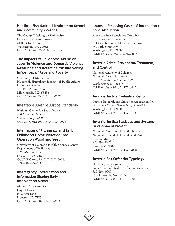### Hamilton Fish National Institute on School and Community Violence

The George Washington University Office of Sponsored Research 2121 I Street NW. Washington, DC 20052 OJJDP Grant 97–MU–FX–K012

### The Impacts of Childhood Abuse on Juvenile Violence and Domestic Violence: Measuring and Detecting the Intervening Influences of Race and Poverty

University of Minnesota Hubert H. Humphrey Institute of Public Affairs Humphrey Center 301 19th Avenue South Minneapolis, MN 55455 OJJDP Grant 99–JN–FX–0007

### Integrated Juvenile Justice Standards

National Center for State Courts 300 Newport Avenue Williamsburg, VA 23185 OJJDP Grant 2001–MU–MU–0003

### Integration of Pregnancy and Early Childhood Home Visitation Into Operation Weed and Seed

University of Colorado Health Sciences Center Department of Pediatrics 1825 Marion Street Denver, CO 80218 OJJDP Grants 98–MU–MU–0006, 98–JN–FX–0005

### Interagency Coordination and Information Sharing Early Intervention Model

Mayor's Anti-Gang Office City of Houston P.O. Box 1562 Houston, TX 77251 OJJDP Grant 98–JN–FX–0010

### Issues in Resolving Cases of International Child Abduction

American Bar Association Fund for Justice and Education ABA Center on Children and the Law 740 15th Street NW. Washington, DC 20005 OJJDP Grant 93–MC–CX–0007

### Juvenile Crime, Prevention, Treatment, and Control

National Academy of Sciences National Research Council 2101 Constitution Avenue NW. Washington, DC 20418 OJJDP Grant 97–JN–FX–0020

### Juvenile Justice Evaluation Center

Justice Research and Statistics Association, Inc. 777 North Capitol Street NE., Suite 801 Washington, DC 20002 OJJDP Grant 98–JN–FX–0112

### Juvenile Justice Statistics and Systems Development Project

National Center for Juvenile Justice National Council of Juvenile and Family Court Judges P.O. Box 8970 Reno, NV 89507 OJJDP Grant 95–JN–FX–K008

### Juvenile Sex Offender Typology

University of Virginia Department of Health Evaluation Sciences P.O. Box 9003 Charlottesville, VA 22903 OJJDP Grant 00–JF–FX–1001

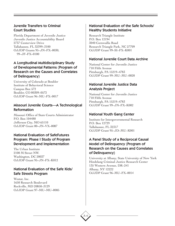### Juvenile Transfers to Criminal Court Studies

Florida Department of Juvenile Justice Juvenile Justice Accountability Board 2737 Centerview Drive Tallahassee, FL 32399–3100 OJJDP Grants 95–JN–FX–0030, 99–JF–FX–0100

### A Longitudinal Multidisciplinary Study of Developmental Patterns (Program of Research on the Causes and Correlates of Delinquency)

University of Colorado at Boulder Institute of Behavioral Science Campus Box 572 Boulder, CO 80309–0572 OJJDP Grant 96–MU–FX–0017

### Missouri Juvenile Courts—A Technological Reformation

Missouri Office of State Courts Administrator P.O. Box 104480 Jefferson City, MO 65110 OJJDP Grant 00–JN–VX–0087

### National Evaluation of SafeFutures Program: Phase I Study of Program Development and Implementation

The Urban Institute 2100 M Street NW. Washington, DC 20037 OJJDP Grant 95–JN–FX–K012

### National Evaluation of the Safe Kids/ Safe Streets Program

Westat, Inc. 1650 Research Boulevard Rockville, MD 20850–3129 OJJDP Grant 97–MU–MU–0005

### National Evaluation of the Safe Schools/ Healthy Students Initiative

Research Triangle Institute P.O. Box 12194 3040 Cornwallis Road Research Triangle Park, NC 27709 OJJDP Grant 99–SI–FX–K001

### National Juvenile Court Data Archive

National Center for Juvenile Justice 710 Fifth Avenue Pittsburgh, PA 15219–4783 OJJDP Grant 99–MU–MU–0020

### National Juvenile Justice Data Analysis Project

National Center for Juvenile Justice 710 Fifth Avenue Pittsburgh, PA 15219–4783 OJJDP Grant 99–JN–FX–K002

### National Youth Gang Center

Institute for Intergovernmental Research P.O. Box 12729 Tallahassee, FL 32317 OJJDP Grant 95–JD–MU–K001

### A Panel Study of a Reciprocal Causal Model of Delinquency (Program of Research on the Causes and Correlates of Delinquency)

University at Albany, State University of New York Hindelang Criminal Justice Research Center 135 Western Avenue, DR–241 Albany, NY 12222 OJJDP Grant 96–MU–FX–0014

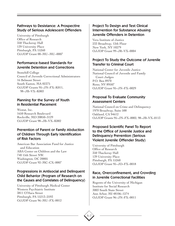### Pathways to Desistance: A Prospective Study of Serious Adolescent Offenders

University of Pittsburgh Office of Research 350 Thackeray Hall 139 University Place Pittsburgh, PA 15260 OJJDP Grant 00–MU–MU–0007

### Performance-based Standards for Juvenile Detention and Corrections

Stonehill College Council of Juvenile Correctional Administrators 16 Belmont Street South Easton, MA 02375 OJJDP Grants 95–JN–FX–K011, 98–JB–VX–K003

### Planning for the Survey of Youth in Residential Placement

Westat, Inc. 1650 Research Boulevard Rockville, MD 20850–3129 OJJDP Grant 98–JB–VX–K002

### Prevention of Parent or Family Abduction of Children Through Early Identification of Risk Factors

American Bar Association Fund for Justice and Education ABA Center on Children and the Law 740 15th Street NW. Washington, DC 20005 OJJDP Grant 92–MC–CX–0007

### Progressions in Antisocial and Delinquent Child Behavior (Program of Research on the Causes and Correlates of Delinquency)

University of Pittsburgh Medical Center Western Psychiatric Institute 3811 O'Hara Street Pittsburgh, PA 15213–2593 OJJDP Grant 96–MU–FX–0012

### Project To Design and Test Clinical Intervention for Substance Abusing Juvenile Offenders in Detention

Vera Institute of Justice 233 Broadway, 12th Floor New York, NY 10279 OJJDP Grant 99–JR–VX–0004

### Project To Study the Outcome of Juvenile Transfer to Criminal Court

National Center for Juvenile Justice National Council of Juvenile and Family Court Judges P.O. Box 8970 Reno, NV 89507 OJJDP Grant 95–JN–FX–0029

### Proposal To Evaluate Community Assessment Centers

National Council on Crime and Delinquency 1970 Broadway, Suite 500 Oakland, CA 94612 OJJDP Grants 95–JN–FX–0002, 98–JB–VX–0113

### Proposed Scientific Panel To Report to the Office of Juvenile Justice and Delinquency Prevention (Serious Violent Juvenile Offender Study)

University of Pittsburgh Office of Research 350 Thackeray Hall 139 University Place Pittsburgh, PA 15260 OJJDP Grant 95–JD–FX–0018

### Race, Overconfinement, and Crowding in Juvenile Correctional Facilities

Regents of the University of Michigan Institute for Social Research 3003 South State Street Ann Arbor, MI 48106–1274 OJJDP Grant 96–JN–FX–0011

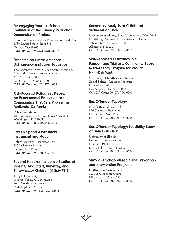### Re-engaging Youth in School: Evaluation of the Truancy Reduction Demonstration Project

Colorado Foundation for Families and Children 1580 Logan Street, Suite 315 Denver, CO 80203 OJJDP Grant 99–MU–MU–0014

### Research on Native American Delinquency and Juvenile Justice

The Regents of New Mexico State University Arts and Science Research Center MSC RC, Box 30001 Las Cruces, NM 88003–8001 OJJDP Grant 00–TY–FX–0035

### Risk-Focused Policing at Places: An Experimental Evaluation of the Communities That Care Program in Redlands, California

Police Foundation 1201 Connecticut Avenue NW., Suite 200 Washington, DC 20036 OJJDP Grant 00–JR–VX–0004

### Screening and Assessment: Instrument and Model

Policy Research Associates, Inc. 345 Delaware Avenue Delmar, NY 12054 OJJDP Grant 99–JR–VX–0006

### Second National Incidence Studies of Missing, Abducted, Runaway, and Thrownaway Children (NISMART 2)

Temple University Institute for Survey Research 1601 North Broad Street Philadelphia, PA 19122 OJJDP Grant 95–MC–CX–K004

### Secondary Analysis of Childhood Victimization Data

University at Albany, State University of New York Hindelang Criminal Justice Research Center 135 Western Avenue, DR–241 Albany, NY 12222 OJJDP Grant 97–JN–FX–0015

### Self-Reported Outcomes in a Randomized Trial of a Community-Based Multi-Agency Program for Mid- to High-Risk Youth

University of Southern California Social Science Research Institute University Park Los Angeles, CA 90089–0375 OJJDP Grant 00–JR–VX–0001

### Sex Offender Typology

Health Related Research 825 Crawford Parkway Portsmouth, VA 23704 OJJDP Grant 98–JN–FX–0008

### Sex Offender Typology: Feasibility Study of Data Collection

University of Illinois Center for Legal Studies P.O. Box 19243 Springfield, IL 62794–9243 OJJDP Grant 98–JN–FX–0006

### Survey of School-Based Gang Prevention and Intervention Programs

Gottfredson Associates, Inc. 3239 B Corporate Court Ellicott City, MD 21042 OJJDP Grant 98–JN–FX–0004

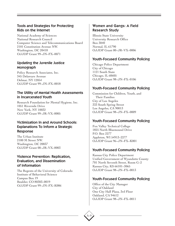### Tools and Strategies for Protecting Kids on the Internet

National Academy of Sciences National Research Council Computer Science and Telecommunications Board 2101 Constitution Avenue NW. Washington, DC 20418 OJJDP Grant 99–JN–FX–0071

### Updating the Juvenile Justice Monograph

Policy Research Associates, Inc. 345 Delaware Avenue Delmar, NY 12054 OJJDP Grant 99–JN–FX–0018

### The Utility of Mental Health Assessments in Incarcerated Youth

Research Foundation for Mental Hygiene, Inc. 1051 Riverside Drive New York, NY 10032 OJJDP Grant 99–JR–VX–0005

### Victimization In and Around Schools: Explanations To Inform a Strategic Response

The Urban Institute 2100 M Street NW. Washington, DC 20037 OJJDP Grant 00–JR–VX–0003

### Violence Prevention: Replication, Evaluation, and Dissemination of Information

The Regents of the University of Colorado Institute of Behavioral Science Campus Box 19 Boulder, CO 80303–0019 OJJDP Grant 99–JN–FX–K006

### Women and Gangs: A Field Research Study

Illinois State University University Research Office Box 3040 Normal, IL 61790 OJJDP Grant 00–JR–VX–0006

### Youth-Focused Community Policing

Chicago Police Department City of Chicago 1121 South State Chicago, IL 60605 OJJDP Grant 98–JN–FX–0106

### Youth-Focused Community Policing

Commission for Children, Youth, and Their Families City of Los Angeles 333 South Spring Street Los Angeles, CA 90013 OJJDP Grant 98–JN–FX–0009

### Youth-Focused Community Policing

Fox Valley Technical College 1825 North Bluemound Drive P.O. Box 2277 Appleton, WI 54913–2277 OJJDP Grant 96–JN–FX–K001

### Youth-Focused Community Policing

Kansas City Police Department Unified Government of Wyandotte County 701 North Seventh Street, Room G–2 Kansas City, KS 66101–3065 OJJDP Grant 98–JN–FX–0013

### Youth-Focused Community Policing

Office of the City Manager City of Oakland One City Hall Plaza, 3rd Floor Oakland, CA 94612 OJJDP Grant 98–JN–FX–0011

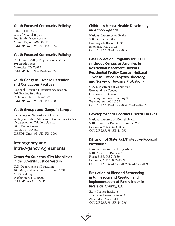### Youth-Focused Community Policing

Office of the Mayor City of Mound Bayou 106 South Green Avenue Mound Bayou, MS 38762 OJJDP Grant 98–JN–FX–0089

### Youth-Focused Community Policing

Rio Grande Valley Empowerment Zone 301 South Texas Mercedes, TX 78570 OJJDP Grant 98–JN–FX–0056

### Youth Gangs in Juvenile Detention and Corrections Facilities

National Juvenile Detention Association 301 Perkins Building Richmond, KY 40475–3127 OJJDP Grant 96–JD–FX–0004

### Youth Groups and Gangs in Europe

University of Nebraska at Omaha College of Public Affairs and Community Service Department of Criminal Justice 6001 Dodge Street Omaha, NE 68182 OJJDP Grant 99–JD–FX–0006

### Interagency and Intra-Agency Agreements

### Center for Students With Disabilities in the Juvenile Justice System

U.S. Department of Education 400 Maryland Avenue SW., Room 3531 MES Building Washington, DC 20202 OJJDP IAA 00–JN–R–012

### Children's Mental Health: Developing an Action Agenda

National Institutes of Health 9000 Rockville Pike Building 31, Room B1B04 Bethesda, MD 20892 OJJDP IAA 00–JN–R–085

Data Collection Programs for OJJDP (Includes Census of Juveniles in Residential Placement, Juvenile Residential Facility Census, National Juvenile Justice Program Directory, and Survey of Juvenile Probation)

U.S. Department of Commerce Bureau of the Census Government Division Washington Plaza, Building 2 Washington, DC 20233 OJJDP IAA 98–JN–R–034, 00–JX–R–022

### Development of Conduct Disorder in Girls

National Institute of Mental Health 6001 Executive Boulevard, Room 6200 Bethesda, MD 20892–9663 OJJDP IAA 99–JE–R–051

### Diffusion of State Risk/Protective-Focused Prevention

National Institute on Drug Abuse 6001 Executive Boulevard Room 5153, MSC 9589 Bethesda, MD 20892–9589 OJJDP IAA 97–JN–R–072, 97–JN–R–079

### Evaluation of Blended Sentencing in Minnesota and Creation and Implementation of Family Index in Riverside County, CA

State Justice Institute 1650 King Street, Suite 600 Alexandria, VA 22314 OJJDP IAA 99–JR–R–096

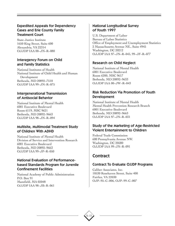### Expedited Appeals for Dependency Cases and Erie County Family Treatment Court

State Justice Institute 1650 King Street, Suite 600 Alexandria, VA 22314 OJJDP IAA 00–JN–R–080

### Interagency Forum on Child and Family Statistics

National Institutes of Health National Institute of Child Health and Human Development Bethesda, MD 20892–7510 OJJDP IAA 99–JN–R–075

### Intergenerational Transmission of Antisocial Behavior

National Institute of Mental Health 6001 Executive Boulevard Room 6119, MSC 9621 Bethesda, MD 20892–9663 OJJDP IAA 98–JN–R–094

### Multisite, Multimodal Treatment Study of Children With ADHD

National Institute of Mental Health Division of Service and Intervention Research 6001 Executive Boulevard Bethesda, MD 20892–9663 OJJDP IAA 99–JP–R–050

### National Evaluation of Performancebased Standards Program for Juvenile Confinement Facilities

National Academy of Public Administration P.O. Box 91 Mansfield, MA 02048 OJJDP IAA 98–JB–R–061

### National Longitudinal Survey of Youth 1997

U.S. Department of Labor Bureau of Labor Statistics Office of Employment and Unemployment Statistics 2 Massachusetts Avenue NE., Suite 4945 Washington, DC 20212 OJJDP IAA 97–JN–R–045, 99–JF–R–077

### Research on Child Neglect

National Institute of Mental Health 6001 Executive Boulevard Room 6200, MSC 9617 Bethesda, MD 20892–9633 OJJDP IAA 00–JW–R–043

### Risk Reduction Via Promotion of Youth Development

National Institute of Mental Health Mental Health Prevention Research Branch 6001 Executive Boulevard Bethesda, MD 20892–9663 OJJDP IAA 97–JN–R–031

### Study of the Marketing of Age-Restricted Violent Entertainment to Children

Federal Trade Commission 600 Pennsylvania Avenue NW. Washington, DC 20580 OJJDP IAA 99–JN–R–091

### **Contract**

### Contract To Evaluate OJJDP Programs

Caliber Associates, Inc. 10530 Rosehaven Street, Suite 400 Fairfax, VA 22030 OJP–95–C–006, OJP–99–C–007

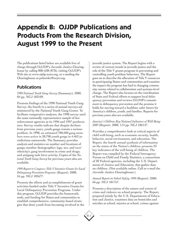# **Appendix B: OJJDP Publications and Products From the Research Division, August 1999 to the Present**

The publications listed below are available free of charge through OJJDP's Juvenile Justice Clearinghouse by calling 800–638–8736, visiting OJJDP's Web site at www.ojjdp.ncjrs.org, or e-mailing the Clearinghouse at puborder@ncjrs.org.

### **Publications**

*1998 National Youth Gang Survey* (Summary). 2000. 84 pp. NCJ 183109.

Presents findings of the 1998 National Youth Gang Survey, the fourth in a series of annual surveys administered by the National Youth Gang Center. To facilitate comparative analyses, the 1998 survey used the same nationally representative sample of law enforcement agencies as its 1996 and 1997 predecessors. Survey results indicate that despite declines from previous years, youth gangs remain a serious problem. In 1998, an estimated 780,200 gang members were active in 28,700 youth gangs in 4,463 jurisdictions nationwide. The Summary provides analysis and statistics on number and locations of gangs; member demographics (age, sex, and race/ ethnicity); gang involvement in crime and drugs; and antigang task force activity. Copies of the *National Youth Gang Survey* for previous years also are available.

*1999 Report to Congress: Title V Incentive Grants for Local Delinquency Prevention Programs* (Report). 2000. 55 pp. NCJ 182677.

Presents the efforts and accomplishments of grant activities funded under Title V Incentive Grants for Local Delinquency Prevention Programs. Under this program, OJJDP provides the framework, tools, and funding for States and communities to establish comprehensive, community-based strategies that deter youth from becoming involved in the juvenile justice system. The Report begins with a review of current trends in juvenile justice and the role of the Title V grants program in preventing and controlling youth problem behaviors. The Report goes on to describe the allocation of Title V resources to participating States and communities and examine the impact the program has had in changing community norms related to collaboration and systems-level change. The Report also focuses on the coordination of State and Federal efforts to support local delinquency prevention and reviews OJJDP's commitment to delinquency prevention and the promise it holds for moving toward a healthier, safer future for America's children, youth, and families. Reports for previous years also are available.

### *America's Children: Key National Indicators of Well-Being 2000* (Report). 2000. 114 pp. NCJ 186147.

Provides a comprehensive look at critical aspects of child well-being, such as economic security, health, behavior, social environment, and education. The Report, the fourth annual synthesis of information on the status of the Nation's children, presents 23 key indicators of the well-being of children. The Report was compiled by the Federal Interagency Forum on Child and Family Statistics, a consortium of 20 Federal agencies, including the U.S. Departments of Justice and Education, that gather data on children. (Not available online. Call or e-mail the Juvenile Justice Clearinghouse.)

### *Annual Report on School Safety, 1999* (Report). 2000. 66 pp. NCJ 181757.

Presents a description of the nature and extent of crime and violence on school property. The Report, prepared jointly by the U.S. Departments of Education and Justice, examines data on homicides and suicides at school, injuries at school, crimes against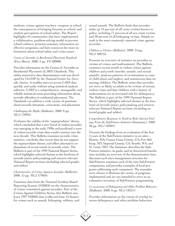students, crimes against teachers, weapons at school, the consequences of bringing firearms to school, and student perceptions of school safety. The Report highlights 54 communities that have implemented a collaborative, problem-solving model to prevent school violence; presents summary information on effective programs; and lists resources for more information about school safety and crime issues.

### *Census of Juveniles in Residential Placement Databook* (Fact Sheet). 2000. 2 pp. FS 200008.

Provides information on the Census of Juveniles in Residential Placement (CJRP) Databook. This online interactive data dissemination tool was developed for OJJDP by the National Center for Juvenile Justice. It enables users to access CJRP data quickly and easily without using statistical analysis software. CJRP is a comprehensive, manageable, and reliable statistical series providing information about juvenile offenders in residential placement. The Databook can address a wide variety of questions about juvenile detention, corrections, and placement.

### *Challenging the Myths* (Bulletin). 2000. 8 pp. NCJ 178993.

Evaluates the validity of the "superpredator" theory, which concluded that a new breed of violent juveniles was emerging in the early 1990s and predicted a wave of violent juvenile crime that would continue into the next decade. This Bulletin examines juvenile crime statistics, concludes that recent data do not support the superpredator theory, and offers alternative explanations of recent trends in juvenile crime. The Bulletin is part of the 1999 National Report Series, which highlights selected themes at the forefront of juvenile justice policymaking and extracts relevant National Report sections (including selected graphs and tables).

### *Characteristics of Crimes Against Juveniles* (Bulletin). 2000. 12 pp. NCJ 179034.

Examines data from the National Incident-Based Reporting System (NIBRS) on the characteristics of crimes committed against juveniles. Part of the Crimes Against Children Series, this Bulletin analyzes 1997 NIBRS data (collected from 12 States) for crimes such as assault, kidnaping, robbery, and sexual assault. The Bulletin finds that juveniles make up 12 percent of all crime victims known to police, including 71 percent of all sex crime victims and 38 percent of all kidnaping victims. Simple assault is the most commonly reported crime against juveniles.

### *Children as Victims* (Bulletin). 2000. 24 pp. NCJ 180753.

Presents an overview of statistics on juveniles as victims of crimes and maltreatment. The Bulletin examines recent trends in violent crimes against children and youth (murder, assault, and sexual assault), analyzes patterns of victimization in cases of child abuse and neglect, and summarizes data on missing children. The Bulletin notes that juveniles are twice as likely as adults to be victims of serious violent crime and that children with a history of maltreatment are at increased risk for delinquency. The Bulletin is part of the 1999 National Report Series, which highlights selected themes at the forefront of juvenile justice policymaking and extracts relevant National Report sections (including selected graphs and tables).

### *Comprehensive Responses to Youth at Risk: Interim Findings From the SafeFutures Initiative* (Summary). 2000. 96 pp. NCJ 183841.

Presents the findings from an evaluation of the first 3 years of the SafeFutures initiative in six sites— Boston, MA; Contra Costa County, CA; Fort Belknap, MT; Imperial County, CA; Seattle, WA; and St. Louis, MO. The Summary describes the Safe-Futures initiative, its goals, and its theoretical foundation; includes an overview of the demonstration sites; discusses each site's management structure for SafeFutures; examines each of the nine SafeFutures components; and provides examples of local programs addressing each component. The examples were chosen to illustrate the variety of programs implemented and are not intended to serve as an exhaustive inventory of SafeFutures programming.

*Co-occurrence of Delinquency and Other Problem Behaviors* (Bulletin). 2000. 8 pp. NCJ 182211.

Provides information on the extent of overlap between delinquency and other problem behaviors.

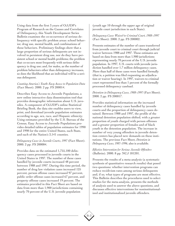Using data from the first 3 years of OJJDP's Program of Research on the Causes and Correlates of Delinquency, this Youth Development Series Bulletin examines the co-occurrence of serious delinquency with specific problem areas: school behavior, drug use, mental health, and combinations of these behaviors. Preliminary findings show that a large proportion of serious delinquents are not involved in persistent drug use, nor do they have persistent school or mental health problems; the problem that co-occurs most frequently with serious delinquency is drug use; and, for males, as the number of problem behaviors other than delinquency increases, so does the likelihood that an individual will be a serious delinquent.

### *Counting America's Youth: Easy Access to Population Data* (Fact Sheet). 2000. 2 pp. FS 200014.

Describes Easy Access to Juvenile Populations, a new online interactive data dissemination tool that provides demographic information about U.S. juveniles. A component of OJJDP's online Statistical Briefing Book, the data site enables users to view, print, and download juvenile population estimates according to age, sex, race, and Hispanic ethnicity. Using estimates provided by the U.S. Bureau of the Census, Easy Access to Juvenile Populations provides detailed tables of population estimates for 1990 and 1998 for the entire United States, each State, and each of the Nation's 3,141 counties.

### *Delinquency Cases in Juvenile Courts, 1997* (Fact Sheet). 2000. 2 pp. FS 200004.

Provides data on the estimated 1,755,100 delinquency cases processed in juvenile courts in the United States in 1997. The number of these cases handled by juvenile courts increased 48 percent between 1988 and 1997. During this time period, the number of drug law violation cases increased 125 percent, person offense cases increased 97 percent, public order offense cases increased 67 percent, and property offense cases increased 19 percent. The estimates provided in this Fact Sheet are based on data from more than 1,900 jurisdictions containing nearly 70 percent of the U.S. juvenile population

(youth age 10 through the upper age of original juvenile court jurisdiction in each State).

*Delinquency Cases Waived to Criminal Court, 1988–1997* (Fact Sheet). 2000. 2 pp. FS 200002.

Presents estimates of the number of cases transferred from juvenile court to criminal court through judicial waiver between 1988 and 1997. These estimates are based on data from more than 1,900 jurisdictions representing nearly 70 percent of the U.S. juvenile population. In 1997, U.S. courts with juvenile jurisdiction handled over 1.7 million delinquency cases. More than half of these cases were handled formally (that is, a petition was filed requesting an adjudication or waiver hearing). In 1997, waivers to criminal court represented less than 1 percent of the formally processed delinquency caseload.

### *Detention in Delinquency Cases, 1988–1997* (Fact Sheet). 2000. 2 pp. FS 200017.

Provides statistical information on the increased number of delinquency cases handled by juvenile courts and the proportion of delinquency cases detained. Between 1988 and 1997, the profile of the national detention population shifted, with a greater proportion of youth charged with person offenses and a greater proportion of females and of black youth in the detention population. The increase in number of very young offenders in juvenile detention centers has placed new demands on these institutions. The previous Fact Sheet, *Detention in Delinquency Cases, 1987–1996,* also is available.

### *Effective Intervention for Serious Juvenile Offenders* (Bulletin). 2000. 8 pp. NCJ 181201.

Presents the results of a meta-analysis (a systematic synthesis of quantitative research results) that posed two questions: whether intervention programs can reduce recidivism rates among serious delinquents and, if so, what types of programs are most effective. This Bulletin describes the procedures used to select studies for the meta-analysis, presents the methods of analysis used to answer the above questions, and discusses effective interventions for noninstitutionalized and institutionalized juvenile offenders.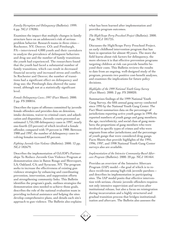*Family Disruption and Delinquency* (Bulletin). 1999. 6 pp. NCJ 178285.

Examines the impact that multiple changes in family structure have on an adolescent's risk of serious problem behavior. Research teams in three cities— Rochester, NY; Denver, CO; and Pittsburgh, PA—interviewed 4,000 youth and their caretakers to analyze the prevalence of delinquent behaviors and drug use and the number of family transitions the youth had experienced. The researchers found that the youth had faced a substantial number of family transitions, which can result in decreased financial security and increased stress and conflict. In Rochester and Denver, the number of transitions had a significant effect on delinquency and drug use; the Pittsburgh data showed the same trend, although not at a statistically significant level.

### *Female Delinquency Cases, 1997* (Fact Sheet). 2000. 2 pp. FS 200016.

Describes the types of offenses committed by juvenile female offenders and provides data on detention, intake decisions, waiver to criminal court, and adjudication and disposition. Juvenile courts processed an estimated 1,755,100 delinquency cases in 1997, nearly one-fourth (23 percent) of which involved a female offender, compared with 19 percent in 1988. Between 1988 and 1997, the number of delinquency cases involving females increased 83 percent.

### *Fighting Juvenile Gun Violence* (Bulletin). 2000. 12 pp. NCJ 182679.

Describes the implementation of OJJDP's Partnerships To Reduce Juvenile Gun Violence Program at demonstration sites in Baton Rouge and Shreveport, LA; Oakland, CA; and Syracuse, NY. The program seeks to increase the effectiveness of existing gun violence strategies by enhancing and coordinating prevention, intervention, and suppression efforts and strengthening community links. This Bulletin identifies the program's goals, outlines strategies the demonstration sites needed to achieve those goals, describes the role of the national evaluation team in providing technical assistance and helping the sites develop comprehensive plans, and details each site's approach to gun violence. The Bulletin also explains

what has been learned after implementation and provides program outcomes.

### *The High/Scope Perry Preschool Project* (Bulletin). 2000. 8 pp. NCJ 181725.

Discusses the High/Scope Perry Preschool Project, an early childhood intervention program that has been in operation for almost 40 years. The more the field learns about risk factors for delinquency, the more obvious it is that effective prevention programs targeting children at risk can provide benefits beyond their costs. This Bulletin reviews the results to date from an ongoing, well-designed study of the program, presents two positive cost-benefit analyses, and examines the implications for future policy decisions.

### *Highlights of the 1999 National Youth Gang Survey* (Fact Sheet). 2000. 2 pp. FS 200020.

Summarizes findings of the 1999 National Youth Gang Survey, the fifth annual gang survey conducted since 1995 by the National Youth Gang Center. The Fact Sheet summarizes data on the percentage of jurisdictions reporting active youth gangs in 1999; the reported numbers of youth gangs and gang members; the age, race/ethnicity, and social class of gang members; the proportions of gang members who were involved in specific types of crimes and who were migrants from other jurisdictions; and the percentage of youth gangs that were considered drug gangs. Facts Sheets that provide highlights of the 1995, 1996, 1997, and 1998 National Youth Gang Center surveys also are available.

### *Implementation of the Intensive Community-Based Aftercare Program* (Bulletin). 2000. 20 pp. NCJ 181464.

Provides an overview of the Intensive Aftercare Program (IAP) model—the goal of which is to reduce recidivism among high-risk juvenile parolees and describes its implementation in participating sites. The IAP model posits that effective intervention with serious, chronic juvenile offenders requires not only intensive supervision and services after institutional release, but also a focus on reintegration during incarceration and a highly structured and gradual transition process that bridges institutionalization and aftercare. The Bulletin also assesses the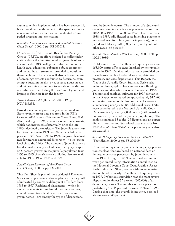extent to which implementation has been successful, both overall and with respect to the specific components, and identifies factors that facilitated or impeded program implementation.

### *Innovative Information on Juvenile Residential Facilities* (Fact Sheet). 2000. 2 pp. FS 200011.

Describes the first Juvenile Residential Facility Census (JRFC), an effort designed to collect information about the facilities in which juvenile offenders are held. JRFC will gather information on the health care, education, substance abuse treatment, and mental health treatment provided to youth in these facilities. The census will also indicate the use of screenings or tests conducted to determine counseling, education, health, or substance abuse needs and will examine prominent issues about conditions of confinement, including the restraint of youth and improper absences from the facility.

### *Juvenile Arrests 1999* (Bulletin). 2000. 12 pp. NCJ 185236.

Provides a summary and analysis of national and State juvenile arrest data reported in the FBI's October 2000 report, *Crime in the United States, 1999*. After peaking in 1994, juvenile violent crime arrests, which had increased substantially since the late 1980s, declined dramatically. The juvenile arrest rate for violent crime in 1999 was 36 percent below its peak in 1994. From 1993 to 1999, the juvenile arrest rate for murder decreased 68 percent—to its lowest level since the 1960s. The number of juvenile arrests has declined in every violent crime category despite an 8-percent growth in the juvenile population from 1993 to 1999. *Juvenile Arrests* Bulletins also are available for 1995, 1996, 1997, and 1998.

### *Juvenile Court Placement of Adjudicated Youth* (Fact Sheet). 2000. 2 pp. FS 200015.

This Fact Sheet is part of the Residential Placement Series and reports out-of-home placements for youth adjudicated by courts as delinquent offenders from 1988 to 1997. Residential placements—which include placements in residential treatment centers, juvenile corrections facilities, foster homes, and group homes—are among the types of dispositions

used by juvenile courts. The number of adjudicated cases resulting in out-of-home placement rose from 104,800 in 1988 to 163,200 in 1997. However, from 1988 to 1997, adjudicated cases involving placement increased least for white youth (52 percent), compared with black youth (60 percent) and youth of other races (69 percent).

### *Juvenile Court Statistics 1997* (Report). 2000. 120 pp. NCJ 180864.

Profiles more than 1.7 million delinquency cases and 158,000 status offense cases handled by the juvenile courts in 1997. Detailed information is provided on the offenses involved, referral sources, detention practices, and case dispositions. This Report, the 71st in the Juvenile Court Statistics Series, also includes demographic characteristics of offending juveniles and describes various trends since 1988. The national caseload estimates for 1997 contained in this Report were based on approximately 917,400 automated case records plus court-level statistics summarizing nearly 217,400 additional cases. Data were contributed to the National Juvenile Court Data Archive by nearly 2,000 courts (with jurisdiction over 71 percent of the juvenile population). The analysis includes 88 tables, 29 figures, and an appendix with county- and State-level case statistics from 1997. *Juvenile Court Statistics* for previous years also are available.

### *Juvenile Delinquency Probation Caseload, 1988–1997* (Fact Sheet). 2000. 2 pp. FS 200019.

Presents findings on the juvenile delinquency probation caseload that are based on national data on delinquency cases processed by juvenile courts from 1988 through 1997. The national estimates were generated using information contributed to the National Juvenile Court Data Archive. As set forth in this Fact Sheet, courts with juvenile jurisdiction handled nearly 1.8 million delinquency cases in 1997. Probation supervision was the most severe disposition in almost 37 percent (645,600) of all delinquency cases. The number of cases placed on probation grew 48 percent between 1988 and 1997. During that time, the overall delinquency caseload also increased 48 percent.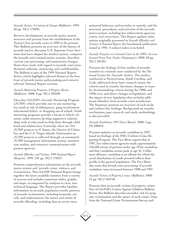*Juvenile Justice: A Century of Change* (Bulletin). 1999. 20 pp. NCJ 178995.

Reviews developments in juvenile justice system structure and process from the establishment of the Nation's first juvenile court in 1899 to the present. This Bulletin presents an overview of the history of juvenile justice, discusses U.S. Supreme Court decisions that have shaped the modern system, compares the juvenile and criminal justice systems, describes current case processing, and summarizes changes States have made with regard to juvenile court jurisdictional authority, sentencing, and confidentiality. The Bulletin is part of the 1999 National Report Series, which highlights selected themes at the forefront of juvenile justice policymaking and extracts relevant National Report sections.

### *Juvenile Mentoring Program: A Progress Review* (Bulletin). 2000. 8 pp. NCJ 182209.

Describes OJJDP's Juvenile Mentoring Program (JUMP), which provides one-to-one mentoring for youth at risk of delinquency, gang involvement, educational failure, or dropping out of school. Youth mentoring programs provide a forum in which volunteer adult mentors develop supportive relationships with at-risk youth to help them through childhood and adolescence. Currently, there are 164 JUMP projects in 41 States, the District of Columbia, and the U.S. Virgin Islands. Information on JUMP projects is collected through an automated JUMP management information system, intensive case studies, and extensive communication with grantee agencies.

### *Juvenile Offenders and Victims: 1999 National Report* (Report). 1999. 232 pp. NCJ 178257.

Presents comprehensive information on the juvenile justice system and juvenile crime, violence, and victimization. This OJJDP National Report brings together the latest available statistics from a variety of sources and includes numerous tables, graphs, and maps, accompanied by analyses in clear, nontechnical language. The Report provides baseline information on juvenile population trends; patterns of juvenile victimization, including homicide, suicide, and maltreatment; the nature and extent of juvenile offending, including data on arrest rates,

antisocial behavior, and juveniles in custody; and the structure, procedures, and activities of the juvenile justice system, including law enforcement agencies, courts, and corrections. This Report updates information originally presented in *Juvenile Offenders and Victims: A National Report,* the benchmark publication issued in 1995. A subject index is included.

*Juvenile Transfers to Criminal Court in the 1990's: Lessons Learned From Four Studies* (Summary). 2000. 68 pp. NCJ 181301.

Presents the findings of four studies of juvenile transfers to criminal court conducted by the National Center for Juvenile Justice. The studies, conducted in Pennsylvania, South Carolina, and Utah, addressed three basic research issues: the criteria used in transfer decisions, changes in transfer decisionmaking criteria during the 1980s and 1990s over and above changes in legislation, and the impact of new legislation that excludes additional offenders from juvenile court jurisdiction. The Summary presents an overview of each study and outlines key findings. Background on transfer mechanisms, past research, and study methodology is also provided.

### *Juvenile Vandalism, 1997* (Fact Sheet). 2000. 2 pp. FS 200010.

Presents statistics on juvenile vandalism in 1997, based on findings of the FBI's Uniform Crime Reporting Program. The Fact Sheet reports that in 1997, law enforcement agencies made approximately 136,500 arrests of persons under age 18 for vandalism and that vandalism arrests peak at age 16. Unlike most offenses, vandalism is an offense for which the racial distribution of youth arrested reflects their profile in the general population. The Fact Sheet also notes that formal court processing of juvenile vandalism cases increased between 1988 and 1997.

### *Juvenile Victims of Property Crimes* (Bulletin). 2000. 12 pp. NCJ 184740.

Presents data on juvenile victims of property crimes. Part of OJJDP's Crimes Against Children Bulletin Series, this Bulletin describes juveniles' risk for property victimization and the nature of such crimes. Data from the National Crime Victimization Survey and

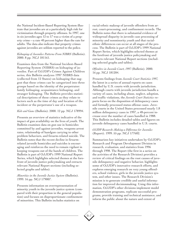the National Incident-Based Reporting System illustrate that juveniles are at a particularly high risk for victimization through property offenses. In 1997, one in six juveniles ages 12 to 17 was a victim of a property crime—a rate 40 percent higher than the rate for adults. The data also indicate that property crimes against juveniles are seldom reported to the police.

### *Kidnaping of Juveniles: Patterns From NIBRS* (Bulletin). 2000. 8 pp. NCJ 181161.

Examines data from the National Incident-Based Reporting System (NIBRS) on kidnaping of juveniles. Part of OJJDP's Crimes Against Children series, this Bulletin analyzes 1997 NIBRS data (collected from 12 States) on kidnaping that suggest that these crimes can be categorized into three groups based on the identity of the perpetrator: family kidnaping, acquaintance kidnaping, and stranger kidnaping. The Bulletin provides statistical descriptions of these crimes as they relate to factors such as the time of day and location of the incident or the perpetrator's use of a weapon.

### *Kids and Guns* (Bulletin). 2000. 12 pp. NCJ 178994.

Presents an overview of statistics indicative of the impact of gun availability on the lives of youth. The Bulletin examines data on gun use in homicides committed by and against juveniles, weapons arrest rates, relationship of handgun carrying to other problem behaviors, and firearm-related suicide. The Bulletin notes that the recent decline in firearmrelated juvenile homicides and suicides is encouraging and reinforces the need to remain vigilant in keeping weapons out of the hands of children. The Bulletin is part of OJJDP's 1999 National Report Series, which highlights selected themes at the forefront of juvenile justice policymaking and extracts relevant National Report sections (including selected graphs and tables).

### *Minorities in the Juvenile Justice System* (Bulletin). 1999. 16 pp. NCJ 179007.

Presents information on overrepresentation of minority youth in the juvenile justice system (compared with their proportion in the general population) and focuses on disproportionate confinement of minorities. This Bulletin includes statistics on

racial-ethnic makeup of juvenile offenders from arrest, court-processing, and confinement records. The Bulletin notes that there is substantial evidence of widespread disparity in juvenile case processing of minority and nonminority youth and that racialethnic differences can occur at all stages of the process. The Bulletin is part of OJJDP's 1999 National Report Series, which highlights selected themes at the forefront of juvenile justice policymaking and extracts relevant National Report sections (including selected graphs and tables).

*Offenders in Juvenile Court, 1997* (Bulletin). 2000. 16 pp. NCJ 181204.

Presents findings from *Juvenile Court Statistics 1997,* the latest in a series of annual reports on cases handled by U.S. courts with juvenile jurisdiction. Although courts with juvenile jurisdiction handle a variety of cases, including abuse, neglect, adoption, and traffic violations, the *Juvenile Court Statistics* reports focus on the disposition of delinquency cases and formally processed status offense cases. Juvenile courts in the United States processed nearly 1.8 million delinquency cases in 1997, a 48-percent increase over the number of cases handled in 1988. This Bulletin includes detailed tables and figures on juvenile delinquency cases handled in U.S. courts.

### *OJJDP Research: Making a Difference for Juveniles* (Report). 1999. 55 pp. NCJ 177602.

Summarizes key initiatives undertaken by OJJDP's Research and Program Development Division in research, evaluation, and statistics from 1996 through 1998. The Report (the first in a series on the activities of the Research Division) provides a review of critical findings on the root causes of juvenile delinquency and negative behavior, highlights some of OJJDP's innovative research efforts, and explores emerging research on very young offenders, school violence, girls in the juvenile justice system, and other issues. The Research Division's mission is to generate credible and useful information for improved decisionmaking. Using this information, OJJDP's other divisions implement model demonstration programs, replicate successful programs, provide training and technical assistance, and inform the public about the nature and extent of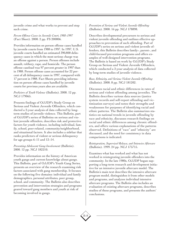juvenile crime and what works to prevent and stop such crime.

*Person Offense Cases in Juvenile Court, 1988–1997* (Fact Sheet). 2000. 2 pp. FS 200006.

Provides information on person offense cases handled by juvenile courts from 1988 to 1997. In 1997, U.S. juvenile courts handled an estimated 390,800 delinquency cases in which the most serious charge was an offense against a person. Person offenses include assault, robbery, rape, and homicide. The person offense caseload was 97 percent greater in 1997 than in 1988. Person offense cases accounted for 22 percent of all delinquency cases in 1997, compared with 17 percent in 1988. Fact Sheets providing information on person offense cases handled by juvenile courts for previous years also are available.

### *Predictors of Youth Violence* (Bulletin). 2000. 12 pp. NCJ 179065.

Presents findings of OJJDP's Study Group on Serious and Violent Juvenile Offenders, which conducted a 2-year analysis of data collected by longterm studies of juvenile violence. This Bulletin, part of OJJDP's series of Bulletins on serious and violent juvenile offenders, describes risk and protective factors for youth violence, including individual, family, school, peer-related, community/neighborhood, and situational factors. It also includes a sidebar that ranks predictors of violent or serious delinquency for age groups 6–11 and 12–14.

### *Preventing Adolescent Gang Involvement* (Bulletin). 2000. 12 pp. NCJ 182210.

Provides information on the history of American youth gangs and current knowledge about gangs. This Bulletin, part of OJJDP's Youth Gang Series, presents an overview of the research examining risk factors associated with gang membership. It focuses on the following five domains: individual and family demographics, personal attributes, peer group, school, and community. The Bulletin also describes prevention and intervention strategies and programs geared toward gang members and youth at risk of becoming involved in gangs.

*Prevention of Serious and Violent Juvenile Offending* (Bulletin). 2000. 16 pp. NCJ 178898.

Describes developmental precursors to serious and violent juvenile offending and outlines effective approaches to prevention of such offending. Part of OJJDP's series on serious and violent juvenile offenders, this Bulletin describes family-, parent-, and child-focused prevention programs and offers examples of well-designed intervention programs. The Bulletin is based on work by OJJDP's Study Group on Serious and Violent Juvenile Offenders, which conducted a 2-year analysis of data collected by long-term studies of juvenile violence.

### *Race, Ethnicity, and Serious Violent Juvenile Offending* (Bulletin). 2000. 8 pp. NCJ 181202.

Discusses racial and ethnic differences in rates of serious and violent offending among juveniles. The Bulletin describes various data sources (justice system records and self-report offending and victimization surveys) and notes their strengths and weaknesses for purposes of identifying racial and ethnic patterns. The Bulletin also summarizes statistics on national trends in juvenile offending by race and ethnicity, discusses research findings on racial and ethnic differences among chronic offenders, and offers various explanations of the patterns observed. Definitions of "race" and "ethnicity" are discussed, and the need for consistency in data comparisons is indicated.

### *Reintegration, Supervised Release, and Intensive Aftercare* (Bulletin). 1999. 24 pp. NCJ 175715.

Examines what has worked and what has not worked in reintegrating juvenile offenders into the community. In the late 1980s, OJJDP began supporting a long-term research and development initiative for an intensive juvenile aftercare model. The Bulletin's main text describes the intensive aftercare program model, distinguishes it from other models and programs, and analyzes individual intensive aftercare programs. The Bulletin also includes an evaluation of existing aftercare programs, describes studies of these programs, and presents the authors' conclusions.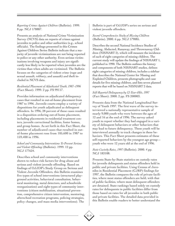*Reporting Crimes Against Children* (Bulletin). 1999. 8 pp. NCJ 178887.

Presents an analysis of National Crime Victimization Survey (NCVS) data on reports of crimes against juveniles to police and other authorities (e.g., school officials). The findings presented in this Crimes Against Children Series Bulletin indicate that a majority of juvenile victimizations are not being reported to police or any other authority. Even serious victimizations involving weapons and injury are significantly less likely to be reported when juveniles are the victims than when adults are victimized. The Bulletin focuses on the categories of violent crime (rape and sexual assault, robbery, and assault) and theft included in NCVS data.

### *Residential Placement of Adjudicated Youth, 1987–1996* (Fact Sheet). 1999. 2 pp. FS 99117.

Provides information on adjudicated delinquency cases that resulted in out-of-home placement from 1987 to 1996. Juvenile courts employ a variety of dispositions for youth adjudicated as delinquent offenders. In 1996, 28 percent of these cases resulted in a disposition ordering out-of-home placement, including placements in residential treatment centers, juvenile correctional facilities, foster homes, and group homes. As set forth in this Fact Sheet, the number of adjudicated cases that resulted in outof-home placement rose from 105,600 in 1987 to 159,400 in 1996.

### *School and Community Interventions To Prevent Serious and Violent Offending* (Bulletin). 1999. 12 pp. NCJ 177624.

Describes school and community interventions shown to reduce risk factors for drug abuse and serious and violent juvenile offending. Based on findings of OJJDP's Study Group on Serious and Violent Juvenile Offenders, this Bulletin examines five types of school interventions (structured playground activities, behavioral consultation, behavioral monitoring, metal detectors, and schoolwide reorganization) and eight types of community interventions (citizen mobilization, situational prevention, comprehensive citizen intervention, mentoring, afterschool recreation programs, policing strategies, policy changes, and mass media interventions). The

Bulletin is part of OJJDP's series on serious and violent juvenile offenders.

### *Second Comprehensive Study of Missing Children* (Bulletin). 2000. 6 pp. NCJ 179085.

Describes the second National Incidence Studies of Missing, Abducted, Runaway, and Thrownaway Children (NISMART 2), which will measure the incidence of each of eight categories of missing children. The current study will update the findings of NISMART 1, published in 1990. The Bulletin outlines the history and components of both NISMART studies, defines eight categories of missing children, includes a sidebar that describes the National Center for Missing and Exploited Children, presents photographs and case details for five missing children, and lists seven planned reports that will be based on NISMART 2 data.

### *Self-Reported Delinquency by 12-Year-Olds, 1997* (Fact Sheet). 2000. 2 pp. FS 200003.

Presents data from the National Longitudinal Survey of Youth 1997. The first wave of the survey interviewed a nationally representative sample of nearly 9,000 youth who were between the ages of 12 and 16 at the end of 1996. The survey asked youth to report whether they had engaged in a variety of delinquent behaviors or other behaviors that may lead to future delinquency. These youth will be interviewed annually to track changes in these behaviors. This Fact Sheet presents estimates of these self-reported behaviors by the youngest age group youth who were 12 years old at the end of 1996.

### *State Custody Rates, 1997* (Bulletin). 2000. 4 pp. NCJ 183108.

Presents State-by-State statistics on custody rates for juvenile delinquents and status offenders held in public and private facilities. Using Census of Juveniles in Residential Placement (CJRP) findings for 1997, the Bulletin compares the role of private facilities, where most status offenders are held, with that of public facilities, where most delinquent offenders are detained. State rankings based solely on custody rates for delinquents in public facilities differ from those based on rates for all juveniles in both public and private facilities. The detailed data provided in this Bulletin enable readers to better understand the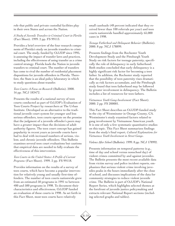role that public and private custodial facilities play in their own States and across the Nation.

*A Study of Juvenile Transfers to Criminal Court in Florida* (Fact Sheet). 1999. 2 pp. FS 99113.

Provides a brief overview of the four research components of Florida's study on juvenile transfers to criminal court. The study, funded by OJJDP since 1995, is assessing the impact of transfer laws and practices, including the effectiveness of using transfer as a crime control strategy. Florida leads the Nation in juvenile transfers to criminal court. The number of transfers has come to rival the number of residential placement dispositions for juvenile offenders in Florida. Therefore, the State is an ideal policy laboratory in which to study questions about transfer.

### *Teen Courts: A Focus on Research* (Bulletin). 2000. 16 pp. NCJ 183472.

Presents the results of a national survey of teen courts conducted as part of OJJDP's Evaluation of Teen Courts Project by researchers at The Urban Institute. Developed as an alternative to the traditional juvenile court system for younger and less serious offenders, teen courts operate on the premise that the judgment of a juvenile offender's peers may have a greater impact than the decisions of adult authority figures. The teen court concept has gained popularity in recent years as juvenile courts have had to deal with increased numbers of serious, violent, and chronic juvenile offenders. This Bulletin examines several teen court evaluations but cautions that empirical data are needed to fully evaluate the effectiveness of this intervention.

### *Teen Courts in the United States: A Profile of Current Programs* (Fact Sheet). 1999. 2 pp. FS 99118.

Provides information on the results of a survey of teen courts, which have become a popular intervention for relatively young and usually first-time offenders. The number of teen courts nationwide grew from an estimated 50 programs in 1991 to between 400 and 500 programs in 1998. To document their characteristics and effectiveness, OJJDP funded an evaluation of these courts in 1998. As set forth in this Fact Sheet, most teen courts have relatively

small caseloads (48 percent indicated that they received fewer than 100 referrals per year) and teen courts nationwide handled approximately 65,000 cases in 1998.

### *Teenage Fatherhood and Delinquent Behavior* (Bulletin). 2000. 8 pp. NCJ 178899.

Presents findings from the Rochester Youth Development Study and the Pittsburgh Youth Study on risk factors for teenage paternity, specifically the role of delinquency in early fatherhood. Both studies concluded that early delinquency is a highly significant risk factor for becoming a teen father. In addition, the Rochester study reported that the possibility of teen paternity rises dramatically as risk factors accumulate, and the Pittsburgh study found that teen fatherhood may be followed by greater involvement in delinquency. The Bulletin includes a list of resources for teen fathers.

### *Vietnamese Youth Gang Involvement* (Fact Sheet). 2000. 2 pp. FS 200001.

This Fact Sheet describes an OJJDP-funded study in the city of Westminster in Orange County, CA. Westminster's study examined factors related to gang involvement by Vietnamese American youth. It is one of only a few systematic quantitative studies on this topic. This Fact Sheet summarizes findings from the study's final report, *Cultural Explanations for Vietnamese Youth Involvement in Street Gangs.*

### *Violence After School* (Bulletin). 1999. 8 pp. NCJ 178992.

Presents information on temporal patterns (e.g., time of day and school versus nonschool day) of violent crimes committed by and against juveniles. The Bulletin presents the most recent available data from victim survey and police incident reports, emphasizes that serious violent crime involving juveniles peaks in the hours immediately after the close of school, and discusses implications of the data for community strategies to reduce violent juvenile crime. The Bulletin is part of OJJDP's National Report Series, which highlights selected themes at the forefront of juvenile justice policymaking and extracts relevant National Report sections (including selected graphs and tables).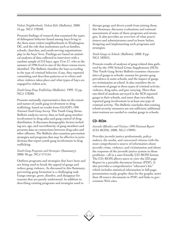*Violent Neighborhoods, Violent Kids* (Bulletin). 2000. 16 pp. NCJ 178248.

Presents findings of research that examined the types of delinquent behavior found among boys living in the three most violent neighborhoods in Washington, DC, and the role that institutions such as families, schools, churches, and youth-serving organizations play in the boys' lives. Findings are based on statistical analyses of data collected in interviews with a random sample of 213 boys, ages 13 to 17, who in the summer of 1996 lived in one of the three census tracts identified. The Bulletin classifies the boys according to the type of criminal behavior, if any, they reported committing and describes patterns as to where and when violence takes place and what types of boys are engaged in violent acts.

### *Youth Gang Drug Trafficking* (Bulletin). 1999. 12 pp. NCJ 178282.

Presents nationally representative data on the extent and nature of youth gang involvement in drug trafficking, based on results from OJJDP's *1996 National Youth Gang Survey.* This Youth Gang Series Bulletin analyzes survey data on both gang member involvement in drug sales and gang control of drug distribution. It discusses demographic factors including sex, age, and race/ethnicity of gang members and presents data on connections between drug sales and other offenses. The Bulletin also examines prevention strategies and programs that may be effective in jurisdictions that report youth gang involvement in drug trafficking.

### *Youth Gang Programs and Strategies* (Summary). 2000. 96 pp. NCJ 171154.

Outlines programs and strategies that have been and are being used to break the appeal of gangs and reduce gang violence. As discussed in this Summary, preventing gang formation is a challenging task. Gangs emerge, grow, dissolve, and disappear for reasons that are poorly understood. In addition to describing existing programs and strategies used to

disrupt gangs and divert youth from joining them, this Summary discusses evaluations and national assessments of some of these programs and strategies. It also provides an overview of what practitioners and administrators need to know before designing and implementing such programs and strategies.

### *Youth Gangs in Schools* (Bulletin). 2000. 8 pp. NCJ 183015.

Presents results of analyses of gang-related data gathered by the 1995 School Crime Supplements (SCS). This Youth Gang Series Bulletin examines characteristics of gangs in schools, reasons for greater gang prevalence in some schools, and the impact of gangs on victimization at school. It also considers the involvement of gangs in three types of criminal activity: violence, drug sales, and gun carrying. More than one-third of students surveyed in the SCS reported gangs in their schools, and more than two-thirds reported gang involvement in at least one type of criminal activity. The Bulletin concludes that existing school security measures are not sufficient; additional interventions are needed to combat gangs in schools.

### CD–ROM

### *Juvenile Offenders and Victims: 1999 National Report* (CD–ROM). 2000. NCJ 178991.

Provides juvenile justice professionals, policymakers, the media, and concerned citizens with the most comprehensive source of information about juvenile crime, violence, and victimization and about the response of the juvenile justice system to these problems—all in a user-friendly CD–ROM format. The CD–ROM allows users to view the 232-page Report in a portable document format (PDF). It also provides a comprehensive "educator's kit," which includes statistical information in full-page, presentation-ready graphs; data for the graphs; more than 40 source documents in PDF; and links to government Web sites.

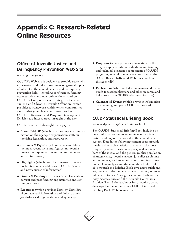# **Appendix C: Research-Related Online Resources**

### Office of Juvenile Justice and Delinquency Prevention Web Site

www.ojjdp.ncjrs.org

OJJDP's Web site is designed to provide users with information and links to resources on general topics of interest in the juvenile justice and delinquency prevention field—including conferences, funding opportunities, and new publications—and on OJJDP's Comprehensive Strategy for Serious, Violent, and Chronic Juvenile Offenders, which provides a framework within which communities can combat juvenile crime. Resources from OJJDP's Research and Program Development Division are interspersed throughout the site.

OJJDP's site includes eight main pages:

- ◆ **About OJJDP** (which provides important information on the agency's organization, staff, authorizing legislation, and resources).
- ◆ **JJ Facts & Figures** (where users can obtain the most recent facts and figures on juvenile justice, delinquency prevention, and violence and victimization).
- ◆ **Highlights** (which describes time-sensitive opportunities, recent additions to OJJDP's site, and new sources of information).
- ◆ **Grants & Funding** (where users can learn about current and past funding opportunities and current grantees).
- ◆ **Resources** (which provides State-by-State lists of contacts and information and links to other youth-focused organizations and agencies).
- ◆ **Programs** (which provides information on the design, implementation, evaluation, and training and technical assistance components of OJJDP programs, several of which are described in the "Other Research-Related Web Sites" section of this appendix).
- ◆ **Publications** (which includes summaries and text of youth-focused publications and other resources and links users to the NCJRS Abstracts Database).
- ◆ **Calendar of Events** (which provides information on upcoming and past OJJDP-sponsored conferences).

### OJJDP Statistical Briefing Book

www.ojjdp.ncjrs.org/ojstatbb/index.html

The OJJDP Statistical Briefing Book includes detailed information on juvenile crime and victimization and on youth involved in the juvenile justice system. Data in the following content areas provide timely and reliable statistical answers to the most frequently asked questions of policymakers, members of the media, and the general public: population characteristics, juvenile arrests, juveniles as victims and offenders, and juveniles in court and in corrections. Data analysis and dissemination tools available through the Briefing Book give users quick and easy access to detailed statistics on a variety of juvenile justice topics. Among these online tools are the Easy Access series and the Juvenile Court Data Archive. The National Center for Juvenile Justice developed and maintains the OJJDP Statistical Briefing Book Web documents.

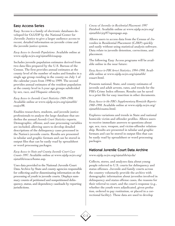### Easy Access Series

Easy Access is a family of electronic databases developed for OJJDP by the National Center for Juvenile Justice to give a larger audience access to recent, detailed information on juvenile crime and the juvenile justice system.

### *Easy Access to Juvenile Populations.* Available online at www.ojjdp.ncjrs.org/ojstatbb/ezapop.

Includes juvenile population estimates derived from two data files prepared by the U.S. Bureau of the Census. The first provides annual estimates at the county level of the number of males and females in a single age group residing in the county on July 1 of the calendar years from 1990 to 1999. The second provides annual estimates of the resident population at the county level in 5-year age groups subdivided by sex, race, and Hispanic ethnicity.

*Easy Access to Juvenile Court Statistics 1989–1998.* Available online at www.ojjdp.ncjrs.org/ojstatbb/ ezajcs98.

Enables researchers, students, and juvenile justice professionals to analyze the large database that underlies the annual *Juvenile Court Statistics* reports. Demographic, offense, and case processing variables are included, allowing users to develop detailed descriptions of the delinquency cases processed in the Nation's juvenile courts. Results are presented in tabular and graphic formats and can be stored in output files that can be easily read by spreadsheet or word processing packages.

*Easy Access to State and County Juvenile Court Case Counts 1997.* Available online at www.ojjdp.ncjrs.org/ ojstatbb/ezaco/home.asp.

Uses data provided to the National Juvenile Court Data Archive by State and county agencies responsible for collecting and/or disseminating information on the processing of youth in juvenile courts. Displays summary counts of petitioned and nonpetitioned delinquency, status, and dependency caseloads by reporting jurisdictions.

*Census of Juveniles in Residential Placement: 1997 Databook.* Available online at www.ojjdp.ncjrs.org/ ojstatbb/cjrp97/openpage.asp.

Allows users to access data from the Census of Juveniles in Residential Placement (CJRP) quickly and easily without using statistical analysis software. Data relate to juvenile detention, corrections, and placement.

The following Easy Access programs will be available online in the near future:

*Easy Access to FBI Arrest Statistics, 1994–1998.* Available online at www.ojjdp.ncjrs.org/ojstatbb/ ezaarr.html.

Presents national, State, and county estimates of juvenile and adult arrests, rates, and trends for the FBI's Crime Index offenses. Results can be saved to a print file for easy insertion in other documents.

*Easy Access to the FBI's Supplementary Homicide Reports: 1980–1998.* Available online at www.ojjdp.ncjrs.org/ ojstatbb/ezamu.html.

Explores variations and trends in State and national homicide victim and offender profiles. Allows users to receive immediate answers to questions about age, sex, race, weapon, and victim-offender relationship. Results are presented in tabular and graphic formats and can be stored in output files that can be easily read by spreadsheet or word processing packages.

### National Juvenile Court Data Archive

www.ojjdp.ncjrs.org/ojstatbb/njcda/

Collects, stores, and analyzes data about young people referred to U.S. courts for delinquency and status offenses. Juvenile and family courts across the country voluntarily provide the archive with demographic information about juveniles involved in delinquency and status offense cases, the reasons for their referral to court, and the court's response (e.g., whether the youth were adjudicated, given probation, ordered to pay restitution, or placed in a correctional facility). These data are used to develop

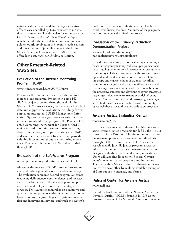national estimates of the delinquency and status offense cases handled by U.S. courts with jurisdiction over juveniles. The data also form the basis for OJJDP's annual *Juvenile Court Statistics* Report, which includes the most detailed information available on youth involved in the juvenile justice system and the activities of juvenile courts in the United States. A national resource since 1927, the archive offers low-cost, high-benefit data collection.

### Other Research-Related Web Sites

### Evaluation of the Juvenile Mentoring Program (JUMP)

www.itiincorporated.com/JUMP/jump

Examines the characteristics of youth, mentors, matches, and program dynamics in some 162 JUMP projects located throughout the United States. JUMP uses a variety of processes to collect data and support the evaluation, including, for example, an automated JUMP Management Information System, where grantees can enter pertinent information about their program; the Problem Oriented Screening Instrument for Teens (POSIT), which is used to obtain pre- and postmentoring data from teenage youth participating in JUMP; and youth and mentor exit forms, which provide valuable information about the mentoring experience. The research began in 1997 and is funded through 2001.

### Evaluation of the SafeFutures Program

www.ojjdp.ncjrs.org/safefutures/evaluate.html

Measures the success of SafeFutures' efforts to prevent and reduce juvenile violence and delinquency. The evaluation compares desired program outcomes (reducing delinquency, youth violence, and the associated risk factors) with the strategic planning process and the development of effective, integrated services. The evaluation plan relies on qualitative and quantitative components to describe the target population, monitor the juvenile justice system's prevention and intervention services, and track the system's

evolution. The process evaluation, which has been conducted during the first 18 months of the program, will continue over the life of the project.

### Evaluation of the Truancy Reduction Demonstration Project

www.coloradofoundation.org/ nationaltruancyproject/default.asp

Provides technical support for evaluating communitybased, interagency truancy reduction programs. Facilitates ongoing community self-assessments, strengthens community collaboratives, assists with program development, and conducts evaluation activities. Defines the scope and characteristics of truancy; identifies community strengths and gaps; identifies, targets, and recruits key local stakeholders who can contribute to the program's success; and develops program strategies targeting students who are truant or at risk of being truant. Conducts site-based and cross-program analyses to find the critical success factors of communitybased collaboratives and truancy reduction programs.

### Juvenile Justice Evaluation Center

www.jrsa.org/jjec.

Provides assistance to States and localities in evaluating juvenile justice programs funded by the Title II Formula Grant Program. The site offers information on assessing program effectiveness to individuals throughout the juvenile justice field. Users can search specific juvenile justice program areas for information on performance measures, evaluation designs, evaluation instruments, and publications. Users will also find links to the Federal Government's juvenile-related programs and initiatives. The site enables States to share evaluation information with one another by making available examples of State reports, contracts, and forms.

### National Center for Juvenile Justice

www.ncjj.org

Includes a brief overview of the National Center for Juvenile Justice (NCJJ), founded in 1973 as the research division of the National Council of Juvenile

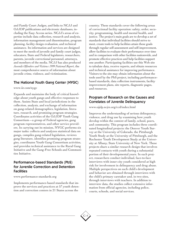and Family Court Judges, and links to NCJJ and OJJDP publications and electronic databases, including the Easy Access series. NCJJ's areas of expertise include data collection, research and analysis, information management and dissemination, program planning, facility design evaluation, and technical assistance. Its information and services are designed to meet the needs of juvenile and family court judges, educators, State and Federal legislators, researchers, parents, juvenile correctional personnel, attorneys, and members of the media. NCJJ has also produced *Juvenile Offenders and Victims: 1999 National Report*, the most comprehensive source of information about juvenile crime, violence, and victimization.

### The National Youth Gang Center (NYGC)

www.iir.com/nygc

Expands and maintains the body of critical knowledge about youth gangs and effective responses to them. Assists State and local jurisdictions in the collection, analysis, and exchange of information on gang-related demographics, legislation, literature, research, and promising program strategies. Coordinates activities of the OJJDP Youth Gang Consortium—a group of Federal agencies, gang program representatives, and other service providers. In carrying out its mission, NYGC performs six major tasks: collects and analyzes statistical data on gangs, compiles gang-related legislation, reviews gang literature, identifies promising program strategies, coordinates Youth Gang Consortium activities, and provides technical assistance to the Rural Gang Initiative and the Gang-Free Schools and Communities Initiative.

### Performance-based Standards (PbS) for Juvenile Correction and Detention **Facilities**

www.performance-standards.org

Implements performance-based standards that improve the services and practices at 57 youth detention and correction centers in 21 States across the

country. These standards cover the following areas of correctional facility operation: safety, order, security, programming, health and mental health, and justice. The project's main goals are to develop a set of standards that individual facilities should strive to meet, create tools to help facilities attain these goals through regular self-assessment and self-improvement, allow facilities to evaluate their performance over time and in comparison with other facilities nationwide, and promote effective practices and help facilities support one another. Participating facilities use this Web site to tabulate data, receive reports, and obtain resources and technical assistance for improving performance. Visitors to the site may obtain information about the tools used by the PbS project, including performancebased standards, data collection instruments, facility improvement plans, site reports, diagnostic pages, and resources.

### Program of Research on the Causes and Correlates of Juvenile Delinquency

www.ojjdp.ncjrs.org/ccd/index.html

Improves the understanding of serious delinquency, violence, and drug use by examining how youth develop within the context of family, school, peers, and community. This program includes three coordinated longitudinal projects: the Denver Youth Survey at the University of Colorado, the Pittsburgh Youth Study at the University of Pittsburgh, and the Rochester Youth Development Study at the University at Albany, State University of New York. These projects share a similar research design that involves repeated contacts with youth during a substantial portion of their developmental years. In each project, researchers conduct individual, face-to-face interviews with inner-city youth considered at high risk for involvement in delinquency and drug abuse. Multiple perspectives on each child's development and behavior are obtained through interviews with the child's primary caretaker and, in two sites, through interviews with teachers. In addition to interview data, the studies collect extensive information from official agencies, including police, courts, schools, and social services.

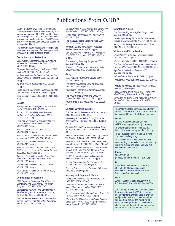## Publications From OJJDP

OJJDP produces a wide variety of materials, including Bulletins, Fact Sheets, Reports, Summaries, videotapes, CD–ROM's, and the Juvenile Justice journal. These materials and other resources are available through OJJDP's Juvenile Justice Clearinghouse (JJC), as described at the end of this list.

The following list of publications highlights the latest and most popular information published by OJJDP, grouped by topical areas:

### **Corrections and Detention**

Construction, Operations, and Staff Training for Juvenile Confinement Facilities. 2000, NCJ 178928 (28 pp.).

Disproportionate Minority Confinement: 1997 Update. 1998, NCJ 170606 (12 pp.).

Implementation of the Intensive Community-Based Aftercare Program. 2000, NCJ 181464 (20 pp.).

Juvenile Arrests 1999. 2000, NCJ 185236 (12 pp.).

Reintegration, Supervised Release, and Intensive Aftercare. 1999, NCJ 175715 (24 pp.).

State Custody Rates, 1997. 2000, NCJ 183108 (4 pp.).

### **Courts**

Employment and Training for Court-Involved Youth. 2000, NCJ 182787 (112 pp.).

Focus on Accountability: Best Practices for Juvenile Court and Probation. 1999, NCJ 177611 (12 pp.).

From the Courthouse to the Schoolhouse: Making Successful Transitions. 2000, NCJ 178900 (16 pp.).

Juvenile Court Statistics 1997. 2000, NCJ 180864 (120 pp.).

Juvenile Justice (Juvenile Court Issue), Volume VI, Number 2. 1999, NCJ 178255 (40 pp.).

Juveniles and the Death Penalty. 2000, NCJ 184748 (16 pp.).

Juvenile Transfers to Criminal Court in the 1990's: Lessons Learned From Four Studies. 2000, NCJ 181301 (68 pp.).

Juveniles Facing Criminal Sanctions: Three States That Changed the Rules. 2000, NCJ 181203 (66 pp.).

Offenders in Juvenile Court, 1997. 2000, NCJ 181204 (16 pp.).

Teen Courts: A Focus on Research. 2000, NCJ 183472 (16 pp.).

### **Delinquency Prevention**

1999 Report to Congress: Title V Incentive Grants for Local Delinquency Prevention Programs. 2000, NCJ 182677 (60 pp.).

Competency Training—The Strengthening Families Program: For Parents and Youth 10–14. 2000, NCJ 182208 (12 pp.).

Comprehensive Responses to Youth at Risk: Interim Findings From the SafeFutures Initiative. 2000. NCJ 183841 (96 pp.).

Co-occurrence of Delinquency and Other Problem Behaviors. 2000, NCJ 182211 (8 pp.).

High/Scope Perry Preschool Project. 2000, NCJ 181725 (8 pp.).

The Incredible Years Training Series. 2000, NCJ 173422 (24 pp.).

Juvenile Mentoring Program: A Progress Review. 2000, NCJ 182209 (8 pp.).

Law Enforcement Referral of At-Risk Youth: The SHIELD Program. 2000, NCJ 184579 (8 pp.).

The Nurturing Parenting Programs. 2000, NCJ 172848 (12 pp.).

Prevention of Serious and Violent Juvenile Offending. 2000, NCJ 178898 (16 pp.).

### **Gangs**

1998 National Youth Gang Survey. 2000, NCJ 183109 (92 pp.).

Preventing Adolescent Gang Involvement. 2000, NCJ 182210 (12 pp.).

Youth Gang Programs and Strategies. 2000, NCJ 171154 (96 pp.).

The Youth Gangs, Drugs, and Violence Connection. 1999, NCJ 171152 (12 pp.). Youth Gangs in Schools. 2000, NCJ 183015 (8 pp.).

### **General Juvenile Justice**

The Community Assessment Center Concept. 2000, NCJ 178942 (12 pp.).

Increasing School Safety Through Juvenile Accountability Programs. 2000, NCJ 179283 (16 pp.).

Juvenile Accountability Incentive Block Grants Strategic Planning Guide. 1999, NCJ 172846 (62 pp.).

Juvenile Justice (Mental Health Issue), Volume VII, Number 1. 2000, NCJ 178256 (40 pp.).

Juvenile Justice. (American Indian Issue). Volume VII, Number 2. 2000, NCJ 184747 (40 pp.).

Juvenile Offenders and Victims: 1999 National Report. 1999, NCJ 178257 (232 pp.). Also available on CD–ROM. 2000, NCJ 178991.

OJJDP Research: Making a Difference for Juveniles. 1999, NCJ 177602 (52 pp.).

Special Education and the Juvenile Justice System. 2000, NCJ 179359 (16 pp.).

Teenage Fatherhood and Delinquent Behavior. 2000, NCJ 178899 (8 pp.).

### **Missing and Exploited Children**

Kidnaping of Juveniles: Patterns From NIBRS. 2000, NCJ 181161 (8 pp.).

Overview of the Portable Guides to Investigating Child Abuse: Update 2000. 2000, NCJ 178893 (12 pp.).

Parents Anonymous<sup>SM</sup>: Strengthening America's Families. 1999, NCJ 171120 (12 pp.).

When Your Child Is Missing: A Family Survival Guide. 1998, NCJ 170022 (96 pp.). Also available in Spanish. 2000, NCJ 178902.

### **Substance Abuse**

The Coach's Playbook Against Drugs. 1998, NCJ 173393 (20 pp.).

Developing a Policy for Controlled Substance Testing of Juveniles. 2000, NCJ 178896 (12 pp.).

Family Skills Training for Parents and Children. 2000, NCJ 180140 (12 pp.).

### **Violence and Victimization**

Characteristics of Crimes Against Juveniles. 2000, NCJ 179034 (12 pp.).

Children as Victims. 2000, NCJ 180753 (24 pp.).

The Comprehensive Strategy: Lessons Learned From the Pilot Sites. 2000, NCJ 178258 (12 pp.). Fighting Juvenile Gun Violence. 2000, NCJ 182679 (12 pp.).

Kids and Guns. 2000, NCJ 178994 (12 pp.).

Predictors of Youth Violence. 2000, NCJ 179065 (12 pp.).

Promising Strategies To Reduce Gun Violence. 1999, NCJ 173950 (276 pp.).

Race, Ethnicity, and Serious and Violent Juvenile Offending. 2000, NCJ 181202 (8 pp.).

Safe From the Start: Taking Action on Children Exposed to Violence. 2000, NCJ 182789 (76 pp.).

The materials listed on this page and many other OJJDP publications and resources can be accessed through the following methods:

### **Online:**

To view or download materials, visit OJJDP's home page: www.ojjdp.ncjrs.org.

To order materials online, visit JJC's 24 hour online store: www.puborder.ncjrs.org.

To ask questions about materials, e-mail JJC: askncjrs@ncjrs.org.

To subscribe to JUVJUST, OJJDP's electronic mailing list, e-mail to listproc@ncjrs.org, leave the subject line blank, and type subscribe juvjust your name.

### **Phone:**

800–638–8736 (Monday–Friday, 8:30 a.m.–7 p.m. ET)

### **Fax:**

410–792–4358 (to order publications) 301–519–5600 (to ask questions) 800–638–8736 (fax-on-demand, Fact Sheets and Bulletins only)

### **Mail:**

Juvenile Justice Clearinghouse/NCJRS P.O. Box 6000, Rockville, MD 20849–6000

JJC, through the National Criminal Justice Reference Service (NCJRS), is the repository for tens of thousands of criminal and juvenile justice publications and resources from around the world. An abstract for each publication or resource is placed in a database that you can search online: www.ncjrs.org/database.htm.